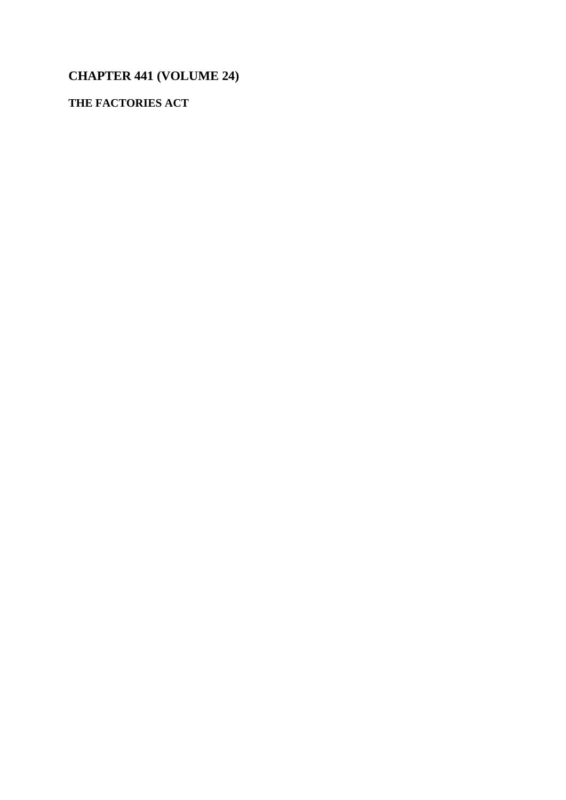# **CHAPTER 441 (VOLUME 24)**

## **THE FACTORIES ACT**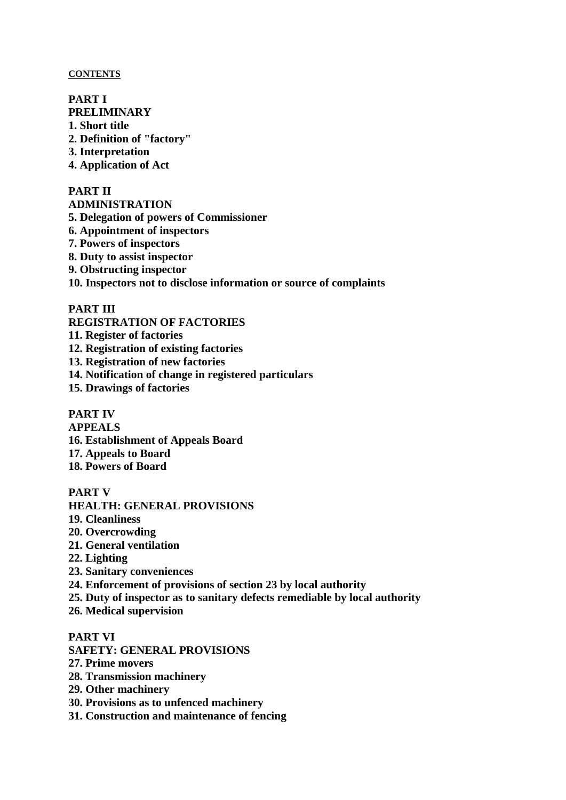#### **CONTENTS**

**PART I PRELIMINARY 1. Short title 2. Definition of "factory" 3. Interpretation 4. Application of Act**

#### **PART II**

**ADMINISTRATION 5. Delegation of powers of Commissioner 6. Appointment of inspectors 7. Powers of inspectors 8. Duty to assist inspector 9. Obstructing inspector 10. Inspectors not to disclose information or source of complaints**

## **PART III**

**REGISTRATION OF FACTORIES**

- **11. Register of factories**
- **12. Registration of existing factories**
- **13. Registration of new factories**
- **14. Notification of change in registered particulars**
- **15. Drawings of factories**

## **PART IV**

**APPEALS 16. Establishment of Appeals Board 17. Appeals to Board 18. Powers of Board**

#### **PART V**

#### **HEALTH: GENERAL PROVISIONS**

- **19. Cleanliness**
- **20. Overcrowding**
- **21. General ventilation**
- **22. Lighting**
- **23. Sanitary conveniences**
- **24. Enforcement of provisions of section 23 by local authority**
- **25. Duty of inspector as to sanitary defects remediable by local authority**
- **26. Medical supervision**

#### **PART VI**

- **SAFETY: GENERAL PROVISIONS**
- **27. Prime movers**
- **28. Transmission machinery**
- **29. Other machinery**
- **30. Provisions as to unfenced machinery**
- **31. Construction and maintenance of fencing**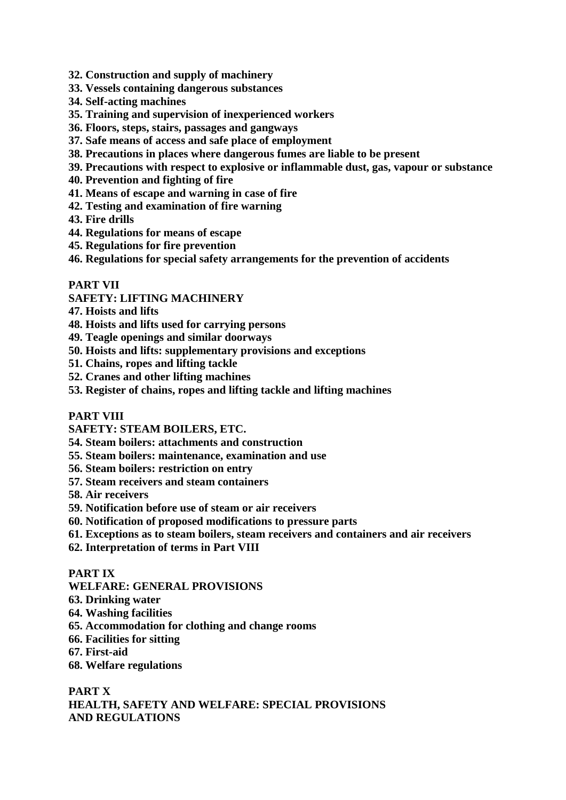- **32. Construction and supply of machinery**
- **33. Vessels containing dangerous substances**
- **34. Self-acting machines**
- **35. Training and supervision of inexperienced workers**
- **36. Floors, steps, stairs, passages and gangways**
- **37. Safe means of access and safe place of employment**
- **38. Precautions in places where dangerous fumes are liable to be present**
- **39. Precautions with respect to explosive or inflammable dust, gas, vapour or substance**
- **40. Prevention and fighting of fire**
- **41. Means of escape and warning in case of fire**
- **42. Testing and examination of fire warning**
- **43. Fire drills**
- **44. Regulations for means of escape**
- **45. Regulations for fire prevention**
- **46. Regulations for special safety arrangements for the prevention of accidents**

#### **PART VII**

#### **SAFETY: LIFTING MACHINERY**

- **47. Hoists and lifts**
- **48. Hoists and lifts used for carrying persons**
- **49. Teagle openings and similar doorways**
- **50. Hoists and lifts: supplementary provisions and exceptions**
- **51. Chains, ropes and lifting tackle**
- **52. Cranes and other lifting machines**
- **53. Register of chains, ropes and lifting tackle and lifting machines**

## **PART VIII**

- **SAFETY: STEAM BOILERS, ETC.**
- **54. Steam boilers: attachments and construction**
- **55. Steam boilers: maintenance, examination and use**
- **56. Steam boilers: restriction on entry**
- **57. Steam receivers and steam containers**
- **58. Air receivers**
- **59. Notification before use of steam or air receivers**
- **60. Notification of proposed modifications to pressure parts**
- **61. Exceptions as to steam boilers, steam receivers and containers and air receivers**
- **62. Interpretation of terms in Part VIII**

#### **PART IX**

#### **WELFARE: GENERAL PROVISIONS**

- **63. Drinking water**
- **64. Washing facilities**
- **65. Accommodation for clothing and change rooms**
- **66. Facilities for sitting**
- **67. First-aid**
- **68. Welfare regulations**

### **PART X HEALTH, SAFETY AND WELFARE: SPECIAL PROVISIONS AND REGULATIONS**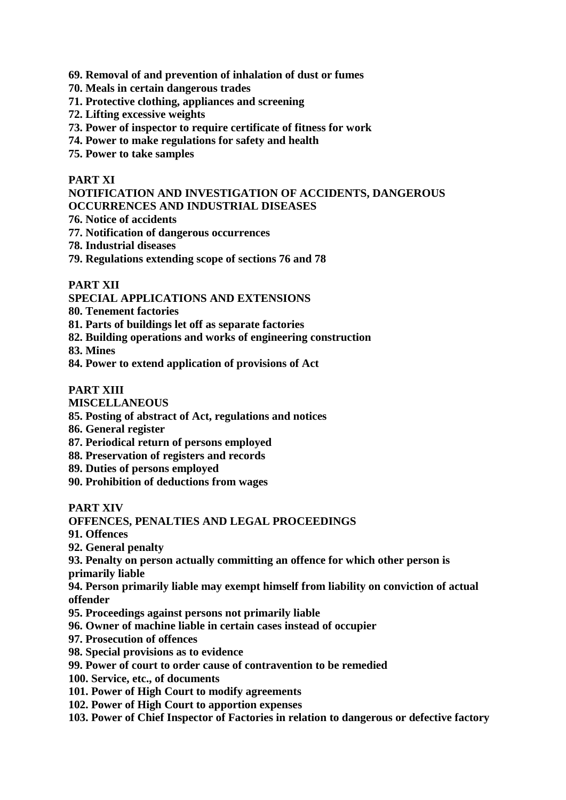- **69. Removal of and prevention of inhalation of dust or fumes**
- **70. Meals in certain dangerous trades**
- **71. Protective clothing, appliances and screening**
- **72. Lifting excessive weights**
- **73. Power of inspector to require certificate of fitness for work**
- **74. Power to make regulations for safety and health**
- **75. Power to take samples**

### **PART XI**

**NOTIFICATION AND INVESTIGATION OF ACCIDENTS, DANGEROUS OCCURRENCES AND INDUSTRIAL DISEASES**

- **76. Notice of accidents**
- **77. Notification of dangerous occurrences**
- **78. Industrial diseases**
- **79. Regulations extending scope of sections 76 and 78**

## **PART XII**

**SPECIAL APPLICATIONS AND EXTENSIONS**

- **80. Tenement factories**
- **81. Parts of buildings let off as separate factories**
- **82. Building operations and works of engineering construction**
- **83. Mines**
- **84. Power to extend application of provisions of Act**

#### **PART XIII**

**MISCELLANEOUS**

- **85. Posting of abstract of Act, regulations and notices**
- **86. General register**
- **87. Periodical return of persons employed**
- **88. Preservation of registers and records**
- **89. Duties of persons employed**
- **90. Prohibition of deductions from wages**

## **PART XIV**

## **OFFENCES, PENALTIES AND LEGAL PROCEEDINGS**

- **91. Offences**
- **92. General penalty**

**93. Penalty on person actually committing an offence for which other person is primarily liable**

**94. Person primarily liable may exempt himself from liability on conviction of actual offender**

- **95. Proceedings against persons not primarily liable**
- **96. Owner of machine liable in certain cases instead of occupier**
- **97. Prosecution of offences**
- **98. Special provisions as to evidence**
- **99. Power of court to order cause of contravention to be remedied**
- **100. Service, etc., of documents**
- **101. Power of High Court to modify agreements**
- **102. Power of High Court to apportion expenses**
- **103. Power of Chief Inspector of Factories in relation to dangerous or defective factory**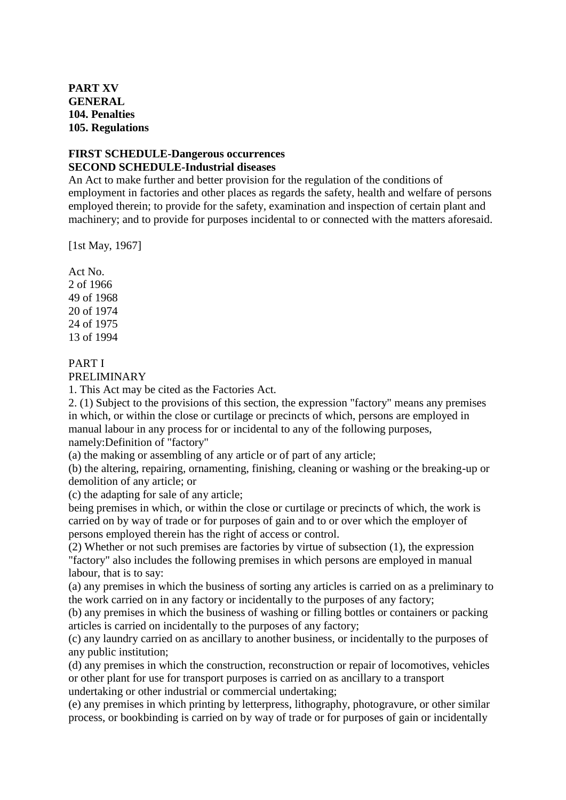**PART XV GENERAL 104. Penalties 105. Regulations**

#### **FIRST SCHEDULE-Dangerous occurrences SECOND SCHEDULE-Industrial diseases**

An Act to make further and better provision for the regulation of the conditions of employment in factories and other places as regards the safety, health and welfare of persons employed therein; to provide for the safety, examination and inspection of certain plant and machinery; and to provide for purposes incidental to or connected with the matters aforesaid.

[1st May, 1967]

Act No. 2 of 1966 49 of 1968 20 of 1974 24 of 1975 13 of 1994

## PART I

#### PRELIMINARY

1. This Act may be cited as the Factories Act.

2. (1) Subject to the provisions of this section, the expression "factory" means any premises in which, or within the close or curtilage or precincts of which, persons are employed in manual labour in any process for or incidental to any of the following purposes, namely:Definition of "factory"

(a) the making or assembling of any article or of part of any article;

(b) the altering, repairing, ornamenting, finishing, cleaning or washing or the breaking-up or demolition of any article; or

(c) the adapting for sale of any article;

being premises in which, or within the close or curtilage or precincts of which, the work is carried on by way of trade or for purposes of gain and to or over which the employer of persons employed therein has the right of access or control.

(2) Whether or not such premises are factories by virtue of subsection (1), the expression "factory" also includes the following premises in which persons are employed in manual labour, that is to say:

(a) any premises in which the business of sorting any articles is carried on as a preliminary to the work carried on in any factory or incidentally to the purposes of any factory;

(b) any premises in which the business of washing or filling bottles or containers or packing articles is carried on incidentally to the purposes of any factory;

(c) any laundry carried on as ancillary to another business, or incidentally to the purposes of any public institution;

(d) any premises in which the construction, reconstruction or repair of locomotives, vehicles or other plant for use for transport purposes is carried on as ancillary to a transport undertaking or other industrial or commercial undertaking;

(e) any premises in which printing by letterpress, lithography, photogravure, or other similar process, or bookbinding is carried on by way of trade or for purposes of gain or incidentally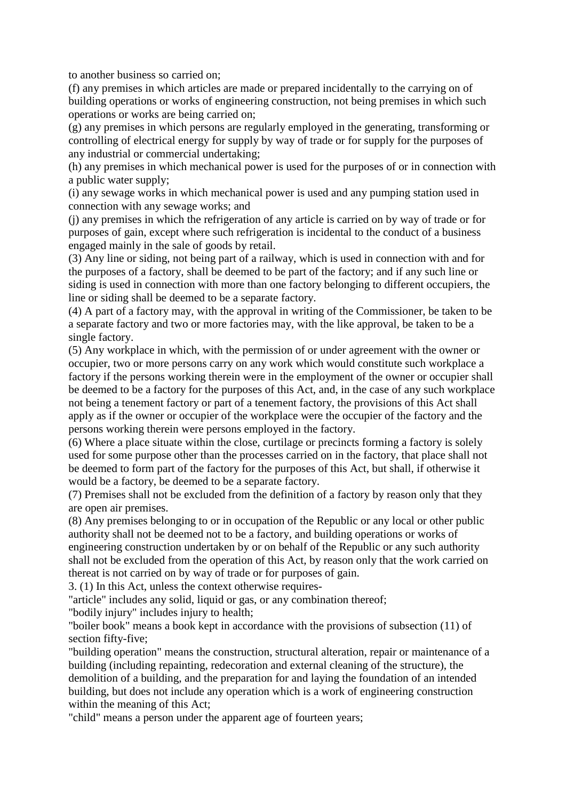to another business so carried on;

(f) any premises in which articles are made or prepared incidentally to the carrying on of building operations or works of engineering construction, not being premises in which such operations or works are being carried on;

(g) any premises in which persons are regularly employed in the generating, transforming or controlling of electrical energy for supply by way of trade or for supply for the purposes of any industrial or commercial undertaking;

(h) any premises in which mechanical power is used for the purposes of or in connection with a public water supply;

(i) any sewage works in which mechanical power is used and any pumping station used in connection with any sewage works; and

(j) any premises in which the refrigeration of any article is carried on by way of trade or for purposes of gain, except where such refrigeration is incidental to the conduct of a business engaged mainly in the sale of goods by retail.

(3) Any line or siding, not being part of a railway, which is used in connection with and for the purposes of a factory, shall be deemed to be part of the factory; and if any such line or siding is used in connection with more than one factory belonging to different occupiers, the line or siding shall be deemed to be a separate factory.

(4) A part of a factory may, with the approval in writing of the Commissioner, be taken to be a separate factory and two or more factories may, with the like approval, be taken to be a single factory.

(5) Any workplace in which, with the permission of or under agreement with the owner or occupier, two or more persons carry on any work which would constitute such workplace a factory if the persons working therein were in the employment of the owner or occupier shall be deemed to be a factory for the purposes of this Act, and, in the case of any such workplace not being a tenement factory or part of a tenement factory, the provisions of this Act shall apply as if the owner or occupier of the workplace were the occupier of the factory and the persons working therein were persons employed in the factory.

(6) Where a place situate within the close, curtilage or precincts forming a factory is solely used for some purpose other than the processes carried on in the factory, that place shall not be deemed to form part of the factory for the purposes of this Act, but shall, if otherwise it would be a factory, be deemed to be a separate factory.

(7) Premises shall not be excluded from the definition of a factory by reason only that they are open air premises.

(8) Any premises belonging to or in occupation of the Republic or any local or other public authority shall not be deemed not to be a factory, and building operations or works of engineering construction undertaken by or on behalf of the Republic or any such authority shall not be excluded from the operation of this Act, by reason only that the work carried on thereat is not carried on by way of trade or for purposes of gain.

3. (1) In this Act, unless the context otherwise requires-

"article" includes any solid, liquid or gas, or any combination thereof;

"bodily injury" includes injury to health;

"boiler book" means a book kept in accordance with the provisions of subsection (11) of section fifty-five;

"building operation" means the construction, structural alteration, repair or maintenance of a building (including repainting, redecoration and external cleaning of the structure), the demolition of a building, and the preparation for and laying the foundation of an intended building, but does not include any operation which is a work of engineering construction within the meaning of this Act;

"child" means a person under the apparent age of fourteen years;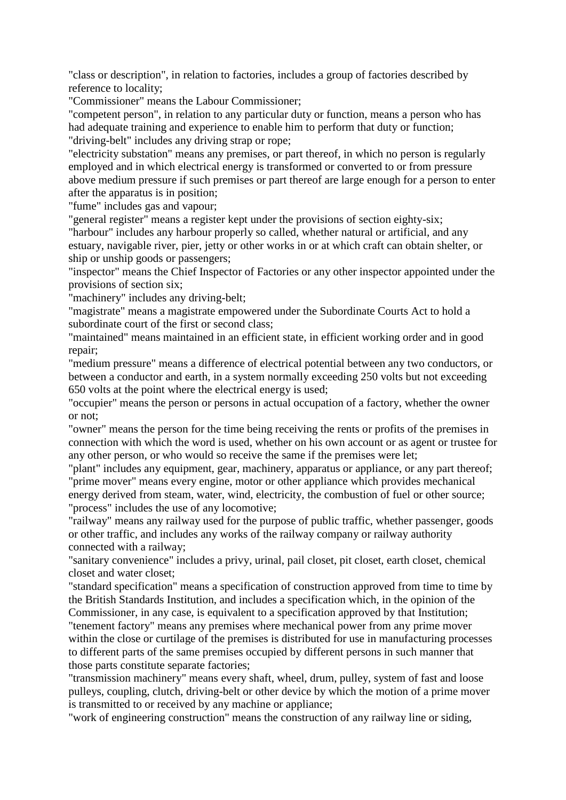"class or description", in relation to factories, includes a group of factories described by reference to locality;

"Commissioner" means the Labour Commissioner;

"competent person", in relation to any particular duty or function, means a person who has had adequate training and experience to enable him to perform that duty or function; "driving-belt" includes any driving strap or rope;

"electricity substation" means any premises, or part thereof, in which no person is regularly employed and in which electrical energy is transformed or converted to or from pressure above medium pressure if such premises or part thereof are large enough for a person to enter after the apparatus is in position;

"fume" includes gas and vapour;

"general register" means a register kept under the provisions of section eighty-six;

"harbour" includes any harbour properly so called, whether natural or artificial, and any estuary, navigable river, pier, jetty or other works in or at which craft can obtain shelter, or ship or unship goods or passengers;

"inspector" means the Chief Inspector of Factories or any other inspector appointed under the provisions of section six;

"machinery" includes any driving-belt;

"magistrate" means a magistrate empowered under the Subordinate Courts Act to hold a subordinate court of the first or second class;

"maintained" means maintained in an efficient state, in efficient working order and in good repair;

"medium pressure" means a difference of electrical potential between any two conductors, or between a conductor and earth, in a system normally exceeding 250 volts but not exceeding 650 volts at the point where the electrical energy is used;

"occupier" means the person or persons in actual occupation of a factory, whether the owner or not;

"owner" means the person for the time being receiving the rents or profits of the premises in connection with which the word is used, whether on his own account or as agent or trustee for any other person, or who would so receive the same if the premises were let;

"plant" includes any equipment, gear, machinery, apparatus or appliance, or any part thereof; "prime mover" means every engine, motor or other appliance which provides mechanical energy derived from steam, water, wind, electricity, the combustion of fuel or other source; "process" includes the use of any locomotive;

"railway" means any railway used for the purpose of public traffic, whether passenger, goods or other traffic, and includes any works of the railway company or railway authority connected with a railway;

"sanitary convenience" includes a privy, urinal, pail closet, pit closet, earth closet, chemical closet and water closet;

"standard specification" means a specification of construction approved from time to time by the British Standards Institution, and includes a specification which, in the opinion of the Commissioner, in any case, is equivalent to a specification approved by that Institution; "tenement factory" means any premises where mechanical power from any prime mover within the close or curtilage of the premises is distributed for use in manufacturing processes to different parts of the same premises occupied by different persons in such manner that

those parts constitute separate factories;

"transmission machinery" means every shaft, wheel, drum, pulley, system of fast and loose pulleys, coupling, clutch, driving-belt or other device by which the motion of a prime mover is transmitted to or received by any machine or appliance;

"work of engineering construction" means the construction of any railway line or siding,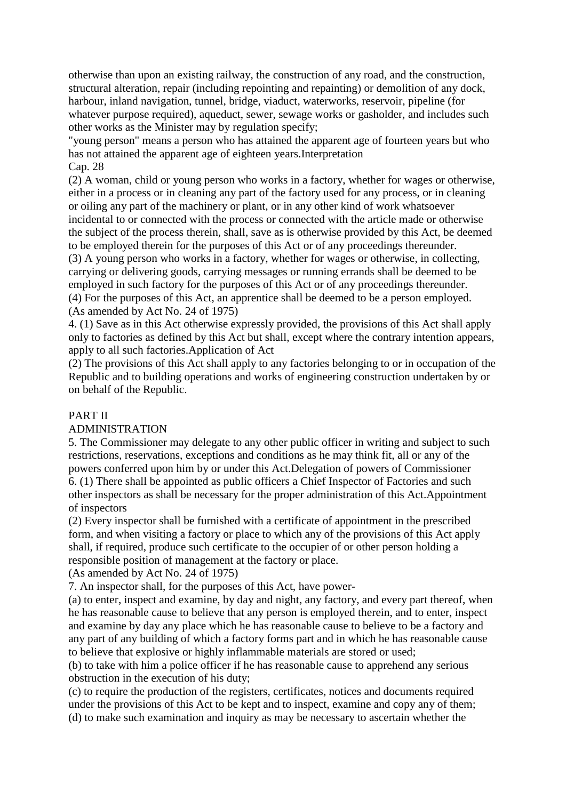otherwise than upon an existing railway, the construction of any road, and the construction, structural alteration, repair (including repointing and repainting) or demolition of any dock, harbour, inland navigation, tunnel, bridge, viaduct, waterworks, reservoir, pipeline (for whatever purpose required), aqueduct, sewer, sewage works or gasholder, and includes such other works as the Minister may by regulation specify;

"young person" means a person who has attained the apparent age of fourteen years but who has not attained the apparent age of eighteen years.Interpretation Cap. 28

(2) A woman, child or young person who works in a factory, whether for wages or otherwise, either in a process or in cleaning any part of the factory used for any process, or in cleaning or oiling any part of the machinery or plant, or in any other kind of work whatsoever incidental to or connected with the process or connected with the article made or otherwise the subject of the process therein, shall, save as is otherwise provided by this Act, be deemed to be employed therein for the purposes of this Act or of any proceedings thereunder.

(3) A young person who works in a factory, whether for wages or otherwise, in collecting, carrying or delivering goods, carrying messages or running errands shall be deemed to be employed in such factory for the purposes of this Act or of any proceedings thereunder. (4) For the purposes of this Act, an apprentice shall be deemed to be a person employed. (As amended by Act No. 24 of 1975)

4. (1) Save as in this Act otherwise expressly provided, the provisions of this Act shall apply only to factories as defined by this Act but shall, except where the contrary intention appears, apply to all such factories.Application of Act

(2) The provisions of this Act shall apply to any factories belonging to or in occupation of the Republic and to building operations and works of engineering construction undertaken by or on behalf of the Republic.

#### PART II

#### ADMINISTRATION

5. The Commissioner may delegate to any other public officer in writing and subject to such restrictions, reservations, exceptions and conditions as he may think fit, all or any of the powers conferred upon him by or under this Act.Delegation of powers of Commissioner 6. (1) There shall be appointed as public officers a Chief Inspector of Factories and such other inspectors as shall be necessary for the proper administration of this Act.Appointment of inspectors

(2) Every inspector shall be furnished with a certificate of appointment in the prescribed form, and when visiting a factory or place to which any of the provisions of this Act apply shall, if required, produce such certificate to the occupier of or other person holding a responsible position of management at the factory or place.

(As amended by Act No. 24 of 1975)

7. An inspector shall, for the purposes of this Act, have power-

(a) to enter, inspect and examine, by day and night, any factory, and every part thereof, when he has reasonable cause to believe that any person is employed therein, and to enter, inspect and examine by day any place which he has reasonable cause to believe to be a factory and any part of any building of which a factory forms part and in which he has reasonable cause to believe that explosive or highly inflammable materials are stored or used;

(b) to take with him a police officer if he has reasonable cause to apprehend any serious obstruction in the execution of his duty;

(c) to require the production of the registers, certificates, notices and documents required under the provisions of this Act to be kept and to inspect, examine and copy any of them; (d) to make such examination and inquiry as may be necessary to ascertain whether the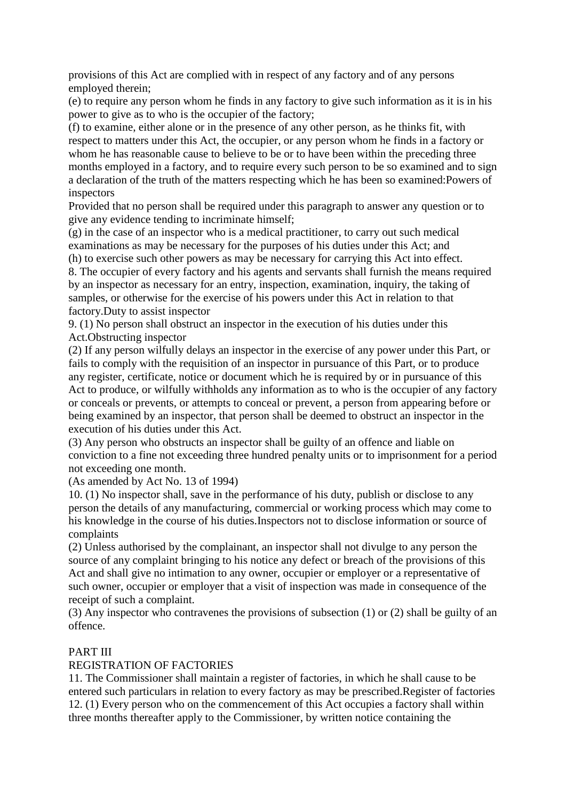provisions of this Act are complied with in respect of any factory and of any persons employed therein;

(e) to require any person whom he finds in any factory to give such information as it is in his power to give as to who is the occupier of the factory;

(f) to examine, either alone or in the presence of any other person, as he thinks fit, with respect to matters under this Act, the occupier, or any person whom he finds in a factory or whom he has reasonable cause to believe to be or to have been within the preceding three months employed in a factory, and to require every such person to be so examined and to sign a declaration of the truth of the matters respecting which he has been so examined:Powers of inspectors

Provided that no person shall be required under this paragraph to answer any question or to give any evidence tending to incriminate himself;

(g) in the case of an inspector who is a medical practitioner, to carry out such medical examinations as may be necessary for the purposes of his duties under this Act; and (h) to exercise such other powers as may be necessary for carrying this Act into effect.

8. The occupier of every factory and his agents and servants shall furnish the means required by an inspector as necessary for an entry, inspection, examination, inquiry, the taking of samples, or otherwise for the exercise of his powers under this Act in relation to that factory.Duty to assist inspector

9. (1) No person shall obstruct an inspector in the execution of his duties under this Act.Obstructing inspector

(2) If any person wilfully delays an inspector in the exercise of any power under this Part, or fails to comply with the requisition of an inspector in pursuance of this Part, or to produce any register, certificate, notice or document which he is required by or in pursuance of this Act to produce, or wilfully withholds any information as to who is the occupier of any factory or conceals or prevents, or attempts to conceal or prevent, a person from appearing before or being examined by an inspector, that person shall be deemed to obstruct an inspector in the execution of his duties under this Act.

(3) Any person who obstructs an inspector shall be guilty of an offence and liable on conviction to a fine not exceeding three hundred penalty units or to imprisonment for a period not exceeding one month.

(As amended by Act No. 13 of 1994)

10. (1) No inspector shall, save in the performance of his duty, publish or disclose to any person the details of any manufacturing, commercial or working process which may come to his knowledge in the course of his duties.Inspectors not to disclose information or source of complaints

(2) Unless authorised by the complainant, an inspector shall not divulge to any person the source of any complaint bringing to his notice any defect or breach of the provisions of this Act and shall give no intimation to any owner, occupier or employer or a representative of such owner, occupier or employer that a visit of inspection was made in consequence of the receipt of such a complaint.

(3) Any inspector who contravenes the provisions of subsection (1) or (2) shall be guilty of an offence.

## PART III

## REGISTRATION OF FACTORIES

11. The Commissioner shall maintain a register of factories, in which he shall cause to be entered such particulars in relation to every factory as may be prescribed.Register of factories 12. (1) Every person who on the commencement of this Act occupies a factory shall within three months thereafter apply to the Commissioner, by written notice containing the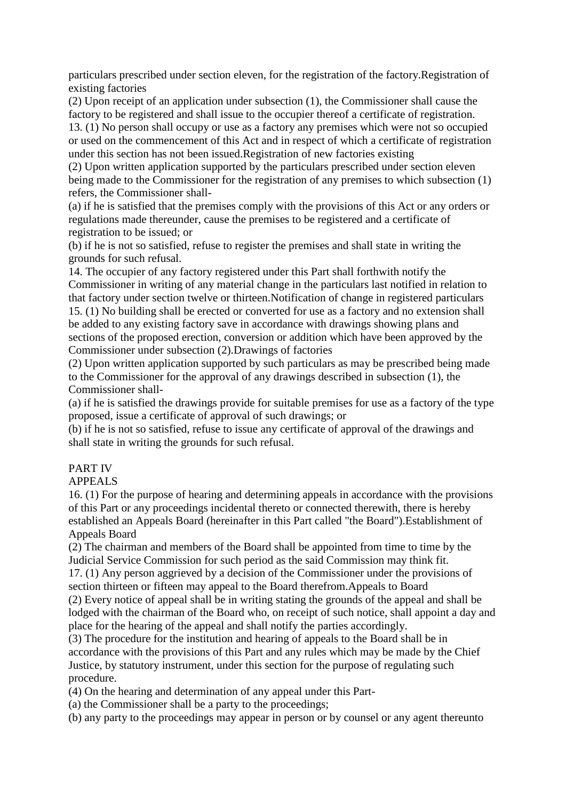particulars prescribed under section eleven, for the registration of the factory.Registration of existing factories

(2) Upon receipt of an application under subsection (1), the Commissioner shall cause the factory to be registered and shall issue to the occupier thereof a certificate of registration. 13. (1) No person shall occupy or use as a factory any premises which were not so occupied or used on the commencement of this Act and in respect of which a certificate of registration under this section has not been issued.Registration of new factories existing

(2) Upon written application supported by the particulars prescribed under section eleven being made to the Commissioner for the registration of any premises to which subsection (1) refers, the Commissioner shall-

(a) if he is satisfied that the premises comply with the provisions of this Act or any orders or regulations made thereunder, cause the premises to be registered and a certificate of registration to be issued; or

(b) if he is not so satisfied, refuse to register the premises and shall state in writing the grounds for such refusal.

14. The occupier of any factory registered under this Part shall forthwith notify the Commissioner in writing of any material change in the particulars last notified in relation to that factory under section twelve or thirteen.Notification of change in registered particulars 15. (1) No building shall be erected or converted for use as a factory and no extension shall be added to any existing factory save in accordance with drawings showing plans and sections of the proposed erection, conversion or addition which have been approved by the Commissioner under subsection (2).Drawings of factories

(2) Upon written application supported by such particulars as may be prescribed being made to the Commissioner for the approval of any drawings described in subsection (1), the Commissioner shall-

(a) if he is satisfied the drawings provide for suitable premises for use as a factory of the type proposed, issue a certificate of approval of such drawings; or

(b) if he is not so satisfied, refuse to issue any certificate of approval of the drawings and shall state in writing the grounds for such refusal.

## PART IV

APPEALS

16. (1) For the purpose of hearing and determining appeals in accordance with the provisions of this Part or any proceedings incidental thereto or connected therewith, there is hereby established an Appeals Board (hereinafter in this Part called "the Board").Establishment of Appeals Board

(2) The chairman and members of the Board shall be appointed from time to time by the Judicial Service Commission for such period as the said Commission may think fit.

17. (1) Any person aggrieved by a decision of the Commissioner under the provisions of section thirteen or fifteen may appeal to the Board therefrom.Appeals to Board

(2) Every notice of appeal shall be in writing stating the grounds of the appeal and shall be lodged with the chairman of the Board who, on receipt of such notice, shall appoint a day and place for the hearing of the appeal and shall notify the parties accordingly.

(3) The procedure for the institution and hearing of appeals to the Board shall be in accordance with the provisions of this Part and any rules which may be made by the Chief Justice, by statutory instrument, under this section for the purpose of regulating such procedure.

(4) On the hearing and determination of any appeal under this Part-

(a) the Commissioner shall be a party to the proceedings;

(b) any party to the proceedings may appear in person or by counsel or any agent thereunto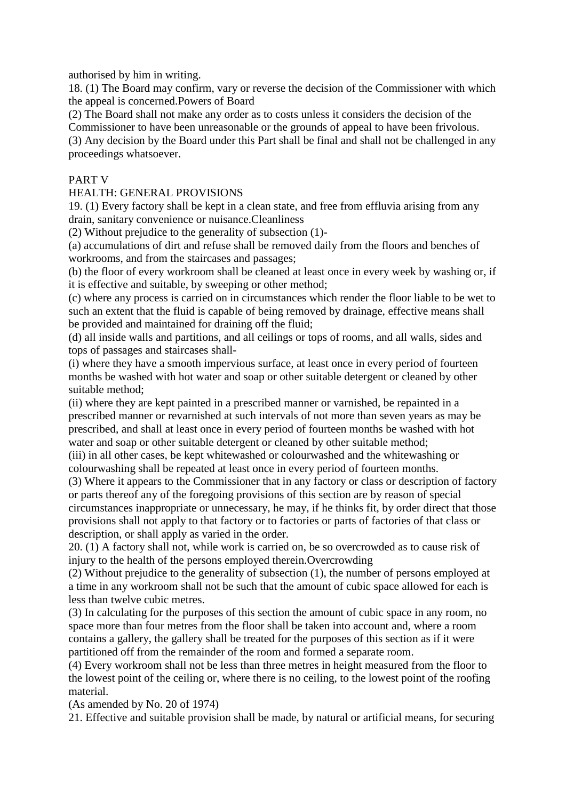authorised by him in writing.

18. (1) The Board may confirm, vary or reverse the decision of the Commissioner with which the appeal is concerned.Powers of Board

(2) The Board shall not make any order as to costs unless it considers the decision of the

Commissioner to have been unreasonable or the grounds of appeal to have been frivolous.

(3) Any decision by the Board under this Part shall be final and shall not be challenged in any proceedings whatsoever.

## PART V

## HEALTH: GENERAL PROVISIONS

19. (1) Every factory shall be kept in a clean state, and free from effluvia arising from any drain, sanitary convenience or nuisance.Cleanliness

(2) Without prejudice to the generality of subsection (1)-

(a) accumulations of dirt and refuse shall be removed daily from the floors and benches of workrooms, and from the staircases and passages;

(b) the floor of every workroom shall be cleaned at least once in every week by washing or, if it is effective and suitable, by sweeping or other method;

(c) where any process is carried on in circumstances which render the floor liable to be wet to such an extent that the fluid is capable of being removed by drainage, effective means shall be provided and maintained for draining off the fluid;

(d) all inside walls and partitions, and all ceilings or tops of rooms, and all walls, sides and tops of passages and staircases shall-

(i) where they have a smooth impervious surface, at least once in every period of fourteen months be washed with hot water and soap or other suitable detergent or cleaned by other suitable method;

(ii) where they are kept painted in a prescribed manner or varnished, be repainted in a prescribed manner or revarnished at such intervals of not more than seven years as may be prescribed, and shall at least once in every period of fourteen months be washed with hot water and soap or other suitable detergent or cleaned by other suitable method;

(iii) in all other cases, be kept whitewashed or colourwashed and the whitewashing or colourwashing shall be repeated at least once in every period of fourteen months.

(3) Where it appears to the Commissioner that in any factory or class or description of factory or parts thereof any of the foregoing provisions of this section are by reason of special circumstances inappropriate or unnecessary, he may, if he thinks fit, by order direct that those provisions shall not apply to that factory or to factories or parts of factories of that class or description, or shall apply as varied in the order.

20. (1) A factory shall not, while work is carried on, be so overcrowded as to cause risk of injury to the health of the persons employed therein.Overcrowding

(2) Without prejudice to the generality of subsection (1), the number of persons employed at a time in any workroom shall not be such that the amount of cubic space allowed for each is less than twelve cubic metres.

(3) In calculating for the purposes of this section the amount of cubic space in any room, no space more than four metres from the floor shall be taken into account and, where a room contains a gallery, the gallery shall be treated for the purposes of this section as if it were partitioned off from the remainder of the room and formed a separate room.

(4) Every workroom shall not be less than three metres in height measured from the floor to the lowest point of the ceiling or, where there is no ceiling, to the lowest point of the roofing material.

(As amended by No. 20 of 1974)

21. Effective and suitable provision shall be made, by natural or artificial means, for securing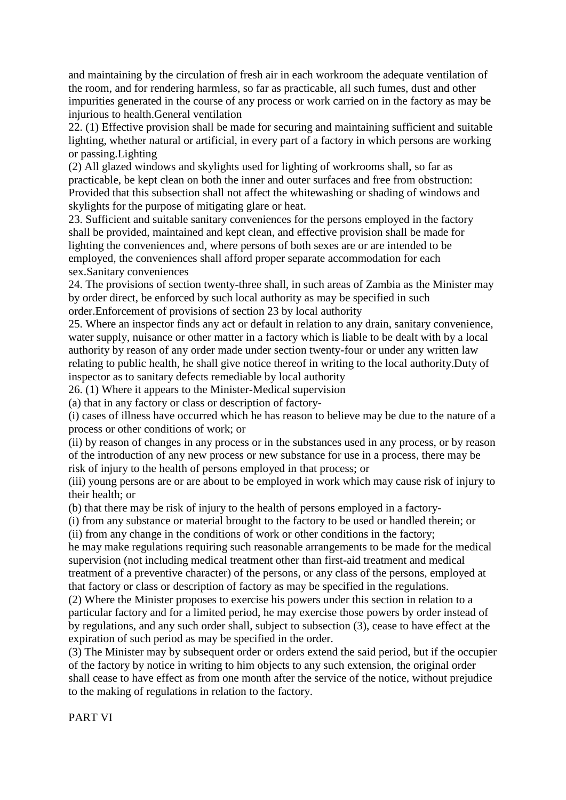and maintaining by the circulation of fresh air in each workroom the adequate ventilation of the room, and for rendering harmless, so far as practicable, all such fumes, dust and other impurities generated in the course of any process or work carried on in the factory as may be injurious to health.General ventilation

22. (1) Effective provision shall be made for securing and maintaining sufficient and suitable lighting, whether natural or artificial, in every part of a factory in which persons are working or passing.Lighting

(2) All glazed windows and skylights used for lighting of workrooms shall, so far as practicable, be kept clean on both the inner and outer surfaces and free from obstruction: Provided that this subsection shall not affect the whitewashing or shading of windows and skylights for the purpose of mitigating glare or heat.

23. Sufficient and suitable sanitary conveniences for the persons employed in the factory shall be provided, maintained and kept clean, and effective provision shall be made for lighting the conveniences and, where persons of both sexes are or are intended to be employed, the conveniences shall afford proper separate accommodation for each sex.Sanitary conveniences

24. The provisions of section twenty-three shall, in such areas of Zambia as the Minister may by order direct, be enforced by such local authority as may be specified in such order.Enforcement of provisions of section 23 by local authority

25. Where an inspector finds any act or default in relation to any drain, sanitary convenience, water supply, nuisance or other matter in a factory which is liable to be dealt with by a local authority by reason of any order made under section twenty-four or under any written law relating to public health, he shall give notice thereof in writing to the local authority.Duty of inspector as to sanitary defects remediable by local authority

26. (1) Where it appears to the Minister-Medical supervision

(a) that in any factory or class or description of factory-

(i) cases of illness have occurred which he has reason to believe may be due to the nature of a process or other conditions of work; or

(ii) by reason of changes in any process or in the substances used in any process, or by reason of the introduction of any new process or new substance for use in a process, there may be risk of injury to the health of persons employed in that process; or

(iii) young persons are or are about to be employed in work which may cause risk of injury to their health; or

(b) that there may be risk of injury to the health of persons employed in a factory-

(i) from any substance or material brought to the factory to be used or handled therein; or (ii) from any change in the conditions of work or other conditions in the factory;

he may make regulations requiring such reasonable arrangements to be made for the medical supervision (not including medical treatment other than first-aid treatment and medical treatment of a preventive character) of the persons, or any class of the persons, employed at that factory or class or description of factory as may be specified in the regulations.

(2) Where the Minister proposes to exercise his powers under this section in relation to a particular factory and for a limited period, he may exercise those powers by order instead of by regulations, and any such order shall, subject to subsection (3), cease to have effect at the expiration of such period as may be specified in the order.

(3) The Minister may by subsequent order or orders extend the said period, but if the occupier of the factory by notice in writing to him objects to any such extension, the original order shall cease to have effect as from one month after the service of the notice, without prejudice to the making of regulations in relation to the factory.

## PART VI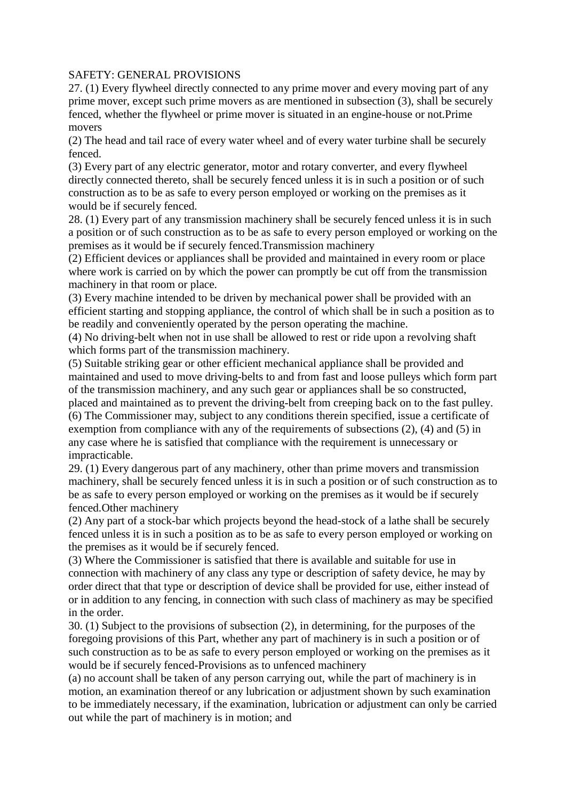#### SAFETY: GENERAL PROVISIONS

27. (1) Every flywheel directly connected to any prime mover and every moving part of any prime mover, except such prime movers as are mentioned in subsection (3), shall be securely fenced, whether the flywheel or prime mover is situated in an engine-house or not.Prime movers

(2) The head and tail race of every water wheel and of every water turbine shall be securely fenced.

(3) Every part of any electric generator, motor and rotary converter, and every flywheel directly connected thereto, shall be securely fenced unless it is in such a position or of such construction as to be as safe to every person employed or working on the premises as it would be if securely fenced.

28. (1) Every part of any transmission machinery shall be securely fenced unless it is in such a position or of such construction as to be as safe to every person employed or working on the premises as it would be if securely fenced.Transmission machinery

(2) Efficient devices or appliances shall be provided and maintained in every room or place where work is carried on by which the power can promptly be cut off from the transmission machinery in that room or place.

(3) Every machine intended to be driven by mechanical power shall be provided with an efficient starting and stopping appliance, the control of which shall be in such a position as to be readily and conveniently operated by the person operating the machine.

(4) No driving-belt when not in use shall be allowed to rest or ride upon a revolving shaft which forms part of the transmission machinery.

(5) Suitable striking gear or other efficient mechanical appliance shall be provided and maintained and used to move driving-belts to and from fast and loose pulleys which form part of the transmission machinery, and any such gear or appliances shall be so constructed, placed and maintained as to prevent the driving-belt from creeping back on to the fast pulley.

(6) The Commissioner may, subject to any conditions therein specified, issue a certificate of exemption from compliance with any of the requirements of subsections (2), (4) and (5) in any case where he is satisfied that compliance with the requirement is unnecessary or impracticable.

29. (1) Every dangerous part of any machinery, other than prime movers and transmission machinery, shall be securely fenced unless it is in such a position or of such construction as to be as safe to every person employed or working on the premises as it would be if securely fenced.Other machinery

(2) Any part of a stock-bar which projects beyond the head-stock of a lathe shall be securely fenced unless it is in such a position as to be as safe to every person employed or working on the premises as it would be if securely fenced.

(3) Where the Commissioner is satisfied that there is available and suitable for use in connection with machinery of any class any type or description of safety device, he may by order direct that that type or description of device shall be provided for use, either instead of or in addition to any fencing, in connection with such class of machinery as may be specified in the order.

30. (1) Subject to the provisions of subsection (2), in determining, for the purposes of the foregoing provisions of this Part, whether any part of machinery is in such a position or of such construction as to be as safe to every person employed or working on the premises as it would be if securely fenced-Provisions as to unfenced machinery

(a) no account shall be taken of any person carrying out, while the part of machinery is in motion, an examination thereof or any lubrication or adjustment shown by such examination to be immediately necessary, if the examination, lubrication or adjustment can only be carried out while the part of machinery is in motion; and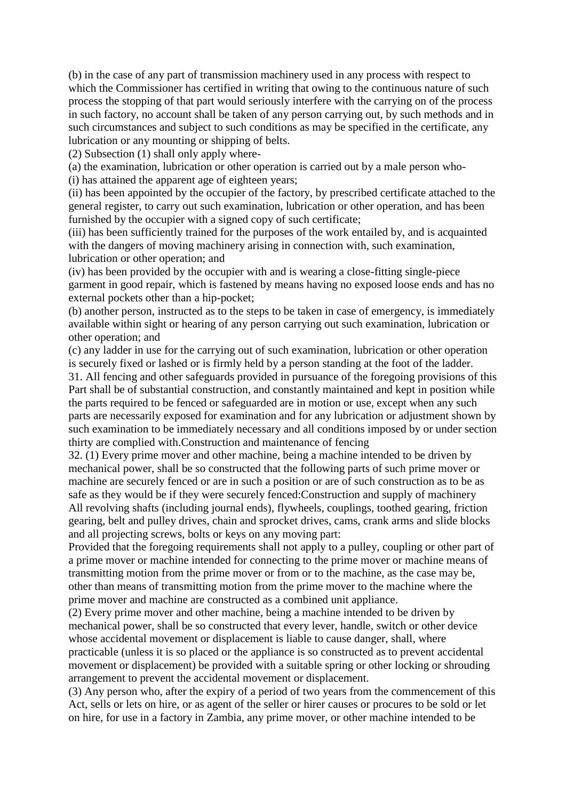(b) in the case of any part of transmission machinery used in any process with respect to which the Commissioner has certified in writing that owing to the continuous nature of such process the stopping of that part would seriously interfere with the carrying on of the process in such factory, no account shall be taken of any person carrying out, by such methods and in such circumstances and subject to such conditions as may be specified in the certificate, any lubrication or any mounting or shipping of belts.

(2) Subsection (1) shall only apply where-

(a) the examination, lubrication or other operation is carried out by a male person who-

(i) has attained the apparent age of eighteen years;

(ii) has been appointed by the occupier of the factory, by prescribed certificate attached to the general register, to carry out such examination, lubrication or other operation, and has been furnished by the occupier with a signed copy of such certificate;

(iii) has been sufficiently trained for the purposes of the work entailed by, and is acquainted with the dangers of moving machinery arising in connection with, such examination, lubrication or other operation; and

(iv) has been provided by the occupier with and is wearing a close-fitting single-piece garment in good repair, which is fastened by means having no exposed loose ends and has no external pockets other than a hip-pocket;

(b) another person, instructed as to the steps to be taken in case of emergency, is immediately available within sight or hearing of any person carrying out such examination, lubrication or other operation; and

(c) any ladder in use for the carrying out of such examination, lubrication or other operation is securely fixed or lashed or is firmly held by a person standing at the foot of the ladder. 31. All fencing and other safeguards provided in pursuance of the foregoing provisions of this Part shall be of substantial construction, and constantly maintained and kept in position while the parts required to be fenced or safeguarded are in motion or use, except when any such parts are necessarily exposed for examination and for any lubrication or adjustment shown by such examination to be immediately necessary and all conditions imposed by or under section thirty are complied with.Construction and maintenance of fencing

32. (1) Every prime mover and other machine, being a machine intended to be driven by mechanical power, shall be so constructed that the following parts of such prime mover or machine are securely fenced or are in such a position or are of such construction as to be as safe as they would be if they were securely fenced:Construction and supply of machinery All revolving shafts (including journal ends), flywheels, couplings, toothed gearing, friction gearing, belt and pulley drives, chain and sprocket drives, cams, crank arms and slide blocks and all projecting screws, bolts or keys on any moving part:

Provided that the foregoing requirements shall not apply to a pulley, coupling or other part of a prime mover or machine intended for connecting to the prime mover or machine means of transmitting motion from the prime mover or from or to the machine, as the case may be, other than means of transmitting motion from the prime mover to the machine where the prime mover and machine are constructed as a combined unit appliance.

(2) Every prime mover and other machine, being a machine intended to be driven by mechanical power, shall be so constructed that every lever, handle, switch or other device whose accidental movement or displacement is liable to cause danger, shall, where practicable (unless it is so placed or the appliance is so constructed as to prevent accidental movement or displacement) be provided with a suitable spring or other locking or shrouding arrangement to prevent the accidental movement or displacement.

(3) Any person who, after the expiry of a period of two years from the commencement of this Act, sells or lets on hire, or as agent of the seller or hirer causes or procures to be sold or let on hire, for use in a factory in Zambia, any prime mover, or other machine intended to be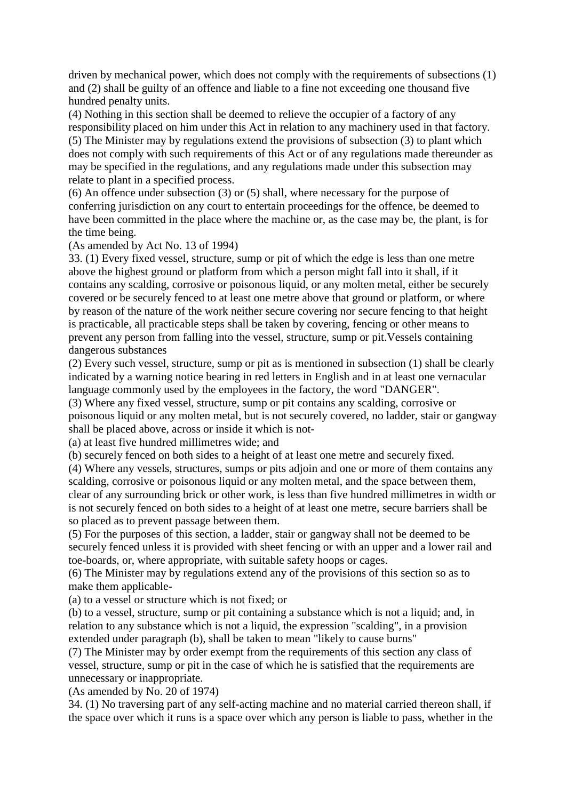driven by mechanical power, which does not comply with the requirements of subsections (1) and (2) shall be guilty of an offence and liable to a fine not exceeding one thousand five hundred penalty units.

(4) Nothing in this section shall be deemed to relieve the occupier of a factory of any responsibility placed on him under this Act in relation to any machinery used in that factory. (5) The Minister may by regulations extend the provisions of subsection (3) to plant which does not comply with such requirements of this Act or of any regulations made thereunder as may be specified in the regulations, and any regulations made under this subsection may relate to plant in a specified process.

(6) An offence under subsection (3) or (5) shall, where necessary for the purpose of conferring jurisdiction on any court to entertain proceedings for the offence, be deemed to have been committed in the place where the machine or, as the case may be, the plant, is for the time being.

(As amended by Act No. 13 of 1994)

33. (1) Every fixed vessel, structure, sump or pit of which the edge is less than one metre above the highest ground or platform from which a person might fall into it shall, if it contains any scalding, corrosive or poisonous liquid, or any molten metal, either be securely covered or be securely fenced to at least one metre above that ground or platform, or where by reason of the nature of the work neither secure covering nor secure fencing to that height is practicable, all practicable steps shall be taken by covering, fencing or other means to prevent any person from falling into the vessel, structure, sump or pit.Vessels containing dangerous substances

(2) Every such vessel, structure, sump or pit as is mentioned in subsection (1) shall be clearly indicated by a warning notice bearing in red letters in English and in at least one vernacular language commonly used by the employees in the factory, the word "DANGER".

(3) Where any fixed vessel, structure, sump or pit contains any scalding, corrosive or poisonous liquid or any molten metal, but is not securely covered, no ladder, stair or gangway shall be placed above, across or inside it which is not-

(a) at least five hundred millimetres wide; and

(b) securely fenced on both sides to a height of at least one metre and securely fixed.

(4) Where any vessels, structures, sumps or pits adjoin and one or more of them contains any scalding, corrosive or poisonous liquid or any molten metal, and the space between them, clear of any surrounding brick or other work, is less than five hundred millimetres in width or is not securely fenced on both sides to a height of at least one metre, secure barriers shall be so placed as to prevent passage between them.

(5) For the purposes of this section, a ladder, stair or gangway shall not be deemed to be securely fenced unless it is provided with sheet fencing or with an upper and a lower rail and toe-boards, or, where appropriate, with suitable safety hoops or cages.

(6) The Minister may by regulations extend any of the provisions of this section so as to make them applicable-

(a) to a vessel or structure which is not fixed; or

(b) to a vessel, structure, sump or pit containing a substance which is not a liquid; and, in relation to any substance which is not a liquid, the expression "scalding", in a provision extended under paragraph (b), shall be taken to mean "likely to cause burns"

(7) The Minister may by order exempt from the requirements of this section any class of vessel, structure, sump or pit in the case of which he is satisfied that the requirements are unnecessary or inappropriate.

(As amended by No. 20 of 1974)

34. (1) No traversing part of any self-acting machine and no material carried thereon shall, if the space over which it runs is a space over which any person is liable to pass, whether in the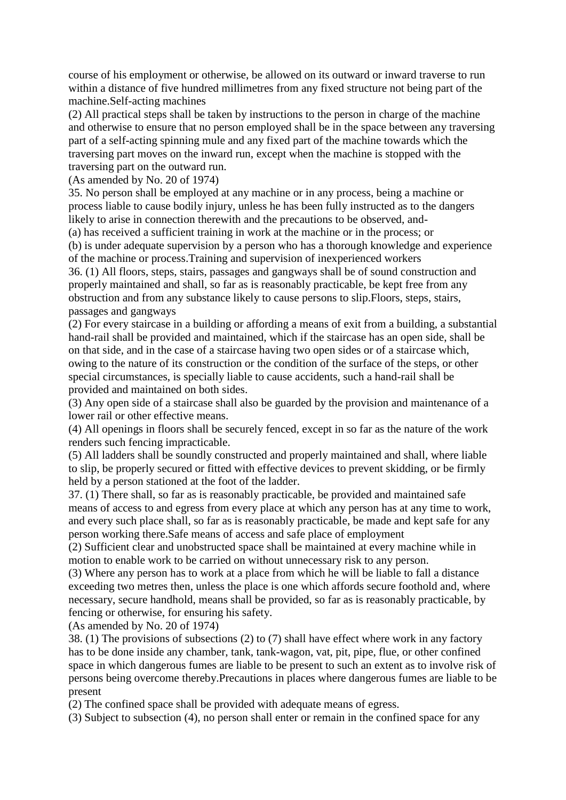course of his employment or otherwise, be allowed on its outward or inward traverse to run within a distance of five hundred millimetres from any fixed structure not being part of the machine.Self-acting machines

(2) All practical steps shall be taken by instructions to the person in charge of the machine and otherwise to ensure that no person employed shall be in the space between any traversing part of a self-acting spinning mule and any fixed part of the machine towards which the traversing part moves on the inward run, except when the machine is stopped with the traversing part on the outward run.

(As amended by No. 20 of 1974)

35. No person shall be employed at any machine or in any process, being a machine or process liable to cause bodily injury, unless he has been fully instructed as to the dangers likely to arise in connection therewith and the precautions to be observed, and-

(a) has received a sufficient training in work at the machine or in the process; or (b) is under adequate supervision by a person who has a thorough knowledge and experience

of the machine or process.Training and supervision of inexperienced workers

36. (1) All floors, steps, stairs, passages and gangways shall be of sound construction and properly maintained and shall, so far as is reasonably practicable, be kept free from any obstruction and from any substance likely to cause persons to slip.Floors, steps, stairs, passages and gangways

(2) For every staircase in a building or affording a means of exit from a building, a substantial hand-rail shall be provided and maintained, which if the staircase has an open side, shall be on that side, and in the case of a staircase having two open sides or of a staircase which, owing to the nature of its construction or the condition of the surface of the steps, or other special circumstances, is specially liable to cause accidents, such a hand-rail shall be provided and maintained on both sides.

(3) Any open side of a staircase shall also be guarded by the provision and maintenance of a lower rail or other effective means.

(4) All openings in floors shall be securely fenced, except in so far as the nature of the work renders such fencing impracticable.

(5) All ladders shall be soundly constructed and properly maintained and shall, where liable to slip, be properly secured or fitted with effective devices to prevent skidding, or be firmly held by a person stationed at the foot of the ladder.

37. (1) There shall, so far as is reasonably practicable, be provided and maintained safe means of access to and egress from every place at which any person has at any time to work, and every such place shall, so far as is reasonably practicable, be made and kept safe for any person working there.Safe means of access and safe place of employment

(2) Sufficient clear and unobstructed space shall be maintained at every machine while in motion to enable work to be carried on without unnecessary risk to any person.

(3) Where any person has to work at a place from which he will be liable to fall a distance exceeding two metres then, unless the place is one which affords secure foothold and, where necessary, secure handhold, means shall be provided, so far as is reasonably practicable, by fencing or otherwise, for ensuring his safety.

(As amended by No. 20 of 1974)

38. (1) The provisions of subsections (2) to (7) shall have effect where work in any factory has to be done inside any chamber, tank, tank-wagon, vat, pit, pipe, flue, or other confined space in which dangerous fumes are liable to be present to such an extent as to involve risk of persons being overcome thereby.Precautions in places where dangerous fumes are liable to be present

(2) The confined space shall be provided with adequate means of egress.

(3) Subject to subsection (4), no person shall enter or remain in the confined space for any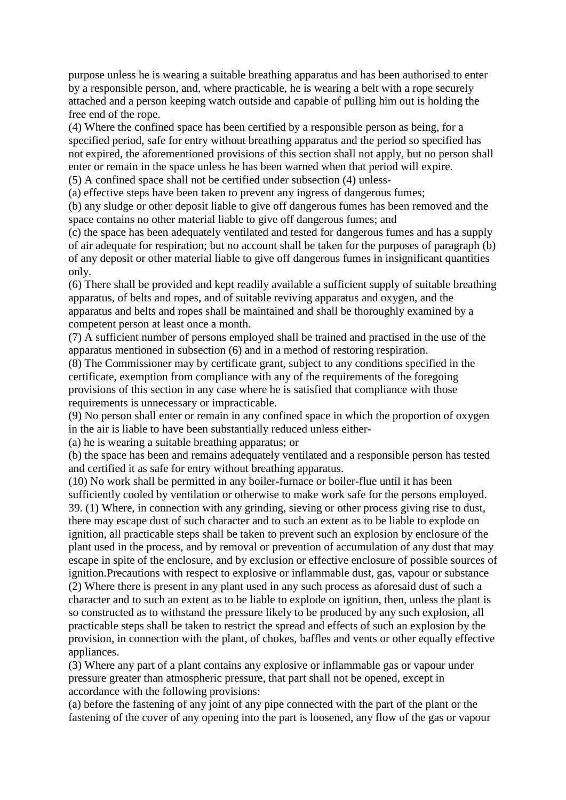purpose unless he is wearing a suitable breathing apparatus and has been authorised to enter by a responsible person, and, where practicable, he is wearing a belt with a rope securely attached and a person keeping watch outside and capable of pulling him out is holding the free end of the rope.

(4) Where the confined space has been certified by a responsible person as being, for a specified period, safe for entry without breathing apparatus and the period so specified has not expired, the aforementioned provisions of this section shall not apply, but no person shall enter or remain in the space unless he has been warned when that period will expire.

(5) A confined space shall not be certified under subsection (4) unless-

(a) effective steps have been taken to prevent any ingress of dangerous fumes;

(b) any sludge or other deposit liable to give off dangerous fumes has been removed and the space contains no other material liable to give off dangerous fumes; and

(c) the space has been adequately ventilated and tested for dangerous fumes and has a supply of air adequate for respiration; but no account shall be taken for the purposes of paragraph (b) of any deposit or other material liable to give off dangerous fumes in insignificant quantities only.

(6) There shall be provided and kept readily available a sufficient supply of suitable breathing apparatus, of belts and ropes, and of suitable reviving apparatus and oxygen, and the apparatus and belts and ropes shall be maintained and shall be thoroughly examined by a competent person at least once a month.

(7) A sufficient number of persons employed shall be trained and practised in the use of the apparatus mentioned in subsection (6) and in a method of restoring respiration.

(8) The Commissioner may by certificate grant, subject to any conditions specified in the certificate, exemption from compliance with any of the requirements of the foregoing provisions of this section in any case where he is satisfied that compliance with those requirements is unnecessary or impracticable.

(9) No person shall enter or remain in any confined space in which the proportion of oxygen in the air is liable to have been substantially reduced unless either-

(a) he is wearing a suitable breathing apparatus; or

(b) the space has been and remains adequately ventilated and a responsible person has tested and certified it as safe for entry without breathing apparatus.

(10) No work shall be permitted in any boiler-furnace or boiler-flue until it has been sufficiently cooled by ventilation or otherwise to make work safe for the persons employed. 39. (1) Where, in connection with any grinding, sieving or other process giving rise to dust, there may escape dust of such character and to such an extent as to be liable to explode on ignition, all practicable steps shall be taken to prevent such an explosion by enclosure of the plant used in the process, and by removal or prevention of accumulation of any dust that may escape in spite of the enclosure, and by exclusion or effective enclosure of possible sources of ignition.Precautions with respect to explosive or inflammable dust, gas, vapour or substance (2) Where there is present in any plant used in any such process as aforesaid dust of such a character and to such an extent as to be liable to explode on ignition, then, unless the plant is so constructed as to withstand the pressure likely to be produced by any such explosion, all practicable steps shall be taken to restrict the spread and effects of such an explosion by the provision, in connection with the plant, of chokes, baffles and vents or other equally effective appliances.

(3) Where any part of a plant contains any explosive or inflammable gas or vapour under pressure greater than atmospheric pressure, that part shall not be opened, except in accordance with the following provisions:

(a) before the fastening of any joint of any pipe connected with the part of the plant or the fastening of the cover of any opening into the part is loosened, any flow of the gas or vapour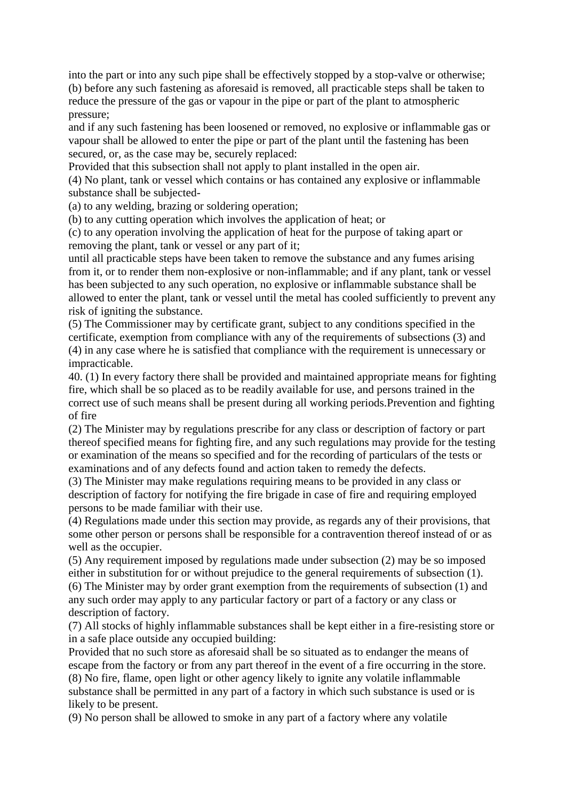into the part or into any such pipe shall be effectively stopped by a stop-valve or otherwise; (b) before any such fastening as aforesaid is removed, all practicable steps shall be taken to reduce the pressure of the gas or vapour in the pipe or part of the plant to atmospheric pressure;

and if any such fastening has been loosened or removed, no explosive or inflammable gas or vapour shall be allowed to enter the pipe or part of the plant until the fastening has been secured, or, as the case may be, securely replaced:

Provided that this subsection shall not apply to plant installed in the open air.

(4) No plant, tank or vessel which contains or has contained any explosive or inflammable substance shall be subjected-

(a) to any welding, brazing or soldering operation;

(b) to any cutting operation which involves the application of heat; or

(c) to any operation involving the application of heat for the purpose of taking apart or removing the plant, tank or vessel or any part of it;

until all practicable steps have been taken to remove the substance and any fumes arising from it, or to render them non-explosive or non-inflammable; and if any plant, tank or vessel has been subjected to any such operation, no explosive or inflammable substance shall be allowed to enter the plant, tank or vessel until the metal has cooled sufficiently to prevent any risk of igniting the substance.

(5) The Commissioner may by certificate grant, subject to any conditions specified in the certificate, exemption from compliance with any of the requirements of subsections (3) and (4) in any case where he is satisfied that compliance with the requirement is unnecessary or impracticable.

40. (1) In every factory there shall be provided and maintained appropriate means for fighting fire, which shall be so placed as to be readily available for use, and persons trained in the correct use of such means shall be present during all working periods.Prevention and fighting of fire

(2) The Minister may by regulations prescribe for any class or description of factory or part thereof specified means for fighting fire, and any such regulations may provide for the testing or examination of the means so specified and for the recording of particulars of the tests or examinations and of any defects found and action taken to remedy the defects.

(3) The Minister may make regulations requiring means to be provided in any class or description of factory for notifying the fire brigade in case of fire and requiring employed persons to be made familiar with their use.

(4) Regulations made under this section may provide, as regards any of their provisions, that some other person or persons shall be responsible for a contravention thereof instead of or as well as the occupier.

(5) Any requirement imposed by regulations made under subsection (2) may be so imposed either in substitution for or without prejudice to the general requirements of subsection (1). (6) The Minister may by order grant exemption from the requirements of subsection (1) and any such order may apply to any particular factory or part of a factory or any class or description of factory.

(7) All stocks of highly inflammable substances shall be kept either in a fire-resisting store or in a safe place outside any occupied building:

Provided that no such store as aforesaid shall be so situated as to endanger the means of escape from the factory or from any part thereof in the event of a fire occurring in the store. (8) No fire, flame, open light or other agency likely to ignite any volatile inflammable substance shall be permitted in any part of a factory in which such substance is used or is likely to be present.

(9) No person shall be allowed to smoke in any part of a factory where any volatile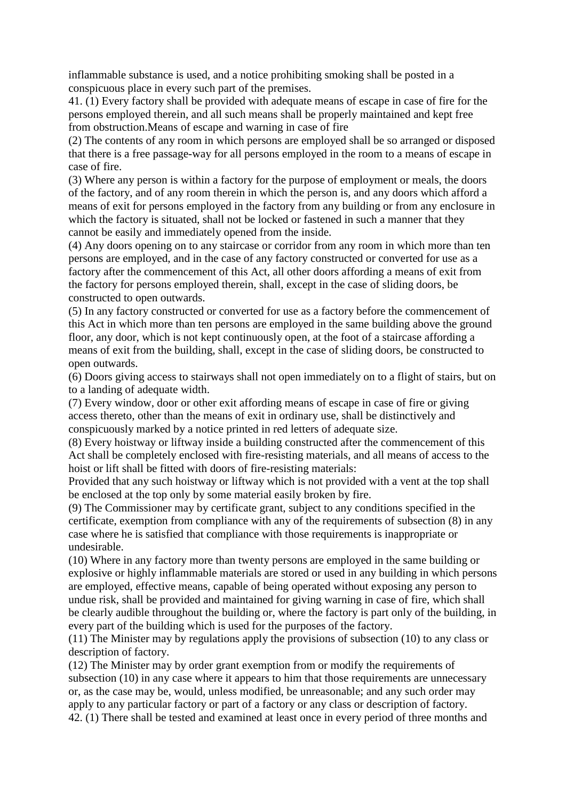inflammable substance is used, and a notice prohibiting smoking shall be posted in a conspicuous place in every such part of the premises.

41. (1) Every factory shall be provided with adequate means of escape in case of fire for the persons employed therein, and all such means shall be properly maintained and kept free from obstruction.Means of escape and warning in case of fire

(2) The contents of any room in which persons are employed shall be so arranged or disposed that there is a free passage-way for all persons employed in the room to a means of escape in case of fire.

(3) Where any person is within a factory for the purpose of employment or meals, the doors of the factory, and of any room therein in which the person is, and any doors which afford a means of exit for persons employed in the factory from any building or from any enclosure in which the factory is situated, shall not be locked or fastened in such a manner that they cannot be easily and immediately opened from the inside.

(4) Any doors opening on to any staircase or corridor from any room in which more than ten persons are employed, and in the case of any factory constructed or converted for use as a factory after the commencement of this Act, all other doors affording a means of exit from the factory for persons employed therein, shall, except in the case of sliding doors, be constructed to open outwards.

(5) In any factory constructed or converted for use as a factory before the commencement of this Act in which more than ten persons are employed in the same building above the ground floor, any door, which is not kept continuously open, at the foot of a staircase affording a means of exit from the building, shall, except in the case of sliding doors, be constructed to open outwards.

(6) Doors giving access to stairways shall not open immediately on to a flight of stairs, but on to a landing of adequate width.

(7) Every window, door or other exit affording means of escape in case of fire or giving access thereto, other than the means of exit in ordinary use, shall be distinctively and conspicuously marked by a notice printed in red letters of adequate size.

(8) Every hoistway or liftway inside a building constructed after the commencement of this Act shall be completely enclosed with fire-resisting materials, and all means of access to the hoist or lift shall be fitted with doors of fire-resisting materials:

Provided that any such hoistway or liftway which is not provided with a vent at the top shall be enclosed at the top only by some material easily broken by fire.

(9) The Commissioner may by certificate grant, subject to any conditions specified in the certificate, exemption from compliance with any of the requirements of subsection (8) in any case where he is satisfied that compliance with those requirements is inappropriate or undesirable.

(10) Where in any factory more than twenty persons are employed in the same building or explosive or highly inflammable materials are stored or used in any building in which persons are employed, effective means, capable of being operated without exposing any person to undue risk, shall be provided and maintained for giving warning in case of fire, which shall be clearly audible throughout the building or, where the factory is part only of the building, in every part of the building which is used for the purposes of the factory.

(11) The Minister may by regulations apply the provisions of subsection (10) to any class or description of factory.

(12) The Minister may by order grant exemption from or modify the requirements of subsection (10) in any case where it appears to him that those requirements are unnecessary or, as the case may be, would, unless modified, be unreasonable; and any such order may apply to any particular factory or part of a factory or any class or description of factory. 42. (1) There shall be tested and examined at least once in every period of three months and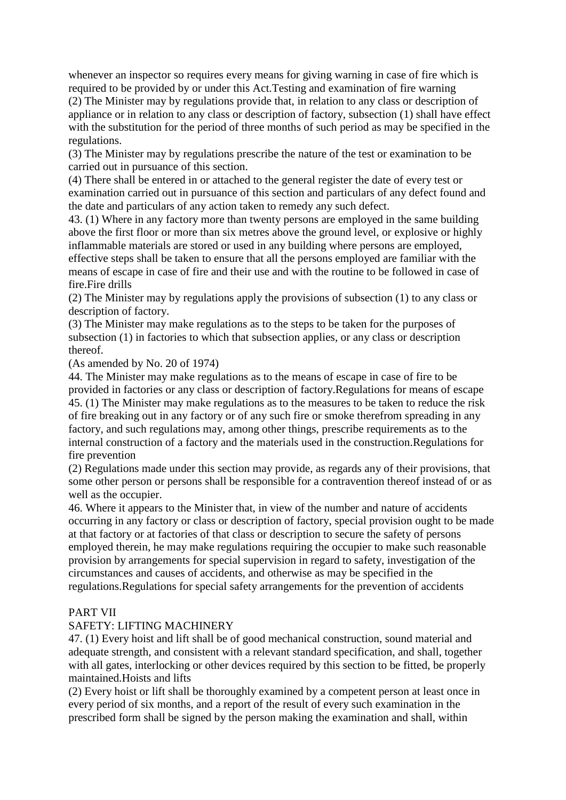whenever an inspector so requires every means for giving warning in case of fire which is required to be provided by or under this Act.Testing and examination of fire warning (2) The Minister may by regulations provide that, in relation to any class or description of appliance or in relation to any class or description of factory, subsection (1) shall have effect

with the substitution for the period of three months of such period as may be specified in the regulations.

(3) The Minister may by regulations prescribe the nature of the test or examination to be carried out in pursuance of this section.

(4) There shall be entered in or attached to the general register the date of every test or examination carried out in pursuance of this section and particulars of any defect found and the date and particulars of any action taken to remedy any such defect.

43. (1) Where in any factory more than twenty persons are employed in the same building above the first floor or more than six metres above the ground level, or explosive or highly inflammable materials are stored or used in any building where persons are employed, effective steps shall be taken to ensure that all the persons employed are familiar with the means of escape in case of fire and their use and with the routine to be followed in case of fire.Fire drills

(2) The Minister may by regulations apply the provisions of subsection (1) to any class or description of factory.

(3) The Minister may make regulations as to the steps to be taken for the purposes of subsection (1) in factories to which that subsection applies, or any class or description thereof.

(As amended by No. 20 of 1974)

44. The Minister may make regulations as to the means of escape in case of fire to be provided in factories or any class or description of factory.Regulations for means of escape 45. (1) The Minister may make regulations as to the measures to be taken to reduce the risk of fire breaking out in any factory or of any such fire or smoke therefrom spreading in any factory, and such regulations may, among other things, prescribe requirements as to the internal construction of a factory and the materials used in the construction.Regulations for fire prevention

(2) Regulations made under this section may provide, as regards any of their provisions, that some other person or persons shall be responsible for a contravention thereof instead of or as well as the occupier.

46. Where it appears to the Minister that, in view of the number and nature of accidents occurring in any factory or class or description of factory, special provision ought to be made at that factory or at factories of that class or description to secure the safety of persons employed therein, he may make regulations requiring the occupier to make such reasonable provision by arrangements for special supervision in regard to safety, investigation of the circumstances and causes of accidents, and otherwise as may be specified in the regulations.Regulations for special safety arrangements for the prevention of accidents

#### PART VII

## SAFETY: LIFTING MACHINERY

47. (1) Every hoist and lift shall be of good mechanical construction, sound material and adequate strength, and consistent with a relevant standard specification, and shall, together with all gates, interlocking or other devices required by this section to be fitted, be properly maintained.Hoists and lifts

(2) Every hoist or lift shall be thoroughly examined by a competent person at least once in every period of six months, and a report of the result of every such examination in the prescribed form shall be signed by the person making the examination and shall, within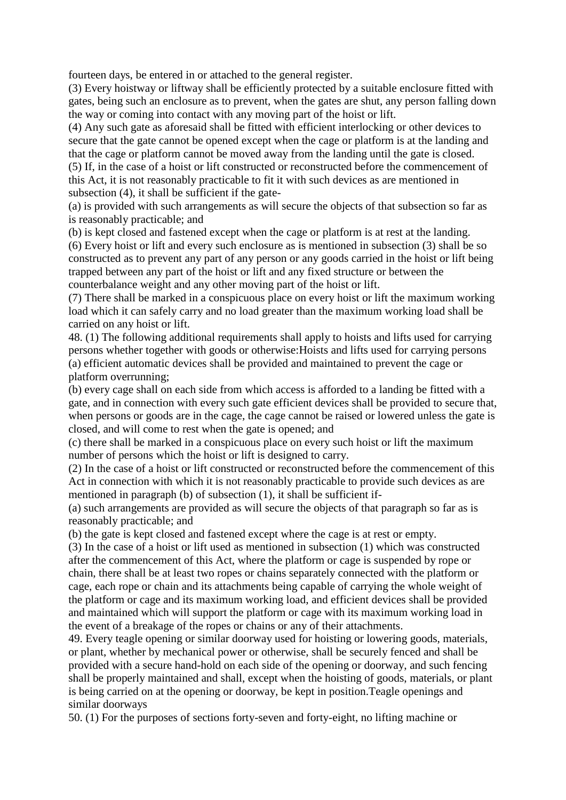fourteen days, be entered in or attached to the general register.

(3) Every hoistway or liftway shall be efficiently protected by a suitable enclosure fitted with gates, being such an enclosure as to prevent, when the gates are shut, any person falling down the way or coming into contact with any moving part of the hoist or lift.

(4) Any such gate as aforesaid shall be fitted with efficient interlocking or other devices to secure that the gate cannot be opened except when the cage or platform is at the landing and that the cage or platform cannot be moved away from the landing until the gate is closed. (5) If, in the case of a hoist or lift constructed or reconstructed before the commencement of this Act, it is not reasonably practicable to fit it with such devices as are mentioned in subsection (4), it shall be sufficient if the gate-

(a) is provided with such arrangements as will secure the objects of that subsection so far as is reasonably practicable; and

(b) is kept closed and fastened except when the cage or platform is at rest at the landing. (6) Every hoist or lift and every such enclosure as is mentioned in subsection (3) shall be so constructed as to prevent any part of any person or any goods carried in the hoist or lift being trapped between any part of the hoist or lift and any fixed structure or between the counterbalance weight and any other moving part of the hoist or lift.

(7) There shall be marked in a conspicuous place on every hoist or lift the maximum working load which it can safely carry and no load greater than the maximum working load shall be carried on any hoist or lift.

48. (1) The following additional requirements shall apply to hoists and lifts used for carrying persons whether together with goods or otherwise:Hoists and lifts used for carrying persons (a) efficient automatic devices shall be provided and maintained to prevent the cage or platform overrunning;

(b) every cage shall on each side from which access is afforded to a landing be fitted with a gate, and in connection with every such gate efficient devices shall be provided to secure that, when persons or goods are in the cage, the cage cannot be raised or lowered unless the gate is closed, and will come to rest when the gate is opened; and

(c) there shall be marked in a conspicuous place on every such hoist or lift the maximum number of persons which the hoist or lift is designed to carry.

(2) In the case of a hoist or lift constructed or reconstructed before the commencement of this Act in connection with which it is not reasonably practicable to provide such devices as are mentioned in paragraph (b) of subsection (1), it shall be sufficient if-

(a) such arrangements are provided as will secure the objects of that paragraph so far as is reasonably practicable; and

(b) the gate is kept closed and fastened except where the cage is at rest or empty.

(3) In the case of a hoist or lift used as mentioned in subsection (1) which was constructed after the commencement of this Act, where the platform or cage is suspended by rope or chain, there shall be at least two ropes or chains separately connected with the platform or cage, each rope or chain and its attachments being capable of carrying the whole weight of the platform or cage and its maximum working load, and efficient devices shall be provided and maintained which will support the platform or cage with its maximum working load in the event of a breakage of the ropes or chains or any of their attachments.

49. Every teagle opening or similar doorway used for hoisting or lowering goods, materials, or plant, whether by mechanical power or otherwise, shall be securely fenced and shall be provided with a secure hand-hold on each side of the opening or doorway, and such fencing shall be properly maintained and shall, except when the hoisting of goods, materials, or plant is being carried on at the opening or doorway, be kept in position.Teagle openings and similar doorways

50. (1) For the purposes of sections forty-seven and forty-eight, no lifting machine or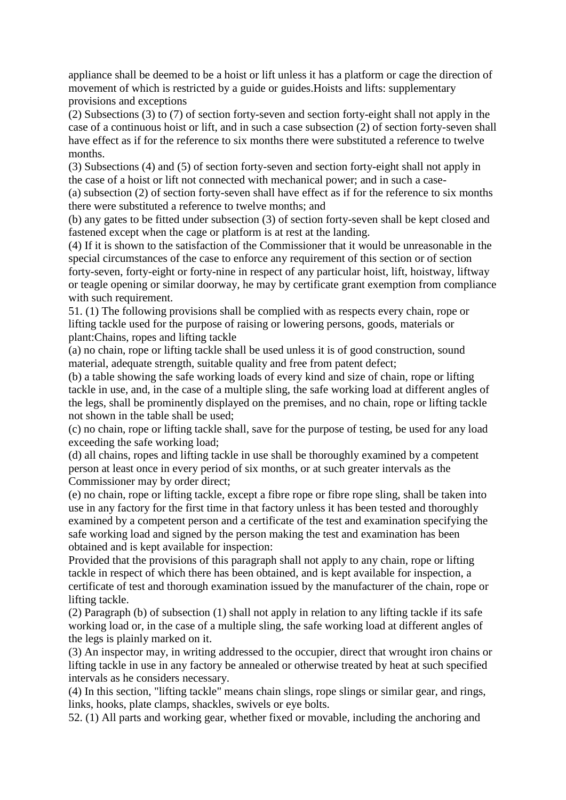appliance shall be deemed to be a hoist or lift unless it has a platform or cage the direction of movement of which is restricted by a guide or guides.Hoists and lifts: supplementary provisions and exceptions

(2) Subsections (3) to (7) of section forty-seven and section forty-eight shall not apply in the case of a continuous hoist or lift, and in such a case subsection (2) of section forty-seven shall have effect as if for the reference to six months there were substituted a reference to twelve months.

(3) Subsections (4) and (5) of section forty-seven and section forty-eight shall not apply in the case of a hoist or lift not connected with mechanical power; and in such a case-

(a) subsection (2) of section forty-seven shall have effect as if for the reference to six months there were substituted a reference to twelve months; and

(b) any gates to be fitted under subsection (3) of section forty-seven shall be kept closed and fastened except when the cage or platform is at rest at the landing.

(4) If it is shown to the satisfaction of the Commissioner that it would be unreasonable in the special circumstances of the case to enforce any requirement of this section or of section forty-seven, forty-eight or forty-nine in respect of any particular hoist, lift, hoistway, liftway

or teagle opening or similar doorway, he may by certificate grant exemption from compliance with such requirement.

51. (1) The following provisions shall be complied with as respects every chain, rope or lifting tackle used for the purpose of raising or lowering persons, goods, materials or plant:Chains, ropes and lifting tackle

(a) no chain, rope or lifting tackle shall be used unless it is of good construction, sound material, adequate strength, suitable quality and free from patent defect;

(b) a table showing the safe working loads of every kind and size of chain, rope or lifting tackle in use, and, in the case of a multiple sling, the safe working load at different angles of the legs, shall be prominently displayed on the premises, and no chain, rope or lifting tackle not shown in the table shall be used;

(c) no chain, rope or lifting tackle shall, save for the purpose of testing, be used for any load exceeding the safe working load;

(d) all chains, ropes and lifting tackle in use shall be thoroughly examined by a competent person at least once in every period of six months, or at such greater intervals as the Commissioner may by order direct;

(e) no chain, rope or lifting tackle, except a fibre rope or fibre rope sling, shall be taken into use in any factory for the first time in that factory unless it has been tested and thoroughly examined by a competent person and a certificate of the test and examination specifying the safe working load and signed by the person making the test and examination has been obtained and is kept available for inspection:

Provided that the provisions of this paragraph shall not apply to any chain, rope or lifting tackle in respect of which there has been obtained, and is kept available for inspection, a certificate of test and thorough examination issued by the manufacturer of the chain, rope or lifting tackle.

(2) Paragraph (b) of subsection (1) shall not apply in relation to any lifting tackle if its safe working load or, in the case of a multiple sling, the safe working load at different angles of the legs is plainly marked on it.

(3) An inspector may, in writing addressed to the occupier, direct that wrought iron chains or lifting tackle in use in any factory be annealed or otherwise treated by heat at such specified intervals as he considers necessary.

(4) In this section, "lifting tackle" means chain slings, rope slings or similar gear, and rings, links, hooks, plate clamps, shackles, swivels or eye bolts.

52. (1) All parts and working gear, whether fixed or movable, including the anchoring and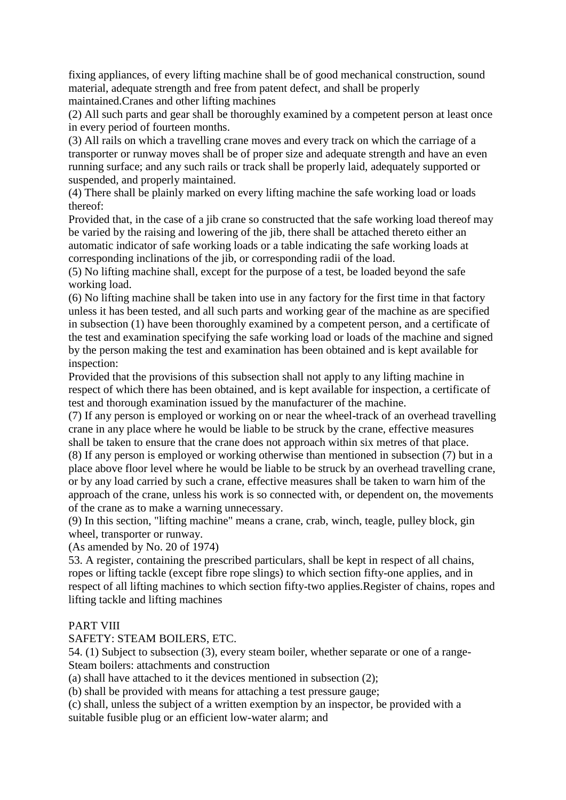fixing appliances, of every lifting machine shall be of good mechanical construction, sound material, adequate strength and free from patent defect, and shall be properly maintained.Cranes and other lifting machines

(2) All such parts and gear shall be thoroughly examined by a competent person at least once in every period of fourteen months.

(3) All rails on which a travelling crane moves and every track on which the carriage of a transporter or runway moves shall be of proper size and adequate strength and have an even running surface; and any such rails or track shall be properly laid, adequately supported or suspended, and properly maintained.

(4) There shall be plainly marked on every lifting machine the safe working load or loads thereof:

Provided that, in the case of a jib crane so constructed that the safe working load thereof may be varied by the raising and lowering of the jib, there shall be attached thereto either an automatic indicator of safe working loads or a table indicating the safe working loads at corresponding inclinations of the jib, or corresponding radii of the load.

(5) No lifting machine shall, except for the purpose of a test, be loaded beyond the safe working load.

(6) No lifting machine shall be taken into use in any factory for the first time in that factory unless it has been tested, and all such parts and working gear of the machine as are specified in subsection (1) have been thoroughly examined by a competent person, and a certificate of the test and examination specifying the safe working load or loads of the machine and signed by the person making the test and examination has been obtained and is kept available for inspection:

Provided that the provisions of this subsection shall not apply to any lifting machine in respect of which there has been obtained, and is kept available for inspection, a certificate of test and thorough examination issued by the manufacturer of the machine.

(7) If any person is employed or working on or near the wheel-track of an overhead travelling crane in any place where he would be liable to be struck by the crane, effective measures shall be taken to ensure that the crane does not approach within six metres of that place.

(8) If any person is employed or working otherwise than mentioned in subsection (7) but in a place above floor level where he would be liable to be struck by an overhead travelling crane, or by any load carried by such a crane, effective measures shall be taken to warn him of the approach of the crane, unless his work is so connected with, or dependent on, the movements of the crane as to make a warning unnecessary.

(9) In this section, "lifting machine" means a crane, crab, winch, teagle, pulley block, gin wheel, transporter or runway.

(As amended by No. 20 of 1974)

53. A register, containing the prescribed particulars, shall be kept in respect of all chains, ropes or lifting tackle (except fibre rope slings) to which section fifty-one applies, and in respect of all lifting machines to which section fifty-two applies.Register of chains, ropes and lifting tackle and lifting machines

## PART VIII

SAFETY: STEAM BOILERS, ETC.

54. (1) Subject to subsection (3), every steam boiler, whether separate or one of a range-Steam boilers: attachments and construction

(a) shall have attached to it the devices mentioned in subsection (2);

(b) shall be provided with means for attaching a test pressure gauge;

(c) shall, unless the subject of a written exemption by an inspector, be provided with a suitable fusible plug or an efficient low-water alarm; and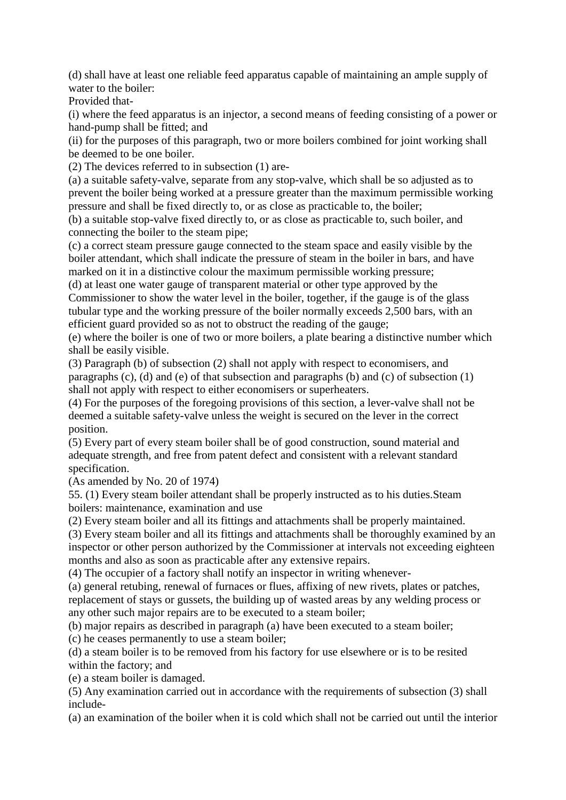(d) shall have at least one reliable feed apparatus capable of maintaining an ample supply of water to the boiler:

Provided that-

(i) where the feed apparatus is an injector, a second means of feeding consisting of a power or hand-pump shall be fitted; and

(ii) for the purposes of this paragraph, two or more boilers combined for joint working shall be deemed to be one boiler.

(2) The devices referred to in subsection (1) are-

(a) a suitable safety-valve, separate from any stop-valve, which shall be so adjusted as to prevent the boiler being worked at a pressure greater than the maximum permissible working pressure and shall be fixed directly to, or as close as practicable to, the boiler;

(b) a suitable stop-valve fixed directly to, or as close as practicable to, such boiler, and connecting the boiler to the steam pipe;

(c) a correct steam pressure gauge connected to the steam space and easily visible by the boiler attendant, which shall indicate the pressure of steam in the boiler in bars, and have marked on it in a distinctive colour the maximum permissible working pressure;

(d) at least one water gauge of transparent material or other type approved by the Commissioner to show the water level in the boiler, together, if the gauge is of the glass tubular type and the working pressure of the boiler normally exceeds 2,500 bars, with an efficient guard provided so as not to obstruct the reading of the gauge;

(e) where the boiler is one of two or more boilers, a plate bearing a distinctive number which shall be easily visible.

(3) Paragraph (b) of subsection (2) shall not apply with respect to economisers, and paragraphs (c), (d) and (e) of that subsection and paragraphs (b) and (c) of subsection (1) shall not apply with respect to either economisers or superheaters.

(4) For the purposes of the foregoing provisions of this section, a lever-valve shall not be deemed a suitable safety-valve unless the weight is secured on the lever in the correct position.

(5) Every part of every steam boiler shall be of good construction, sound material and adequate strength, and free from patent defect and consistent with a relevant standard specification.

(As amended by No. 20 of 1974)

55. (1) Every steam boiler attendant shall be properly instructed as to his duties.Steam boilers: maintenance, examination and use

(2) Every steam boiler and all its fittings and attachments shall be properly maintained.

(3) Every steam boiler and all its fittings and attachments shall be thoroughly examined by an inspector or other person authorized by the Commissioner at intervals not exceeding eighteen months and also as soon as practicable after any extensive repairs.

(4) The occupier of a factory shall notify an inspector in writing whenever-

(a) general retubing, renewal of furnaces or flues, affixing of new rivets, plates or patches, replacement of stays or gussets, the building up of wasted areas by any welding process or any other such major repairs are to be executed to a steam boiler;

(b) major repairs as described in paragraph (a) have been executed to a steam boiler;

(c) he ceases permanently to use a steam boiler;

(d) a steam boiler is to be removed from his factory for use elsewhere or is to be resited within the factory; and

(e) a steam boiler is damaged.

(5) Any examination carried out in accordance with the requirements of subsection (3) shall include-

(a) an examination of the boiler when it is cold which shall not be carried out until the interior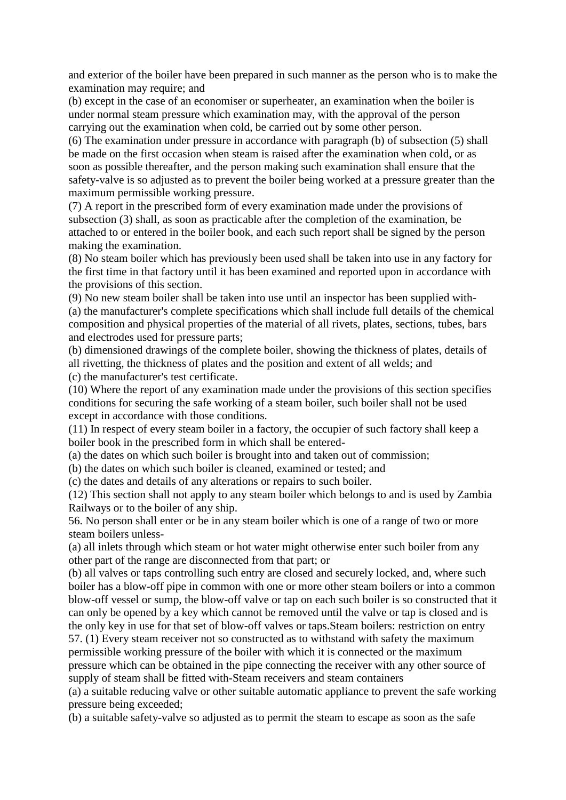and exterior of the boiler have been prepared in such manner as the person who is to make the examination may require; and

(b) except in the case of an economiser or superheater, an examination when the boiler is under normal steam pressure which examination may, with the approval of the person carrying out the examination when cold, be carried out by some other person.

(6) The examination under pressure in accordance with paragraph (b) of subsection (5) shall be made on the first occasion when steam is raised after the examination when cold, or as soon as possible thereafter, and the person making such examination shall ensure that the safety-valve is so adjusted as to prevent the boiler being worked at a pressure greater than the maximum permissible working pressure.

(7) A report in the prescribed form of every examination made under the provisions of subsection (3) shall, as soon as practicable after the completion of the examination, be attached to or entered in the boiler book, and each such report shall be signed by the person making the examination.

(8) No steam boiler which has previously been used shall be taken into use in any factory for the first time in that factory until it has been examined and reported upon in accordance with the provisions of this section.

(9) No new steam boiler shall be taken into use until an inspector has been supplied with- (a) the manufacturer's complete specifications which shall include full details of the chemical composition and physical properties of the material of all rivets, plates, sections, tubes, bars and electrodes used for pressure parts;

(b) dimensioned drawings of the complete boiler, showing the thickness of plates, details of all rivetting, the thickness of plates and the position and extent of all welds; and

(c) the manufacturer's test certificate.

(10) Where the report of any examination made under the provisions of this section specifies conditions for securing the safe working of a steam boiler, such boiler shall not be used except in accordance with those conditions.

(11) In respect of every steam boiler in a factory, the occupier of such factory shall keep a boiler book in the prescribed form in which shall be entered-

(a) the dates on which such boiler is brought into and taken out of commission;

(b) the dates on which such boiler is cleaned, examined or tested; and

(c) the dates and details of any alterations or repairs to such boiler.

(12) This section shall not apply to any steam boiler which belongs to and is used by Zambia Railways or to the boiler of any ship.

56. No person shall enter or be in any steam boiler which is one of a range of two or more steam boilers unless-

(a) all inlets through which steam or hot water might otherwise enter such boiler from any other part of the range are disconnected from that part; or

(b) all valves or taps controlling such entry are closed and securely locked, and, where such boiler has a blow-off pipe in common with one or more other steam boilers or into a common blow-off vessel or sump, the blow-off valve or tap on each such boiler is so constructed that it can only be opened by a key which cannot be removed until the valve or tap is closed and is the only key in use for that set of blow-off valves or taps.Steam boilers: restriction on entry

57. (1) Every steam receiver not so constructed as to withstand with safety the maximum permissible working pressure of the boiler with which it is connected or the maximum pressure which can be obtained in the pipe connecting the receiver with any other source of supply of steam shall be fitted with-Steam receivers and steam containers

(a) a suitable reducing valve or other suitable automatic appliance to prevent the safe working pressure being exceeded;

(b) a suitable safety-valve so adjusted as to permit the steam to escape as soon as the safe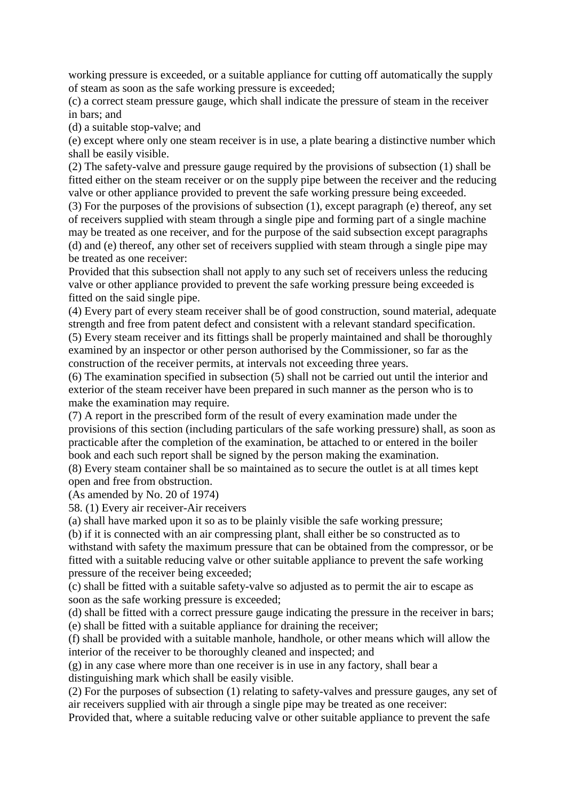working pressure is exceeded, or a suitable appliance for cutting off automatically the supply of steam as soon as the safe working pressure is exceeded;

(c) a correct steam pressure gauge, which shall indicate the pressure of steam in the receiver in bars; and

(d) a suitable stop-valve; and

(e) except where only one steam receiver is in use, a plate bearing a distinctive number which shall be easily visible.

(2) The safety-valve and pressure gauge required by the provisions of subsection (1) shall be fitted either on the steam receiver or on the supply pipe between the receiver and the reducing valve or other appliance provided to prevent the safe working pressure being exceeded.

(3) For the purposes of the provisions of subsection (1), except paragraph (e) thereof, any set of receivers supplied with steam through a single pipe and forming part of a single machine may be treated as one receiver, and for the purpose of the said subsection except paragraphs (d) and (e) thereof, any other set of receivers supplied with steam through a single pipe may be treated as one receiver:

Provided that this subsection shall not apply to any such set of receivers unless the reducing valve or other appliance provided to prevent the safe working pressure being exceeded is fitted on the said single pipe.

(4) Every part of every steam receiver shall be of good construction, sound material, adequate strength and free from patent defect and consistent with a relevant standard specification. (5) Every steam receiver and its fittings shall be properly maintained and shall be thoroughly examined by an inspector or other person authorised by the Commissioner, so far as the construction of the receiver permits, at intervals not exceeding three years.

(6) The examination specified in subsection (5) shall not be carried out until the interior and exterior of the steam receiver have been prepared in such manner as the person who is to make the examination may require.

(7) A report in the prescribed form of the result of every examination made under the provisions of this section (including particulars of the safe working pressure) shall, as soon as practicable after the completion of the examination, be attached to or entered in the boiler book and each such report shall be signed by the person making the examination.

(8) Every steam container shall be so maintained as to secure the outlet is at all times kept open and free from obstruction.

(As amended by No. 20 of 1974)

58. (1) Every air receiver-Air receivers

(a) shall have marked upon it so as to be plainly visible the safe working pressure;

(b) if it is connected with an air compressing plant, shall either be so constructed as to withstand with safety the maximum pressure that can be obtained from the compressor, or be fitted with a suitable reducing valve or other suitable appliance to prevent the safe working pressure of the receiver being exceeded;

(c) shall be fitted with a suitable safety-valve so adjusted as to permit the air to escape as soon as the safe working pressure is exceeded;

(d) shall be fitted with a correct pressure gauge indicating the pressure in the receiver in bars; (e) shall be fitted with a suitable appliance for draining the receiver;

(f) shall be provided with a suitable manhole, handhole, or other means which will allow the interior of the receiver to be thoroughly cleaned and inspected; and

(g) in any case where more than one receiver is in use in any factory, shall bear a distinguishing mark which shall be easily visible.

(2) For the purposes of subsection (1) relating to safety-valves and pressure gauges, any set of air receivers supplied with air through a single pipe may be treated as one receiver:

Provided that, where a suitable reducing valve or other suitable appliance to prevent the safe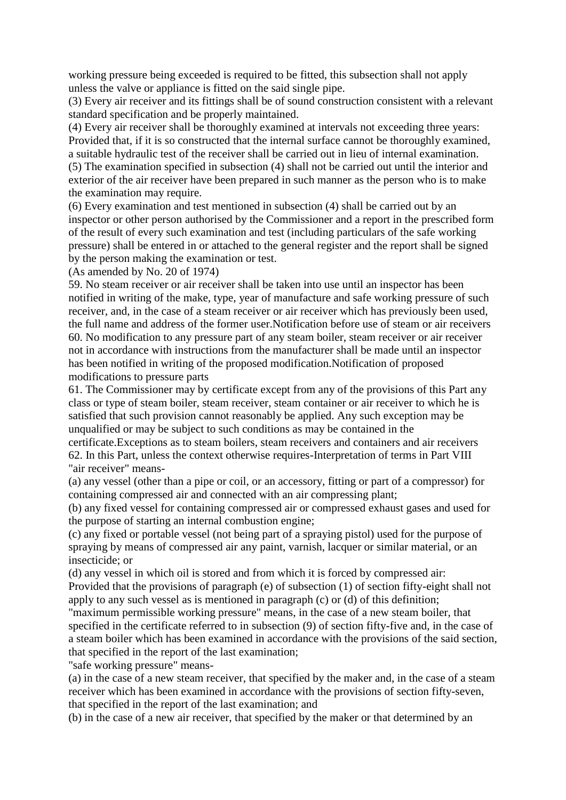working pressure being exceeded is required to be fitted, this subsection shall not apply unless the valve or appliance is fitted on the said single pipe.

(3) Every air receiver and its fittings shall be of sound construction consistent with a relevant standard specification and be properly maintained.

(4) Every air receiver shall be thoroughly examined at intervals not exceeding three years: Provided that, if it is so constructed that the internal surface cannot be thoroughly examined, a suitable hydraulic test of the receiver shall be carried out in lieu of internal examination. (5) The examination specified in subsection (4) shall not be carried out until the interior and exterior of the air receiver have been prepared in such manner as the person who is to make the examination may require.

(6) Every examination and test mentioned in subsection (4) shall be carried out by an inspector or other person authorised by the Commissioner and a report in the prescribed form of the result of every such examination and test (including particulars of the safe working pressure) shall be entered in or attached to the general register and the report shall be signed by the person making the examination or test.

(As amended by No. 20 of 1974)

59. No steam receiver or air receiver shall be taken into use until an inspector has been notified in writing of the make, type, year of manufacture and safe working pressure of such receiver, and, in the case of a steam receiver or air receiver which has previously been used, the full name and address of the former user.Notification before use of steam or air receivers 60. No modification to any pressure part of any steam boiler, steam receiver or air receiver not in accordance with instructions from the manufacturer shall be made until an inspector has been notified in writing of the proposed modification.Notification of proposed modifications to pressure parts

61. The Commissioner may by certificate except from any of the provisions of this Part any class or type of steam boiler, steam receiver, steam container or air receiver to which he is satisfied that such provision cannot reasonably be applied. Any such exception may be unqualified or may be subject to such conditions as may be contained in the

certificate.Exceptions as to steam boilers, steam receivers and containers and air receivers 62. In this Part, unless the context otherwise requires-Interpretation of terms in Part VIII "air receiver" means-

(a) any vessel (other than a pipe or coil, or an accessory, fitting or part of a compressor) for containing compressed air and connected with an air compressing plant;

(b) any fixed vessel for containing compressed air or compressed exhaust gases and used for the purpose of starting an internal combustion engine;

(c) any fixed or portable vessel (not being part of a spraying pistol) used for the purpose of spraying by means of compressed air any paint, varnish, lacquer or similar material, or an insecticide; or

(d) any vessel in which oil is stored and from which it is forced by compressed air: Provided that the provisions of paragraph (e) of subsection (1) of section fifty-eight shall not apply to any such vessel as is mentioned in paragraph (c) or (d) of this definition;

"maximum permissible working pressure" means, in the case of a new steam boiler, that specified in the certificate referred to in subsection (9) of section fifty-five and, in the case of a steam boiler which has been examined in accordance with the provisions of the said section, that specified in the report of the last examination;

"safe working pressure" means-

(a) in the case of a new steam receiver, that specified by the maker and, in the case of a steam receiver which has been examined in accordance with the provisions of section fifty-seven, that specified in the report of the last examination; and

(b) in the case of a new air receiver, that specified by the maker or that determined by an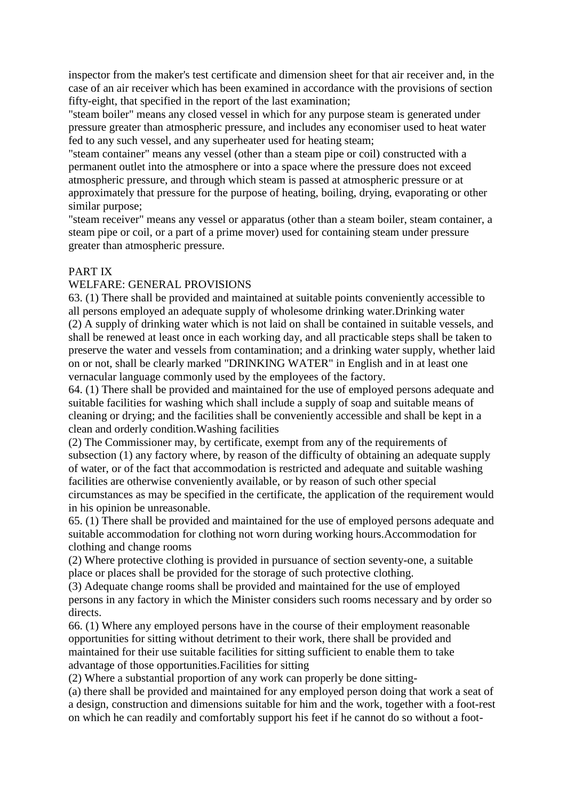inspector from the maker's test certificate and dimension sheet for that air receiver and, in the case of an air receiver which has been examined in accordance with the provisions of section fifty-eight, that specified in the report of the last examination;

"steam boiler" means any closed vessel in which for any purpose steam is generated under pressure greater than atmospheric pressure, and includes any economiser used to heat water fed to any such vessel, and any superheater used for heating steam;

"steam container" means any vessel (other than a steam pipe or coil) constructed with a permanent outlet into the atmosphere or into a space where the pressure does not exceed atmospheric pressure, and through which steam is passed at atmospheric pressure or at approximately that pressure for the purpose of heating, boiling, drying, evaporating or other similar purpose;

"steam receiver" means any vessel or apparatus (other than a steam boiler, steam container, a steam pipe or coil, or a part of a prime mover) used for containing steam under pressure greater than atmospheric pressure.

#### PART IX

## WELFARE: GENERAL PROVISIONS

63. (1) There shall be provided and maintained at suitable points conveniently accessible to all persons employed an adequate supply of wholesome drinking water.Drinking water (2) A supply of drinking water which is not laid on shall be contained in suitable vessels, and shall be renewed at least once in each working day, and all practicable steps shall be taken to preserve the water and vessels from contamination; and a drinking water supply, whether laid on or not, shall be clearly marked "DRINKING WATER" in English and in at least one vernacular language commonly used by the employees of the factory.

64. (1) There shall be provided and maintained for the use of employed persons adequate and suitable facilities for washing which shall include a supply of soap and suitable means of cleaning or drying; and the facilities shall be conveniently accessible and shall be kept in a clean and orderly condition.Washing facilities

(2) The Commissioner may, by certificate, exempt from any of the requirements of subsection (1) any factory where, by reason of the difficulty of obtaining an adequate supply of water, or of the fact that accommodation is restricted and adequate and suitable washing facilities are otherwise conveniently available, or by reason of such other special circumstances as may be specified in the certificate, the application of the requirement would in his opinion be unreasonable.

65. (1) There shall be provided and maintained for the use of employed persons adequate and suitable accommodation for clothing not worn during working hours.Accommodation for clothing and change rooms

(2) Where protective clothing is provided in pursuance of section seventy-one, a suitable place or places shall be provided for the storage of such protective clothing.

(3) Adequate change rooms shall be provided and maintained for the use of employed persons in any factory in which the Minister considers such rooms necessary and by order so directs.

66. (1) Where any employed persons have in the course of their employment reasonable opportunities for sitting without detriment to their work, there shall be provided and maintained for their use suitable facilities for sitting sufficient to enable them to take advantage of those opportunities.Facilities for sitting

(2) Where a substantial proportion of any work can properly be done sitting-

(a) there shall be provided and maintained for any employed person doing that work a seat of a design, construction and dimensions suitable for him and the work, together with a foot-rest on which he can readily and comfortably support his feet if he cannot do so without a foot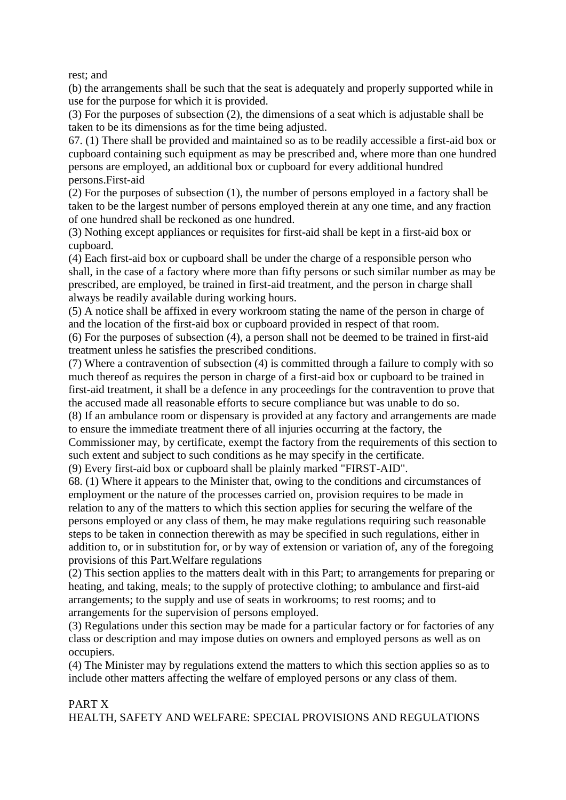rest; and

(b) the arrangements shall be such that the seat is adequately and properly supported while in use for the purpose for which it is provided.

(3) For the purposes of subsection (2), the dimensions of a seat which is adjustable shall be taken to be its dimensions as for the time being adjusted.

67. (1) There shall be provided and maintained so as to be readily accessible a first-aid box or cupboard containing such equipment as may be prescribed and, where more than one hundred persons are employed, an additional box or cupboard for every additional hundred persons.First-aid

(2) For the purposes of subsection (1), the number of persons employed in a factory shall be taken to be the largest number of persons employed therein at any one time, and any fraction of one hundred shall be reckoned as one hundred.

(3) Nothing except appliances or requisites for first-aid shall be kept in a first-aid box or cupboard.

(4) Each first-aid box or cupboard shall be under the charge of a responsible person who shall, in the case of a factory where more than fifty persons or such similar number as may be prescribed, are employed, be trained in first-aid treatment, and the person in charge shall always be readily available during working hours.

(5) A notice shall be affixed in every workroom stating the name of the person in charge of and the location of the first-aid box or cupboard provided in respect of that room.

(6) For the purposes of subsection (4), a person shall not be deemed to be trained in first-aid treatment unless he satisfies the prescribed conditions.

(7) Where a contravention of subsection (4) is committed through a failure to comply with so much thereof as requires the person in charge of a first-aid box or cupboard to be trained in first-aid treatment, it shall be a defence in any proceedings for the contravention to prove that the accused made all reasonable efforts to secure compliance but was unable to do so.

(8) If an ambulance room or dispensary is provided at any factory and arrangements are made to ensure the immediate treatment there of all injuries occurring at the factory, the

Commissioner may, by certificate, exempt the factory from the requirements of this section to such extent and subject to such conditions as he may specify in the certificate.

(9) Every first-aid box or cupboard shall be plainly marked "FIRST-AID".

68. (1) Where it appears to the Minister that, owing to the conditions and circumstances of employment or the nature of the processes carried on, provision requires to be made in relation to any of the matters to which this section applies for securing the welfare of the persons employed or any class of them, he may make regulations requiring such reasonable steps to be taken in connection therewith as may be specified in such regulations, either in addition to, or in substitution for, or by way of extension or variation of, any of the foregoing provisions of this Part.Welfare regulations

(2) This section applies to the matters dealt with in this Part; to arrangements for preparing or heating, and taking, meals; to the supply of protective clothing; to ambulance and first-aid arrangements; to the supply and use of seats in workrooms; to rest rooms; and to arrangements for the supervision of persons employed.

(3) Regulations under this section may be made for a particular factory or for factories of any class or description and may impose duties on owners and employed persons as well as on occupiers.

(4) The Minister may by regulations extend the matters to which this section applies so as to include other matters affecting the welfare of employed persons or any class of them.

## PART X

HEALTH, SAFETY AND WELFARE: SPECIAL PROVISIONS AND REGULATIONS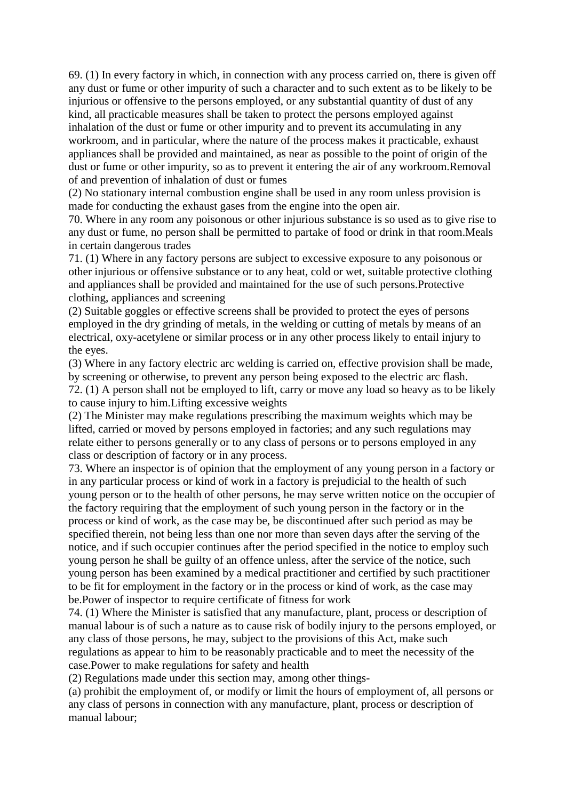69. (1) In every factory in which, in connection with any process carried on, there is given off any dust or fume or other impurity of such a character and to such extent as to be likely to be injurious or offensive to the persons employed, or any substantial quantity of dust of any kind, all practicable measures shall be taken to protect the persons employed against inhalation of the dust or fume or other impurity and to prevent its accumulating in any workroom, and in particular, where the nature of the process makes it practicable, exhaust appliances shall be provided and maintained, as near as possible to the point of origin of the dust or fume or other impurity, so as to prevent it entering the air of any workroom.Removal of and prevention of inhalation of dust or fumes

(2) No stationary internal combustion engine shall be used in any room unless provision is made for conducting the exhaust gases from the engine into the open air.

70. Where in any room any poisonous or other injurious substance is so used as to give rise to any dust or fume, no person shall be permitted to partake of food or drink in that room.Meals in certain dangerous trades

71. (1) Where in any factory persons are subject to excessive exposure to any poisonous or other injurious or offensive substance or to any heat, cold or wet, suitable protective clothing and appliances shall be provided and maintained for the use of such persons.Protective clothing, appliances and screening

(2) Suitable goggles or effective screens shall be provided to protect the eyes of persons employed in the dry grinding of metals, in the welding or cutting of metals by means of an electrical, oxy-acetylene or similar process or in any other process likely to entail injury to the eyes.

(3) Where in any factory electric arc welding is carried on, effective provision shall be made, by screening or otherwise, to prevent any person being exposed to the electric arc flash. 72. (1) A person shall not be employed to lift, carry or move any load so heavy as to be likely to cause injury to him.Lifting excessive weights

(2) The Minister may make regulations prescribing the maximum weights which may be lifted, carried or moved by persons employed in factories; and any such regulations may relate either to persons generally or to any class of persons or to persons employed in any class or description of factory or in any process.

73. Where an inspector is of opinion that the employment of any young person in a factory or in any particular process or kind of work in a factory is prejudicial to the health of such young person or to the health of other persons, he may serve written notice on the occupier of the factory requiring that the employment of such young person in the factory or in the process or kind of work, as the case may be, be discontinued after such period as may be specified therein, not being less than one nor more than seven days after the serving of the notice, and if such occupier continues after the period specified in the notice to employ such young person he shall be guilty of an offence unless, after the service of the notice, such young person has been examined by a medical practitioner and certified by such practitioner to be fit for employment in the factory or in the process or kind of work, as the case may be.Power of inspector to require certificate of fitness for work

74. (1) Where the Minister is satisfied that any manufacture, plant, process or description of manual labour is of such a nature as to cause risk of bodily injury to the persons employed, or any class of those persons, he may, subject to the provisions of this Act, make such regulations as appear to him to be reasonably practicable and to meet the necessity of the case.Power to make regulations for safety and health

(2) Regulations made under this section may, among other things-

(a) prohibit the employment of, or modify or limit the hours of employment of, all persons or any class of persons in connection with any manufacture, plant, process or description of manual labour;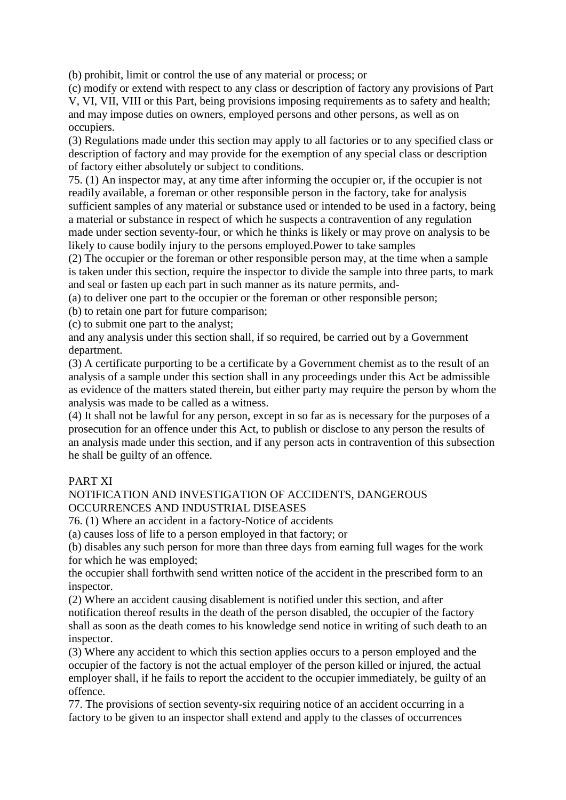(b) prohibit, limit or control the use of any material or process; or

(c) modify or extend with respect to any class or description of factory any provisions of Part V, VI, VII, VIII or this Part, being provisions imposing requirements as to safety and health; and may impose duties on owners, employed persons and other persons, as well as on occupiers.

(3) Regulations made under this section may apply to all factories or to any specified class or description of factory and may provide for the exemption of any special class or description of factory either absolutely or subject to conditions.

75. (1) An inspector may, at any time after informing the occupier or, if the occupier is not readily available, a foreman or other responsible person in the factory, take for analysis sufficient samples of any material or substance used or intended to be used in a factory, being a material or substance in respect of which he suspects a contravention of any regulation made under section seventy-four, or which he thinks is likely or may prove on analysis to be likely to cause bodily injury to the persons employed.Power to take samples

(2) The occupier or the foreman or other responsible person may, at the time when a sample is taken under this section, require the inspector to divide the sample into three parts, to mark and seal or fasten up each part in such manner as its nature permits, and-

(a) to deliver one part to the occupier or the foreman or other responsible person;

(b) to retain one part for future comparison;

(c) to submit one part to the analyst;

and any analysis under this section shall, if so required, be carried out by a Government department.

(3) A certificate purporting to be a certificate by a Government chemist as to the result of an analysis of a sample under this section shall in any proceedings under this Act be admissible as evidence of the matters stated therein, but either party may require the person by whom the analysis was made to be called as a witness.

(4) It shall not be lawful for any person, except in so far as is necessary for the purposes of a prosecution for an offence under this Act, to publish or disclose to any person the results of an analysis made under this section, and if any person acts in contravention of this subsection he shall be guilty of an offence.

## PART XI

#### NOTIFICATION AND INVESTIGATION OF ACCIDENTS, DANGEROUS OCCURRENCES AND INDUSTRIAL DISEASES

76. (1) Where an accident in a factory-Notice of accidents

(a) causes loss of life to a person employed in that factory; or

(b) disables any such person for more than three days from earning full wages for the work for which he was employed;

the occupier shall forthwith send written notice of the accident in the prescribed form to an inspector.

(2) Where an accident causing disablement is notified under this section, and after notification thereof results in the death of the person disabled, the occupier of the factory shall as soon as the death comes to his knowledge send notice in writing of such death to an inspector.

(3) Where any accident to which this section applies occurs to a person employed and the occupier of the factory is not the actual employer of the person killed or injured, the actual employer shall, if he fails to report the accident to the occupier immediately, be guilty of an offence.

77. The provisions of section seventy-six requiring notice of an accident occurring in a factory to be given to an inspector shall extend and apply to the classes of occurrences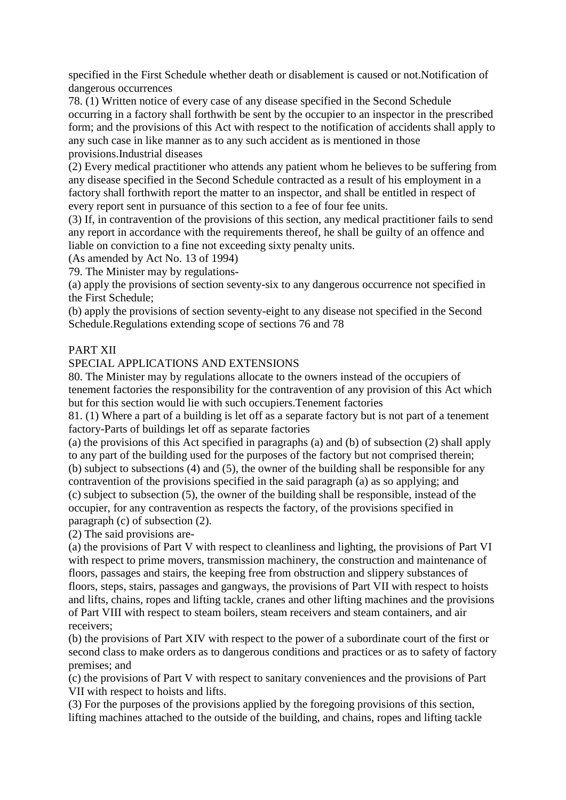specified in the First Schedule whether death or disablement is caused or not.Notification of dangerous occurrences

78. (1) Written notice of every case of any disease specified in the Second Schedule occurring in a factory shall forthwith be sent by the occupier to an inspector in the prescribed form; and the provisions of this Act with respect to the notification of accidents shall apply to any such case in like manner as to any such accident as is mentioned in those provisions.Industrial diseases

(2) Every medical practitioner who attends any patient whom he believes to be suffering from any disease specified in the Second Schedule contracted as a result of his employment in a factory shall forthwith report the matter to an inspector, and shall be entitled in respect of every report sent in pursuance of this section to a fee of four fee units.

(3) If, in contravention of the provisions of this section, any medical practitioner fails to send any report in accordance with the requirements thereof, he shall be guilty of an offence and liable on conviction to a fine not exceeding sixty penalty units.

(As amended by Act No. 13 of 1994)

79. The Minister may by regulations-

(a) apply the provisions of section seventy-six to any dangerous occurrence not specified in the First Schedule;

(b) apply the provisions of section seventy-eight to any disease not specified in the Second Schedule.Regulations extending scope of sections 76 and 78

## PART XII

SPECIAL APPLICATIONS AND EXTENSIONS

80. The Minister may by regulations allocate to the owners instead of the occupiers of tenement factories the responsibility for the contravention of any provision of this Act which but for this section would lie with such occupiers.Tenement factories

81. (1) Where a part of a building is let off as a separate factory but is not part of a tenement factory-Parts of buildings let off as separate factories

(a) the provisions of this Act specified in paragraphs (a) and (b) of subsection (2) shall apply to any part of the building used for the purposes of the factory but not comprised therein; (b) subject to subsections (4) and (5), the owner of the building shall be responsible for any

contravention of the provisions specified in the said paragraph (a) as so applying; and (c) subject to subsection (5), the owner of the building shall be responsible, instead of the occupier, for any contravention as respects the factory, of the provisions specified in paragraph (c) of subsection (2).

(2) The said provisions are-

(a) the provisions of Part V with respect to cleanliness and lighting, the provisions of Part VI with respect to prime movers, transmission machinery, the construction and maintenance of floors, passages and stairs, the keeping free from obstruction and slippery substances of floors, steps, stairs, passages and gangways, the provisions of Part VII with respect to hoists and lifts, chains, ropes and lifting tackle, cranes and other lifting machines and the provisions of Part VIII with respect to steam boilers, steam receivers and steam containers, and air receivers;

(b) the provisions of Part XIV with respect to the power of a subordinate court of the first or second class to make orders as to dangerous conditions and practices or as to safety of factory premises; and

(c) the provisions of Part V with respect to sanitary conveniences and the provisions of Part VII with respect to hoists and lifts.

(3) For the purposes of the provisions applied by the foregoing provisions of this section, lifting machines attached to the outside of the building, and chains, ropes and lifting tackle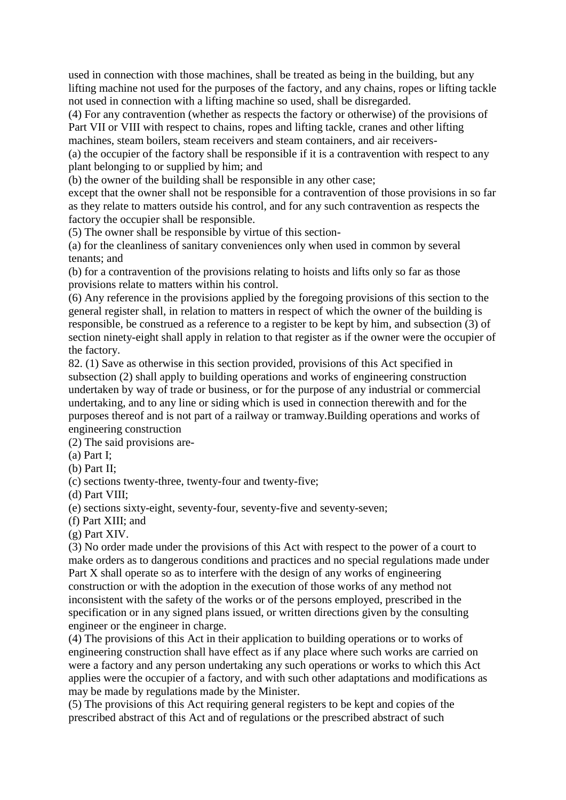used in connection with those machines, shall be treated as being in the building, but any lifting machine not used for the purposes of the factory, and any chains, ropes or lifting tackle not used in connection with a lifting machine so used, shall be disregarded.

(4) For any contravention (whether as respects the factory or otherwise) of the provisions of Part VII or VIII with respect to chains, ropes and lifting tackle, cranes and other lifting machines, steam boilers, steam receivers and steam containers, and air receivers-

(a) the occupier of the factory shall be responsible if it is a contravention with respect to any plant belonging to or supplied by him; and

(b) the owner of the building shall be responsible in any other case;

except that the owner shall not be responsible for a contravention of those provisions in so far as they relate to matters outside his control, and for any such contravention as respects the factory the occupier shall be responsible.

(5) The owner shall be responsible by virtue of this section-

(a) for the cleanliness of sanitary conveniences only when used in common by several tenants; and

(b) for a contravention of the provisions relating to hoists and lifts only so far as those provisions relate to matters within his control.

(6) Any reference in the provisions applied by the foregoing provisions of this section to the general register shall, in relation to matters in respect of which the owner of the building is responsible, be construed as a reference to a register to be kept by him, and subsection (3) of section ninety-eight shall apply in relation to that register as if the owner were the occupier of the factory.

82. (1) Save as otherwise in this section provided, provisions of this Act specified in subsection (2) shall apply to building operations and works of engineering construction undertaken by way of trade or business, or for the purpose of any industrial or commercial undertaking, and to any line or siding which is used in connection therewith and for the purposes thereof and is not part of a railway or tramway.Building operations and works of engineering construction

(2) The said provisions are-

(a) Part I;

(b) Part II;

(c) sections twenty-three, twenty-four and twenty-five;

(d) Part VIII;

(e) sections sixty-eight, seventy-four, seventy-five and seventy-seven;

(f) Part XIII; and

(g) Part XIV.

(3) No order made under the provisions of this Act with respect to the power of a court to make orders as to dangerous conditions and practices and no special regulations made under Part X shall operate so as to interfere with the design of any works of engineering construction or with the adoption in the execution of those works of any method not inconsistent with the safety of the works or of the persons employed, prescribed in the specification or in any signed plans issued, or written directions given by the consulting engineer or the engineer in charge.

(4) The provisions of this Act in their application to building operations or to works of engineering construction shall have effect as if any place where such works are carried on were a factory and any person undertaking any such operations or works to which this Act applies were the occupier of a factory, and with such other adaptations and modifications as may be made by regulations made by the Minister.

(5) The provisions of this Act requiring general registers to be kept and copies of the prescribed abstract of this Act and of regulations or the prescribed abstract of such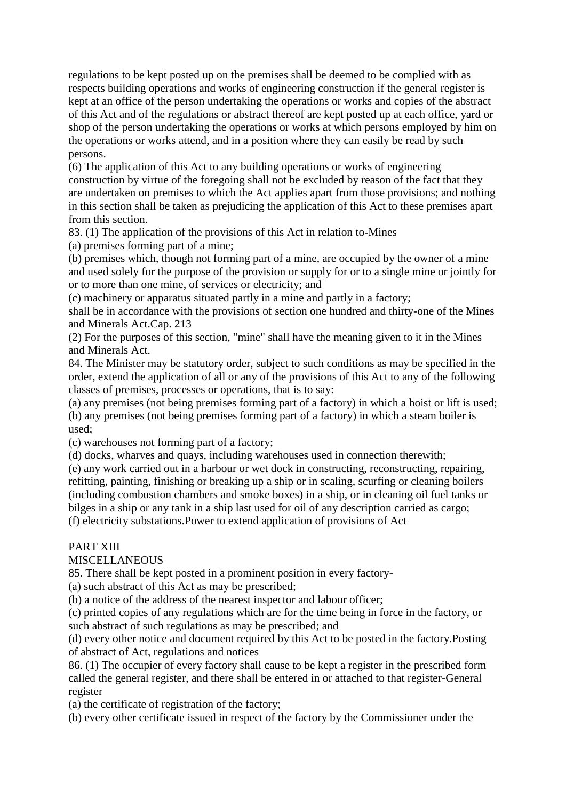regulations to be kept posted up on the premises shall be deemed to be complied with as respects building operations and works of engineering construction if the general register is kept at an office of the person undertaking the operations or works and copies of the abstract of this Act and of the regulations or abstract thereof are kept posted up at each office, yard or shop of the person undertaking the operations or works at which persons employed by him on the operations or works attend, and in a position where they can easily be read by such persons.

(6) The application of this Act to any building operations or works of engineering construction by virtue of the foregoing shall not be excluded by reason of the fact that they are undertaken on premises to which the Act applies apart from those provisions; and nothing in this section shall be taken as prejudicing the application of this Act to these premises apart from this section.

83. (1) The application of the provisions of this Act in relation to-Mines

(a) premises forming part of a mine;

(b) premises which, though not forming part of a mine, are occupied by the owner of a mine and used solely for the purpose of the provision or supply for or to a single mine or jointly for or to more than one mine, of services or electricity; and

(c) machinery or apparatus situated partly in a mine and partly in a factory;

shall be in accordance with the provisions of section one hundred and thirty-one of the Mines and Minerals Act.Cap. 213

(2) For the purposes of this section, "mine" shall have the meaning given to it in the Mines and Minerals Act.

84. The Minister may be statutory order, subject to such conditions as may be specified in the order, extend the application of all or any of the provisions of this Act to any of the following classes of premises, processes or operations, that is to say:

(a) any premises (not being premises forming part of a factory) in which a hoist or lift is used; (b) any premises (not being premises forming part of a factory) in which a steam boiler is used;

(c) warehouses not forming part of a factory;

(d) docks, wharves and quays, including warehouses used in connection therewith;

(e) any work carried out in a harbour or wet dock in constructing, reconstructing, repairing, refitting, painting, finishing or breaking up a ship or in scaling, scurfing or cleaning boilers (including combustion chambers and smoke boxes) in a ship, or in cleaning oil fuel tanks or bilges in a ship or any tank in a ship last used for oil of any description carried as cargo; (f) electricity substations.Power to extend application of provisions of Act

## PART XIII

## **MISCELLANEOUS**

85. There shall be kept posted in a prominent position in every factory-

(a) such abstract of this Act as may be prescribed;

(b) a notice of the address of the nearest inspector and labour officer;

(c) printed copies of any regulations which are for the time being in force in the factory, or such abstract of such regulations as may be prescribed; and

(d) every other notice and document required by this Act to be posted in the factory.Posting of abstract of Act, regulations and notices

86. (1) The occupier of every factory shall cause to be kept a register in the prescribed form called the general register, and there shall be entered in or attached to that register-General register

(a) the certificate of registration of the factory;

(b) every other certificate issued in respect of the factory by the Commissioner under the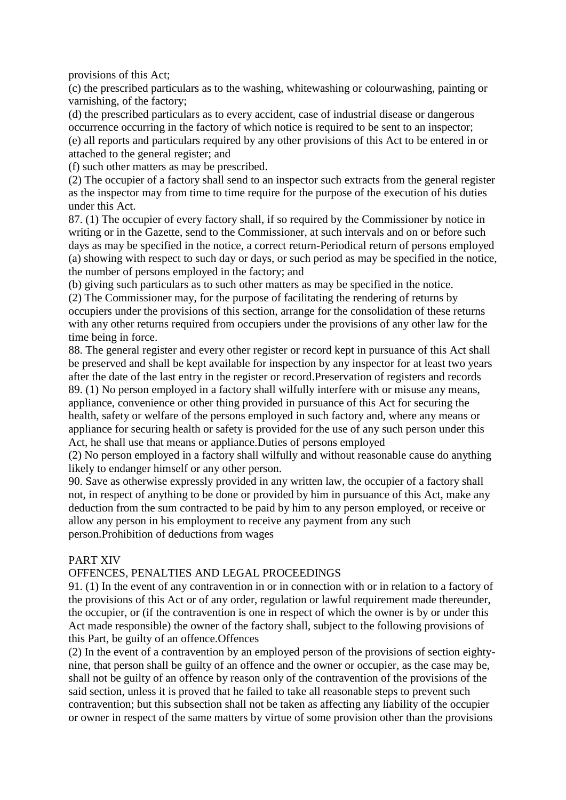provisions of this Act;

(c) the prescribed particulars as to the washing, whitewashing or colourwashing, painting or varnishing, of the factory;

(d) the prescribed particulars as to every accident, case of industrial disease or dangerous occurrence occurring in the factory of which notice is required to be sent to an inspector; (e) all reports and particulars required by any other provisions of this Act to be entered in or attached to the general register; and

(f) such other matters as may be prescribed.

(2) The occupier of a factory shall send to an inspector such extracts from the general register as the inspector may from time to time require for the purpose of the execution of his duties under this Act.

87. (1) The occupier of every factory shall, if so required by the Commissioner by notice in writing or in the Gazette, send to the Commissioner, at such intervals and on or before such days as may be specified in the notice, a correct return-Periodical return of persons employed (a) showing with respect to such day or days, or such period as may be specified in the notice, the number of persons employed in the factory; and

(b) giving such particulars as to such other matters as may be specified in the notice.

(2) The Commissioner may, for the purpose of facilitating the rendering of returns by occupiers under the provisions of this section, arrange for the consolidation of these returns with any other returns required from occupiers under the provisions of any other law for the time being in force.

88. The general register and every other register or record kept in pursuance of this Act shall be preserved and shall be kept available for inspection by any inspector for at least two years after the date of the last entry in the register or record.Preservation of registers and records 89. (1) No person employed in a factory shall wilfully interfere with or misuse any means, appliance, convenience or other thing provided in pursuance of this Act for securing the health, safety or welfare of the persons employed in such factory and, where any means or appliance for securing health or safety is provided for the use of any such person under this Act, he shall use that means or appliance.Duties of persons employed

(2) No person employed in a factory shall wilfully and without reasonable cause do anything likely to endanger himself or any other person.

90. Save as otherwise expressly provided in any written law, the occupier of a factory shall not, in respect of anything to be done or provided by him in pursuance of this Act, make any deduction from the sum contracted to be paid by him to any person employed, or receive or allow any person in his employment to receive any payment from any such person.Prohibition of deductions from wages

## PART XIV

## OFFENCES, PENALTIES AND LEGAL PROCEEDINGS

91. (1) In the event of any contravention in or in connection with or in relation to a factory of the provisions of this Act or of any order, regulation or lawful requirement made thereunder, the occupier, or (if the contravention is one in respect of which the owner is by or under this Act made responsible) the owner of the factory shall, subject to the following provisions of this Part, be guilty of an offence.Offences

(2) In the event of a contravention by an employed person of the provisions of section eightynine, that person shall be guilty of an offence and the owner or occupier, as the case may be, shall not be guilty of an offence by reason only of the contravention of the provisions of the said section, unless it is proved that he failed to take all reasonable steps to prevent such contravention; but this subsection shall not be taken as affecting any liability of the occupier or owner in respect of the same matters by virtue of some provision other than the provisions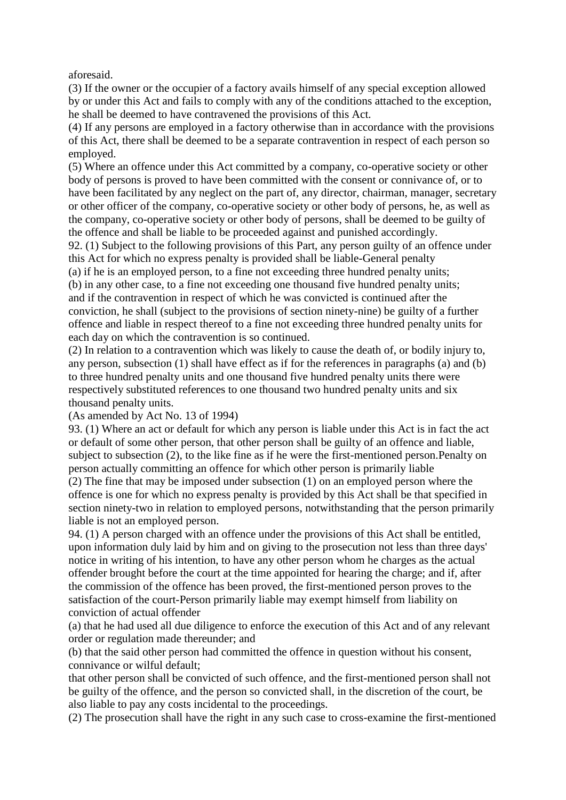aforesaid.

(3) If the owner or the occupier of a factory avails himself of any special exception allowed by or under this Act and fails to comply with any of the conditions attached to the exception, he shall be deemed to have contravened the provisions of this Act.

(4) If any persons are employed in a factory otherwise than in accordance with the provisions of this Act, there shall be deemed to be a separate contravention in respect of each person so employed.

(5) Where an offence under this Act committed by a company, co-operative society or other body of persons is proved to have been committed with the consent or connivance of, or to have been facilitated by any neglect on the part of, any director, chairman, manager, secretary or other officer of the company, co-operative society or other body of persons, he, as well as the company, co-operative society or other body of persons, shall be deemed to be guilty of the offence and shall be liable to be proceeded against and punished accordingly.

92. (1) Subject to the following provisions of this Part, any person guilty of an offence under this Act for which no express penalty is provided shall be liable-General penalty

(a) if he is an employed person, to a fine not exceeding three hundred penalty units;

(b) in any other case, to a fine not exceeding one thousand five hundred penalty units; and if the contravention in respect of which he was convicted is continued after the conviction, he shall (subject to the provisions of section ninety-nine) be guilty of a further offence and liable in respect thereof to a fine not exceeding three hundred penalty units for each day on which the contravention is so continued.

(2) In relation to a contravention which was likely to cause the death of, or bodily injury to, any person, subsection (1) shall have effect as if for the references in paragraphs (a) and (b) to three hundred penalty units and one thousand five hundred penalty units there were respectively substituted references to one thousand two hundred penalty units and six thousand penalty units.

(As amended by Act No. 13 of 1994)

93. (1) Where an act or default for which any person is liable under this Act is in fact the act or default of some other person, that other person shall be guilty of an offence and liable, subject to subsection (2), to the like fine as if he were the first-mentioned person.Penalty on person actually committing an offence for which other person is primarily liable

(2) The fine that may be imposed under subsection (1) on an employed person where the offence is one for which no express penalty is provided by this Act shall be that specified in section ninety-two in relation to employed persons, notwithstanding that the person primarily liable is not an employed person.

94. (1) A person charged with an offence under the provisions of this Act shall be entitled, upon information duly laid by him and on giving to the prosecution not less than three days' notice in writing of his intention, to have any other person whom he charges as the actual offender brought before the court at the time appointed for hearing the charge; and if, after the commission of the offence has been proved, the first-mentioned person proves to the satisfaction of the court-Person primarily liable may exempt himself from liability on conviction of actual offender

(a) that he had used all due diligence to enforce the execution of this Act and of any relevant order or regulation made thereunder; and

(b) that the said other person had committed the offence in question without his consent, connivance or wilful default;

that other person shall be convicted of such offence, and the first-mentioned person shall not be guilty of the offence, and the person so convicted shall, in the discretion of the court, be also liable to pay any costs incidental to the proceedings.

(2) The prosecution shall have the right in any such case to cross-examine the first-mentioned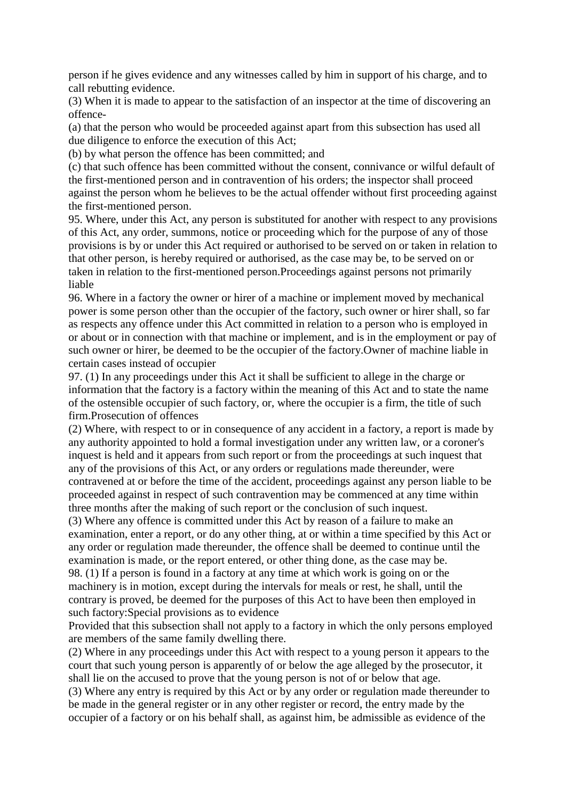person if he gives evidence and any witnesses called by him in support of his charge, and to call rebutting evidence.

(3) When it is made to appear to the satisfaction of an inspector at the time of discovering an offence-

(a) that the person who would be proceeded against apart from this subsection has used all due diligence to enforce the execution of this Act;

(b) by what person the offence has been committed; and

(c) that such offence has been committed without the consent, connivance or wilful default of the first-mentioned person and in contravention of his orders; the inspector shall proceed against the person whom he believes to be the actual offender without first proceeding against the first-mentioned person.

95. Where, under this Act, any person is substituted for another with respect to any provisions of this Act, any order, summons, notice or proceeding which for the purpose of any of those provisions is by or under this Act required or authorised to be served on or taken in relation to that other person, is hereby required or authorised, as the case may be, to be served on or taken in relation to the first-mentioned person.Proceedings against persons not primarily liable

96. Where in a factory the owner or hirer of a machine or implement moved by mechanical power is some person other than the occupier of the factory, such owner or hirer shall, so far as respects any offence under this Act committed in relation to a person who is employed in or about or in connection with that machine or implement, and is in the employment or pay of such owner or hirer, be deemed to be the occupier of the factory.Owner of machine liable in certain cases instead of occupier

97. (1) In any proceedings under this Act it shall be sufficient to allege in the charge or information that the factory is a factory within the meaning of this Act and to state the name of the ostensible occupier of such factory, or, where the occupier is a firm, the title of such firm.Prosecution of offences

(2) Where, with respect to or in consequence of any accident in a factory, a report is made by any authority appointed to hold a formal investigation under any written law, or a coroner's inquest is held and it appears from such report or from the proceedings at such inquest that any of the provisions of this Act, or any orders or regulations made thereunder, were contravened at or before the time of the accident, proceedings against any person liable to be proceeded against in respect of such contravention may be commenced at any time within three months after the making of such report or the conclusion of such inquest.

(3) Where any offence is committed under this Act by reason of a failure to make an examination, enter a report, or do any other thing, at or within a time specified by this Act or any order or regulation made thereunder, the offence shall be deemed to continue until the examination is made, or the report entered, or other thing done, as the case may be. 98. (1) If a person is found in a factory at any time at which work is going on or the

machinery is in motion, except during the intervals for meals or rest, he shall, until the contrary is proved, be deemed for the purposes of this Act to have been then employed in such factory:Special provisions as to evidence

Provided that this subsection shall not apply to a factory in which the only persons employed are members of the same family dwelling there.

(2) Where in any proceedings under this Act with respect to a young person it appears to the court that such young person is apparently of or below the age alleged by the prosecutor, it shall lie on the accused to prove that the young person is not of or below that age.

(3) Where any entry is required by this Act or by any order or regulation made thereunder to be made in the general register or in any other register or record, the entry made by the occupier of a factory or on his behalf shall, as against him, be admissible as evidence of the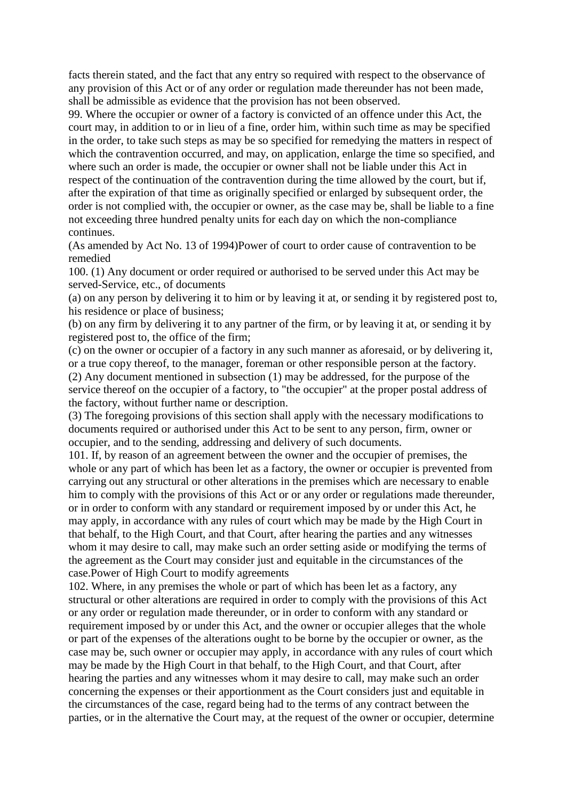facts therein stated, and the fact that any entry so required with respect to the observance of any provision of this Act or of any order or regulation made thereunder has not been made, shall be admissible as evidence that the provision has not been observed.

99. Where the occupier or owner of a factory is convicted of an offence under this Act, the court may, in addition to or in lieu of a fine, order him, within such time as may be specified in the order, to take such steps as may be so specified for remedying the matters in respect of which the contravention occurred, and may, on application, enlarge the time so specified, and where such an order is made, the occupier or owner shall not be liable under this Act in respect of the continuation of the contravention during the time allowed by the court, but if, after the expiration of that time as originally specified or enlarged by subsequent order, the order is not complied with, the occupier or owner, as the case may be, shall be liable to a fine not exceeding three hundred penalty units for each day on which the non-compliance continues.

(As amended by Act No. 13 of 1994)Power of court to order cause of contravention to be remedied

100. (1) Any document or order required or authorised to be served under this Act may be served-Service, etc., of documents

(a) on any person by delivering it to him or by leaving it at, or sending it by registered post to, his residence or place of business;

(b) on any firm by delivering it to any partner of the firm, or by leaving it at, or sending it by registered post to, the office of the firm;

(c) on the owner or occupier of a factory in any such manner as aforesaid, or by delivering it, or a true copy thereof, to the manager, foreman or other responsible person at the factory. (2) Any document mentioned in subsection (1) may be addressed, for the purpose of the service thereof on the occupier of a factory, to "the occupier" at the proper postal address of the factory, without further name or description.

(3) The foregoing provisions of this section shall apply with the necessary modifications to documents required or authorised under this Act to be sent to any person, firm, owner or occupier, and to the sending, addressing and delivery of such documents.

101. If, by reason of an agreement between the owner and the occupier of premises, the whole or any part of which has been let as a factory, the owner or occupier is prevented from carrying out any structural or other alterations in the premises which are necessary to enable him to comply with the provisions of this Act or or any order or regulations made thereunder, or in order to conform with any standard or requirement imposed by or under this Act, he may apply, in accordance with any rules of court which may be made by the High Court in that behalf, to the High Court, and that Court, after hearing the parties and any witnesses whom it may desire to call, may make such an order setting aside or modifying the terms of the agreement as the Court may consider just and equitable in the circumstances of the case.Power of High Court to modify agreements

102. Where, in any premises the whole or part of which has been let as a factory, any structural or other alterations are required in order to comply with the provisions of this Act or any order or regulation made thereunder, or in order to conform with any standard or requirement imposed by or under this Act, and the owner or occupier alleges that the whole or part of the expenses of the alterations ought to be borne by the occupier or owner, as the case may be, such owner or occupier may apply, in accordance with any rules of court which may be made by the High Court in that behalf, to the High Court, and that Court, after hearing the parties and any witnesses whom it may desire to call, may make such an order concerning the expenses or their apportionment as the Court considers just and equitable in the circumstances of the case, regard being had to the terms of any contract between the parties, or in the alternative the Court may, at the request of the owner or occupier, determine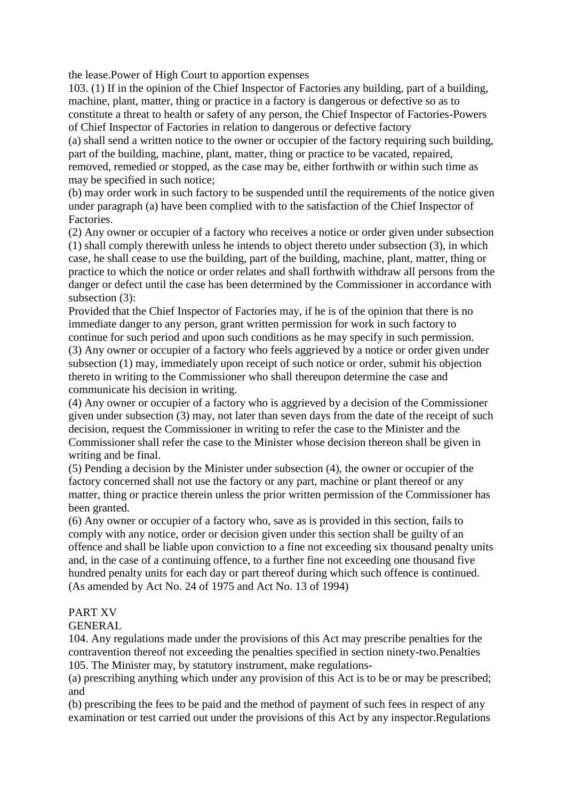the lease.Power of High Court to apportion expenses

103. (1) If in the opinion of the Chief Inspector of Factories any building, part of a building, machine, plant, matter, thing or practice in a factory is dangerous or defective so as to constitute a threat to health or safety of any person, the Chief Inspector of Factories-Powers of Chief Inspector of Factories in relation to dangerous or defective factory

(a) shall send a written notice to the owner or occupier of the factory requiring such building, part of the building, machine, plant, matter, thing or practice to be vacated, repaired, removed, remedied or stopped, as the case may be, either forthwith or within such time as may be specified in such notice;

(b) may order work in such factory to be suspended until the requirements of the notice given under paragraph (a) have been complied with to the satisfaction of the Chief Inspector of Factories.

(2) Any owner or occupier of a factory who receives a notice or order given under subsection (1) shall comply therewith unless he intends to object thereto under subsection (3), in which case, he shall cease to use the building, part of the building, machine, plant, matter, thing or practice to which the notice or order relates and shall forthwith withdraw all persons from the danger or defect until the case has been determined by the Commissioner in accordance with subsection (3):

Provided that the Chief Inspector of Factories may, if he is of the opinion that there is no immediate danger to any person, grant written permission for work in such factory to continue for such period and upon such conditions as he may specify in such permission. (3) Any owner or occupier of a factory who feels aggrieved by a notice or order given under subsection (1) may, immediately upon receipt of such notice or order, submit his objection thereto in writing to the Commissioner who shall thereupon determine the case and communicate his decision in writing.

(4) Any owner or occupier of a factory who is aggrieved by a decision of the Commissioner given under subsection (3) may, not later than seven days from the date of the receipt of such decision, request the Commissioner in writing to refer the case to the Minister and the Commissioner shall refer the case to the Minister whose decision thereon shall be given in writing and be final.

(5) Pending a decision by the Minister under subsection (4), the owner or occupier of the factory concerned shall not use the factory or any part, machine or plant thereof or any matter, thing or practice therein unless the prior written permission of the Commissioner has been granted.

(6) Any owner or occupier of a factory who, save as is provided in this section, fails to comply with any notice, order or decision given under this section shall be guilty of an offence and shall be liable upon conviction to a fine not exceeding six thousand penalty units and, in the case of a continuing offence, to a further fine not exceeding one thousand five hundred penalty units for each day or part thereof during which such offence is continued. (As amended by Act No. 24 of 1975 and Act No. 13 of 1994)

### PART XV

### GENERAL

104. Any regulations made under the provisions of this Act may prescribe penalties for the contravention thereof not exceeding the penalties specified in section ninety-two.Penalties 105. The Minister may, by statutory instrument, make regulations-

(a) prescribing anything which under any provision of this Act is to be or may be prescribed; and

(b) prescribing the fees to be paid and the method of payment of such fees in respect of any examination or test carried out under the provisions of this Act by any inspector.Regulations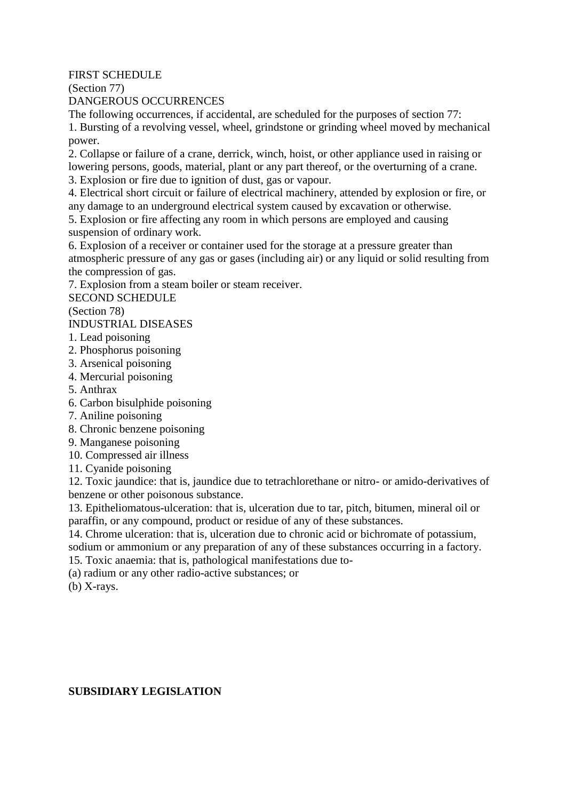FIRST SCHEDULE

(Section 77)

DANGEROUS OCCURRENCES

The following occurrences, if accidental, are scheduled for the purposes of section 77:

1. Bursting of a revolving vessel, wheel, grindstone or grinding wheel moved by mechanical power.

2. Collapse or failure of a crane, derrick, winch, hoist, or other appliance used in raising or lowering persons, goods, material, plant or any part thereof, or the overturning of a crane. 3. Explosion or fire due to ignition of dust, gas or vapour.

4. Electrical short circuit or failure of electrical machinery, attended by explosion or fire, or any damage to an underground electrical system caused by excavation or otherwise.

5. Explosion or fire affecting any room in which persons are employed and causing suspension of ordinary work.

6. Explosion of a receiver or container used for the storage at a pressure greater than atmospheric pressure of any gas or gases (including air) or any liquid or solid resulting from the compression of gas.

7. Explosion from a steam boiler or steam receiver.

SECOND SCHEDULE

(Section 78)

INDUSTRIAL DISEASES

- 1. Lead poisoning
- 2. Phosphorus poisoning
- 3. Arsenical poisoning
- 4. Mercurial poisoning
- 5. Anthrax
- 6. Carbon bisulphide poisoning
- 7. Aniline poisoning
- 8. Chronic benzene poisoning
- 9. Manganese poisoning
- 10. Compressed air illness
- 11. Cyanide poisoning

12. Toxic jaundice: that is, jaundice due to tetrachlorethane or nitro- or amido-derivatives of benzene or other poisonous substance.

13. Epitheliomatous-ulceration: that is, ulceration due to tar, pitch, bitumen, mineral oil or paraffin, or any compound, product or residue of any of these substances.

14. Chrome ulceration: that is, ulceration due to chronic acid or bichromate of potassium, sodium or ammonium or any preparation of any of these substances occurring in a factory.

15. Toxic anaemia: that is, pathological manifestations due to-

(a) radium or any other radio-active substances; or

(b) X-rays.

#### **SUBSIDIARY LEGISLATION**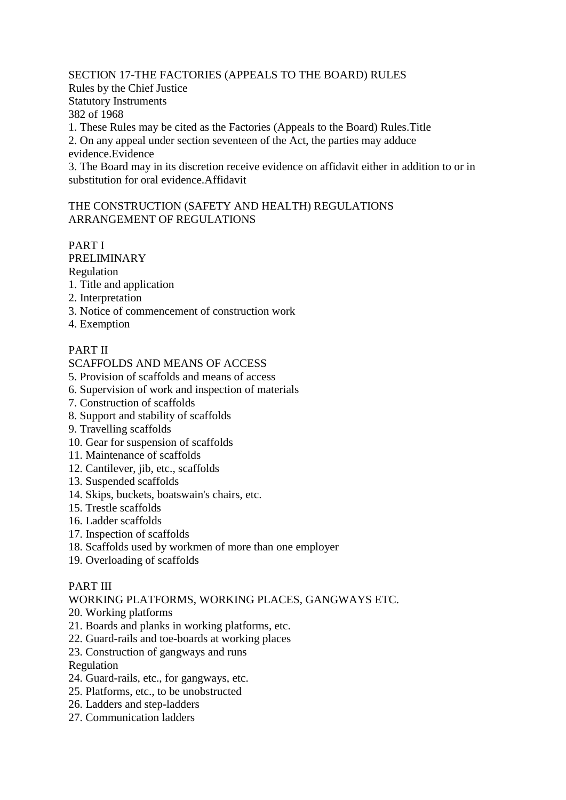### SECTION 17-THE FACTORIES (APPEALS TO THE BOARD) RULES

Rules by the Chief Justice Statutory Instruments 382 of 1968 1. These Rules may be cited as the Factories (Appeals to the Board) Rules.Title 2. On any appeal under section seventeen of the Act, the parties may adduce evidence.Evidence

3. The Board may in its discretion receive evidence on affidavit either in addition to or in substitution for oral evidence.Affidavit

### THE CONSTRUCTION (SAFETY AND HEALTH) REGULATIONS ARRANGEMENT OF REGULATIONS

# PART I

PRELIMINARY

Regulation

- 1. Title and application
- 2. Interpretation
- 3. Notice of commencement of construction work
- 4. Exemption

# PART II

### SCAFFOLDS AND MEANS OF ACCESS

- 5. Provision of scaffolds and means of access
- 6. Supervision of work and inspection of materials
- 7. Construction of scaffolds
- 8. Support and stability of scaffolds
- 9. Travelling scaffolds
- 10. Gear for suspension of scaffolds
- 11. Maintenance of scaffolds
- 12. Cantilever, jib, etc., scaffolds
- 13. Suspended scaffolds
- 14. Skips, buckets, boatswain's chairs, etc.
- 15. Trestle scaffolds
- 16. Ladder scaffolds
- 17. Inspection of scaffolds
- 18. Scaffolds used by workmen of more than one employer
- 19. Overloading of scaffolds

### PART III

WORKING PLATFORMS, WORKING PLACES, GANGWAYS ETC.

- 20. Working platforms
- 21. Boards and planks in working platforms, etc.
- 22. Guard-rails and toe-boards at working places
- 23. Construction of gangways and runs
- Regulation
- 24. Guard-rails, etc., for gangways, etc.
- 25. Platforms, etc., to be unobstructed
- 26. Ladders and step-ladders
- 27. Communication ladders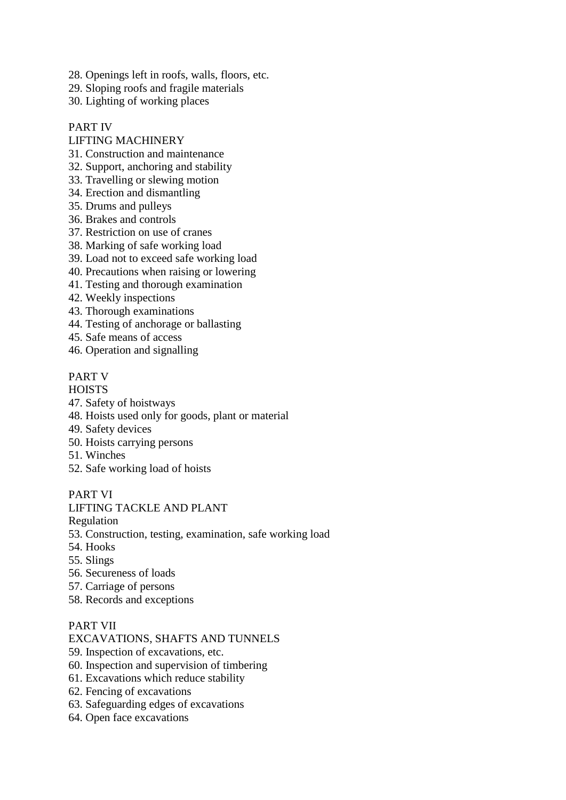- 28. Openings left in roofs, walls, floors, etc.
- 29. Sloping roofs and fragile materials

30. Lighting of working places

# PART IV

# LIFTING MACHINERY

- 31. Construction and maintenance
- 32. Support, anchoring and stability
- 33. Travelling or slewing motion
- 34. Erection and dismantling
- 35. Drums and pulleys
- 36. Brakes and controls
- 37. Restriction on use of cranes
- 38. Marking of safe working load
- 39. Load not to exceed safe working load
- 40. Precautions when raising or lowering
- 41. Testing and thorough examination
- 42. Weekly inspections
- 43. Thorough examinations
- 44. Testing of anchorage or ballasting
- 45. Safe means of access
- 46. Operation and signalling

### PART V

#### **HOISTS**

- 47. Safety of hoistways
- 48. Hoists used only for goods, plant or material
- 49. Safety devices
- 50. Hoists carrying persons
- 51. Winches
- 52. Safe working load of hoists

### PART VI

### LIFTING TACKLE AND PLANT

Regulation

- 53. Construction, testing, examination, safe working load
- 54. Hooks
- 55. Slings
- 56. Secureness of loads
- 57. Carriage of persons
- 58. Records and exceptions

#### PART VII

#### EXCAVATIONS, SHAFTS AND TUNNELS

- 59. Inspection of excavations, etc.
- 60. Inspection and supervision of timbering
- 61. Excavations which reduce stability
- 62. Fencing of excavations
- 63. Safeguarding edges of excavations
- 64. Open face excavations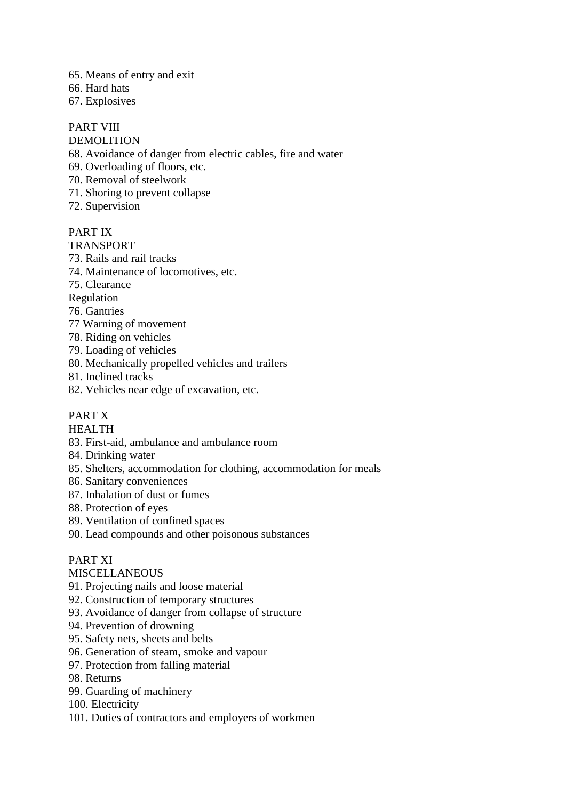- 65. Means of entry and exit
- 66. Hard hats
- 67. Explosives

# PART VIII

#### DEMOLITION

- 68. Avoidance of danger from electric cables, fire and water
- 69. Overloading of floors, etc.
- 70. Removal of steelwork
- 71. Shoring to prevent collapse
- 72. Supervision

### PART IX

- TRANSPORT
- 73. Rails and rail tracks
- 74. Maintenance of locomotives, etc.
- 75. Clearance
- Regulation
- 76. Gantries
- 77 Warning of movement
- 78. Riding on vehicles
- 79. Loading of vehicles
- 80. Mechanically propelled vehicles and trailers
- 81. Inclined tracks
- 82. Vehicles near edge of excavation, etc.

# PART X

HEALTH

- 83. First-aid, ambulance and ambulance room
- 84. Drinking water
- 85. Shelters, accommodation for clothing, accommodation for meals
- 86. Sanitary conveniences
- 87. Inhalation of dust or fumes
- 88. Protection of eyes
- 89. Ventilation of confined spaces
- 90. Lead compounds and other poisonous substances

### PART XI

### **MISCELLANEOUS**

- 91. Projecting nails and loose material
- 92. Construction of temporary structures
- 93. Avoidance of danger from collapse of structure
- 94. Prevention of drowning
- 95. Safety nets, sheets and belts
- 96. Generation of steam, smoke and vapour
- 97. Protection from falling material
- 98. Returns
- 99. Guarding of machinery
- 100. Electricity
- 101. Duties of contractors and employers of workmen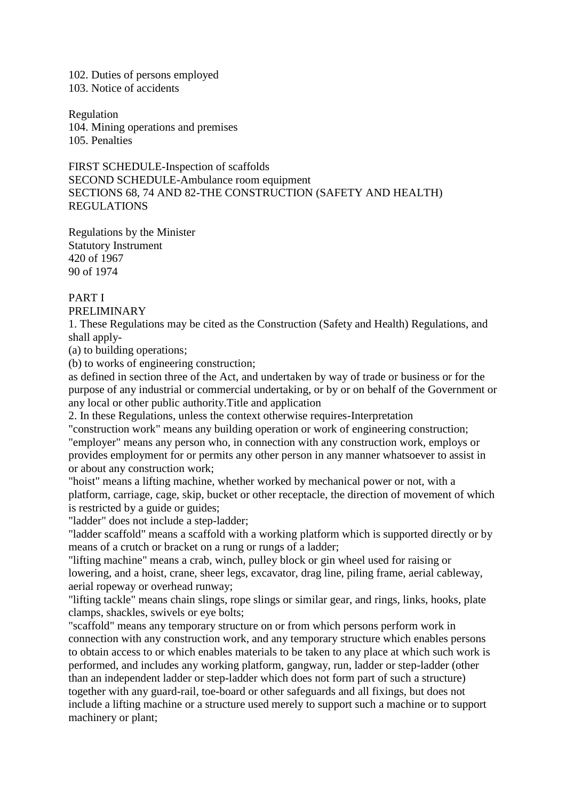102. Duties of persons employed 103. Notice of accidents

Regulation 104. Mining operations and premises 105. Penalties

FIRST SCHEDULE-Inspection of scaffolds SECOND SCHEDULE-Ambulance room equipment SECTIONS 68, 74 AND 82-THE CONSTRUCTION (SAFETY AND HEALTH) REGULATIONS

Regulations by the Minister Statutory Instrument 420 of 1967 90 of 1974

### PART I

#### PRELIMINARY

1. These Regulations may be cited as the Construction (Safety and Health) Regulations, and shall apply-

(a) to building operations;

(b) to works of engineering construction;

as defined in section three of the Act, and undertaken by way of trade or business or for the purpose of any industrial or commercial undertaking, or by or on behalf of the Government or any local or other public authority.Title and application

2. In these Regulations, unless the context otherwise requires-Interpretation

"construction work" means any building operation or work of engineering construction; "employer" means any person who, in connection with any construction work, employs or provides employment for or permits any other person in any manner whatsoever to assist in or about any construction work;

"hoist" means a lifting machine, whether worked by mechanical power or not, with a platform, carriage, cage, skip, bucket or other receptacle, the direction of movement of which is restricted by a guide or guides;

"ladder" does not include a step-ladder;

"ladder scaffold" means a scaffold with a working platform which is supported directly or by means of a crutch or bracket on a rung or rungs of a ladder;

"lifting machine" means a crab, winch, pulley block or gin wheel used for raising or lowering, and a hoist, crane, sheer legs, excavator, drag line, piling frame, aerial cableway, aerial ropeway or overhead runway;

"lifting tackle" means chain slings, rope slings or similar gear, and rings, links, hooks, plate clamps, shackles, swivels or eye bolts;

"scaffold" means any temporary structure on or from which persons perform work in connection with any construction work, and any temporary structure which enables persons to obtain access to or which enables materials to be taken to any place at which such work is performed, and includes any working platform, gangway, run, ladder or step-ladder (other than an independent ladder or step-ladder which does not form part of such a structure) together with any guard-rail, toe-board or other safeguards and all fixings, but does not include a lifting machine or a structure used merely to support such a machine or to support machinery or plant;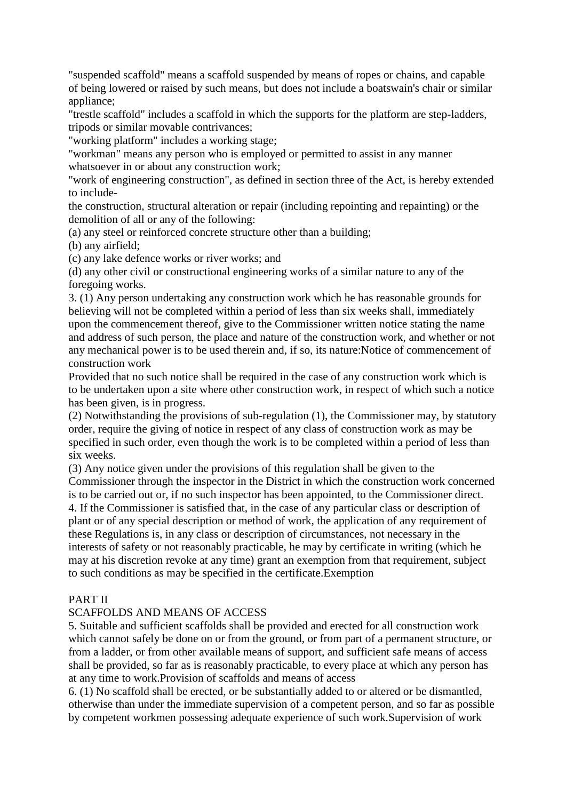"suspended scaffold" means a scaffold suspended by means of ropes or chains, and capable of being lowered or raised by such means, but does not include a boatswain's chair or similar appliance:

"trestle scaffold" includes a scaffold in which the supports for the platform are step-ladders, tripods or similar movable contrivances;

"working platform" includes a working stage;

"workman" means any person who is employed or permitted to assist in any manner whatsoever in or about any construction work;

"work of engineering construction", as defined in section three of the Act, is hereby extended to include-

the construction, structural alteration or repair (including repointing and repainting) or the demolition of all or any of the following:

(a) any steel or reinforced concrete structure other than a building;

(b) any airfield;

(c) any lake defence works or river works; and

(d) any other civil or constructional engineering works of a similar nature to any of the foregoing works.

3. (1) Any person undertaking any construction work which he has reasonable grounds for believing will not be completed within a period of less than six weeks shall, immediately upon the commencement thereof, give to the Commissioner written notice stating the name and address of such person, the place and nature of the construction work, and whether or not any mechanical power is to be used therein and, if so, its nature:Notice of commencement of construction work

Provided that no such notice shall be required in the case of any construction work which is to be undertaken upon a site where other construction work, in respect of which such a notice has been given, is in progress.

(2) Notwithstanding the provisions of sub-regulation (1), the Commissioner may, by statutory order, require the giving of notice in respect of any class of construction work as may be specified in such order, even though the work is to be completed within a period of less than six weeks.

(3) Any notice given under the provisions of this regulation shall be given to the Commissioner through the inspector in the District in which the construction work concerned is to be carried out or, if no such inspector has been appointed, to the Commissioner direct. 4. If the Commissioner is satisfied that, in the case of any particular class or description of plant or of any special description or method of work, the application of any requirement of these Regulations is, in any class or description of circumstances, not necessary in the interests of safety or not reasonably practicable, he may by certificate in writing (which he may at his discretion revoke at any time) grant an exemption from that requirement, subject to such conditions as may be specified in the certificate.Exemption

### PART II

#### SCAFFOLDS AND MEANS OF ACCESS

5. Suitable and sufficient scaffolds shall be provided and erected for all construction work which cannot safely be done on or from the ground, or from part of a permanent structure, or from a ladder, or from other available means of support, and sufficient safe means of access shall be provided, so far as is reasonably practicable, to every place at which any person has at any time to work.Provision of scaffolds and means of access

6. (1) No scaffold shall be erected, or be substantially added to or altered or be dismantled, otherwise than under the immediate supervision of a competent person, and so far as possible by competent workmen possessing adequate experience of such work.Supervision of work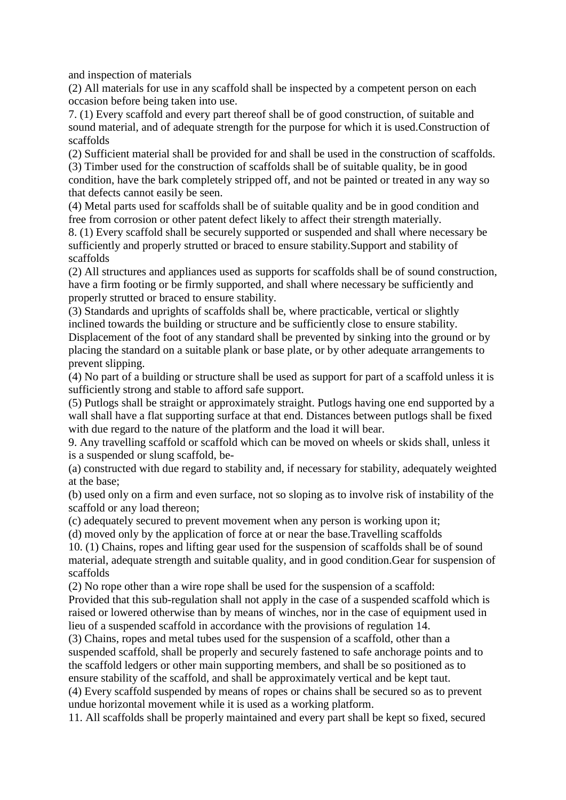and inspection of materials

(2) All materials for use in any scaffold shall be inspected by a competent person on each occasion before being taken into use.

7. (1) Every scaffold and every part thereof shall be of good construction, of suitable and sound material, and of adequate strength for the purpose for which it is used.Construction of scaffolds

(2) Sufficient material shall be provided for and shall be used in the construction of scaffolds.

(3) Timber used for the construction of scaffolds shall be of suitable quality, be in good condition, have the bark completely stripped off, and not be painted or treated in any way so that defects cannot easily be seen.

(4) Metal parts used for scaffolds shall be of suitable quality and be in good condition and free from corrosion or other patent defect likely to affect their strength materially.

8. (1) Every scaffold shall be securely supported or suspended and shall where necessary be sufficiently and properly strutted or braced to ensure stability.Support and stability of scaffolds

(2) All structures and appliances used as supports for scaffolds shall be of sound construction, have a firm footing or be firmly supported, and shall where necessary be sufficiently and properly strutted or braced to ensure stability.

(3) Standards and uprights of scaffolds shall be, where practicable, vertical or slightly inclined towards the building or structure and be sufficiently close to ensure stability.

Displacement of the foot of any standard shall be prevented by sinking into the ground or by placing the standard on a suitable plank or base plate, or by other adequate arrangements to prevent slipping.

(4) No part of a building or structure shall be used as support for part of a scaffold unless it is sufficiently strong and stable to afford safe support.

(5) Putlogs shall be straight or approximately straight. Putlogs having one end supported by a wall shall have a flat supporting surface at that end. Distances between putlogs shall be fixed with due regard to the nature of the platform and the load it will bear.

9. Any travelling scaffold or scaffold which can be moved on wheels or skids shall, unless it is a suspended or slung scaffold, be-

(a) constructed with due regard to stability and, if necessary for stability, adequately weighted at the base;

(b) used only on a firm and even surface, not so sloping as to involve risk of instability of the scaffold or any load thereon;

(c) adequately secured to prevent movement when any person is working upon it;

(d) moved only by the application of force at or near the base.Travelling scaffolds

10. (1) Chains, ropes and lifting gear used for the suspension of scaffolds shall be of sound material, adequate strength and suitable quality, and in good condition.Gear for suspension of scaffolds

(2) No rope other than a wire rope shall be used for the suspension of a scaffold:

Provided that this sub-regulation shall not apply in the case of a suspended scaffold which is raised or lowered otherwise than by means of winches, nor in the case of equipment used in lieu of a suspended scaffold in accordance with the provisions of regulation 14.

(3) Chains, ropes and metal tubes used for the suspension of a scaffold, other than a suspended scaffold, shall be properly and securely fastened to safe anchorage points and to the scaffold ledgers or other main supporting members, and shall be so positioned as to ensure stability of the scaffold, and shall be approximately vertical and be kept taut.

(4) Every scaffold suspended by means of ropes or chains shall be secured so as to prevent undue horizontal movement while it is used as a working platform.

11. All scaffolds shall be properly maintained and every part shall be kept so fixed, secured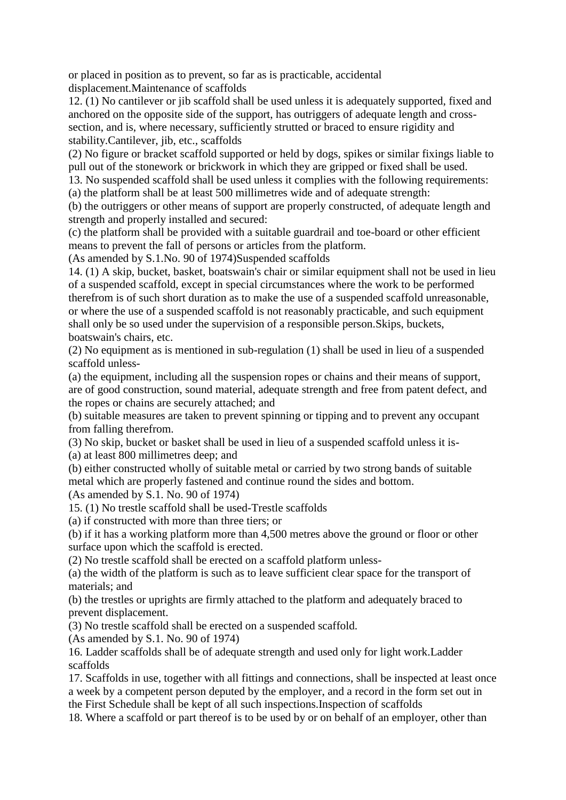or placed in position as to prevent, so far as is practicable, accidental displacement.Maintenance of scaffolds

12. (1) No cantilever or jib scaffold shall be used unless it is adequately supported, fixed and anchored on the opposite side of the support, has outriggers of adequate length and crosssection, and is, where necessary, sufficiently strutted or braced to ensure rigidity and stability.Cantilever, jib, etc., scaffolds

(2) No figure or bracket scaffold supported or held by dogs, spikes or similar fixings liable to pull out of the stonework or brickwork in which they are gripped or fixed shall be used.

13. No suspended scaffold shall be used unless it complies with the following requirements:

(a) the platform shall be at least 500 millimetres wide and of adequate strength:

(b) the outriggers or other means of support are properly constructed, of adequate length and strength and properly installed and secured:

(c) the platform shall be provided with a suitable guardrail and toe-board or other efficient means to prevent the fall of persons or articles from the platform.

(As amended by S.1.No. 90 of 1974)Suspended scaffolds

14. (1) A skip, bucket, basket, boatswain's chair or similar equipment shall not be used in lieu of a suspended scaffold, except in special circumstances where the work to be performed therefrom is of such short duration as to make the use of a suspended scaffold unreasonable, or where the use of a suspended scaffold is not reasonably practicable, and such equipment shall only be so used under the supervision of a responsible person.Skips, buckets, boatswain's chairs, etc.

(2) No equipment as is mentioned in sub-regulation (1) shall be used in lieu of a suspended scaffold unless-

(a) the equipment, including all the suspension ropes or chains and their means of support, are of good construction, sound material, adequate strength and free from patent defect, and the ropes or chains are securely attached; and

(b) suitable measures are taken to prevent spinning or tipping and to prevent any occupant from falling therefrom.

(3) No skip, bucket or basket shall be used in lieu of a suspended scaffold unless it is-

(a) at least 800 millimetres deep; and

(b) either constructed wholly of suitable metal or carried by two strong bands of suitable metal which are properly fastened and continue round the sides and bottom.

(As amended by S.1. No. 90 of 1974)

15. (1) No trestle scaffold shall be used-Trestle scaffolds

(a) if constructed with more than three tiers; or

(b) if it has a working platform more than 4,500 metres above the ground or floor or other surface upon which the scaffold is erected.

(2) No trestle scaffold shall be erected on a scaffold platform unless-

(a) the width of the platform is such as to leave sufficient clear space for the transport of materials; and

(b) the trestles or uprights are firmly attached to the platform and adequately braced to prevent displacement.

(3) No trestle scaffold shall be erected on a suspended scaffold.

(As amended by S.1. No. 90 of 1974)

16. Ladder scaffolds shall be of adequate strength and used only for light work.Ladder scaffolds

17. Scaffolds in use, together with all fittings and connections, shall be inspected at least once a week by a competent person deputed by the employer, and a record in the form set out in the First Schedule shall be kept of all such inspections.Inspection of scaffolds

18. Where a scaffold or part thereof is to be used by or on behalf of an employer, other than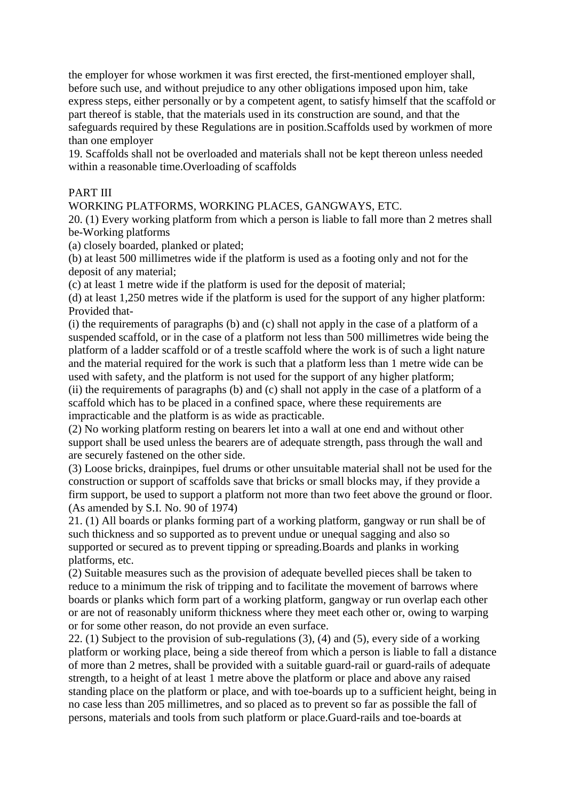the employer for whose workmen it was first erected, the first-mentioned employer shall, before such use, and without prejudice to any other obligations imposed upon him, take express steps, either personally or by a competent agent, to satisfy himself that the scaffold or part thereof is stable, that the materials used in its construction are sound, and that the safeguards required by these Regulations are in position.Scaffolds used by workmen of more than one employer

19. Scaffolds shall not be overloaded and materials shall not be kept thereon unless needed within a reasonable time.Overloading of scaffolds

### PART III

WORKING PLATFORMS, WORKING PLACES, GANGWAYS, ETC.

20. (1) Every working platform from which a person is liable to fall more than 2 metres shall be-Working platforms

(a) closely boarded, planked or plated;

(b) at least 500 millimetres wide if the platform is used as a footing only and not for the deposit of any material;

(c) at least 1 metre wide if the platform is used for the deposit of material;

(d) at least 1,250 metres wide if the platform is used for the support of any higher platform: Provided that-

(i) the requirements of paragraphs (b) and (c) shall not apply in the case of a platform of a suspended scaffold, or in the case of a platform not less than 500 millimetres wide being the platform of a ladder scaffold or of a trestle scaffold where the work is of such a light nature and the material required for the work is such that a platform less than 1 metre wide can be used with safety, and the platform is not used for the support of any higher platform;

(ii) the requirements of paragraphs (b) and (c) shall not apply in the case of a platform of a scaffold which has to be placed in a confined space, where these requirements are impracticable and the platform is as wide as practicable.

(2) No working platform resting on bearers let into a wall at one end and without other support shall be used unless the bearers are of adequate strength, pass through the wall and are securely fastened on the other side.

(3) Loose bricks, drainpipes, fuel drums or other unsuitable material shall not be used for the construction or support of scaffolds save that bricks or small blocks may, if they provide a firm support, be used to support a platform not more than two feet above the ground or floor. (As amended by S.I. No. 90 of 1974)

21. (1) All boards or planks forming part of a working platform, gangway or run shall be of such thickness and so supported as to prevent undue or unequal sagging and also so supported or secured as to prevent tipping or spreading.Boards and planks in working platforms, etc.

(2) Suitable measures such as the provision of adequate bevelled pieces shall be taken to reduce to a minimum the risk of tripping and to facilitate the movement of barrows where boards or planks which form part of a working platform, gangway or run overlap each other or are not of reasonably uniform thickness where they meet each other or, owing to warping or for some other reason, do not provide an even surface.

22. (1) Subject to the provision of sub-regulations (3), (4) and (5), every side of a working platform or working place, being a side thereof from which a person is liable to fall a distance of more than 2 metres, shall be provided with a suitable guard-rail or guard-rails of adequate strength, to a height of at least 1 metre above the platform or place and above any raised standing place on the platform or place, and with toe-boards up to a sufficient height, being in no case less than 205 millimetres, and so placed as to prevent so far as possible the fall of persons, materials and tools from such platform or place.Guard-rails and toe-boards at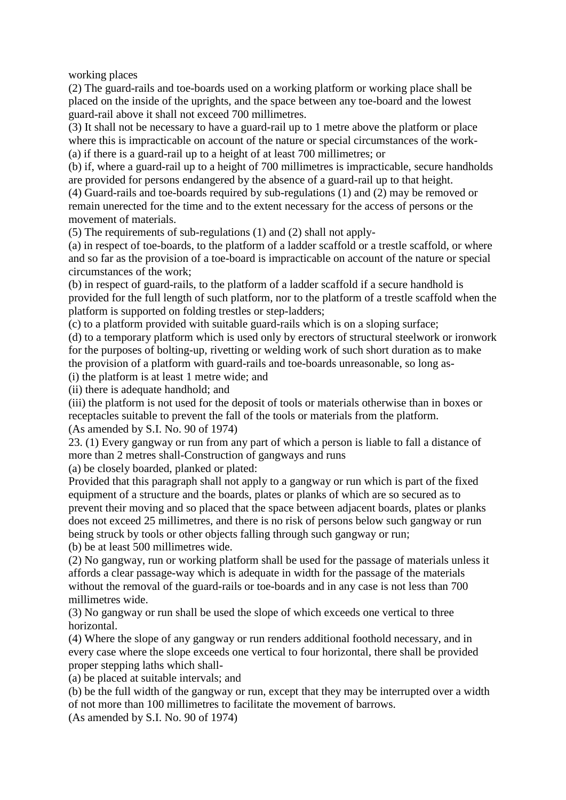working places

(2) The guard-rails and toe-boards used on a working platform or working place shall be placed on the inside of the uprights, and the space between any toe-board and the lowest guard-rail above it shall not exceed 700 millimetres.

(3) It shall not be necessary to have a guard-rail up to 1 metre above the platform or place where this is impracticable on account of the nature or special circumstances of the work- (a) if there is a guard-rail up to a height of at least 700 millimetres; or

(b) if, where a guard-rail up to a height of 700 millimetres is impracticable, secure handholds are provided for persons endangered by the absence of a guard-rail up to that height.

(4) Guard-rails and toe-boards required by sub-regulations (1) and (2) may be removed or remain unerected for the time and to the extent necessary for the access of persons or the movement of materials.

(5) The requirements of sub-regulations (1) and (2) shall not apply-

(a) in respect of toe-boards, to the platform of a ladder scaffold or a trestle scaffold, or where and so far as the provision of a toe-board is impracticable on account of the nature or special circumstances of the work;

(b) in respect of guard-rails, to the platform of a ladder scaffold if a secure handhold is provided for the full length of such platform, nor to the platform of a trestle scaffold when the platform is supported on folding trestles or step-ladders;

(c) to a platform provided with suitable guard-rails which is on a sloping surface;

(d) to a temporary platform which is used only by erectors of structural steelwork or ironwork for the purposes of bolting-up, rivetting or welding work of such short duration as to make the provision of a platform with guard-rails and toe-boards unreasonable, so long as-

(i) the platform is at least 1 metre wide; and

(ii) there is adequate handhold; and

(iii) the platform is not used for the deposit of tools or materials otherwise than in boxes or receptacles suitable to prevent the fall of the tools or materials from the platform.

(As amended by S.I. No. 90 of 1974)

23. (1) Every gangway or run from any part of which a person is liable to fall a distance of more than 2 metres shall-Construction of gangways and runs

(a) be closely boarded, planked or plated:

Provided that this paragraph shall not apply to a gangway or run which is part of the fixed equipment of a structure and the boards, plates or planks of which are so secured as to prevent their moving and so placed that the space between adjacent boards, plates or planks does not exceed 25 millimetres, and there is no risk of persons below such gangway or run being struck by tools or other objects falling through such gangway or run; (b) be at least 500 millimetres wide.

(2) No gangway, run or working platform shall be used for the passage of materials unless it affords a clear passage-way which is adequate in width for the passage of the materials without the removal of the guard-rails or toe-boards and in any case is not less than 700 millimetres wide.

(3) No gangway or run shall be used the slope of which exceeds one vertical to three horizontal.

(4) Where the slope of any gangway or run renders additional foothold necessary, and in every case where the slope exceeds one vertical to four horizontal, there shall be provided proper stepping laths which shall-

(a) be placed at suitable intervals; and

(b) be the full width of the gangway or run, except that they may be interrupted over a width of not more than 100 millimetres to facilitate the movement of barrows.

(As amended by S.I. No. 90 of 1974)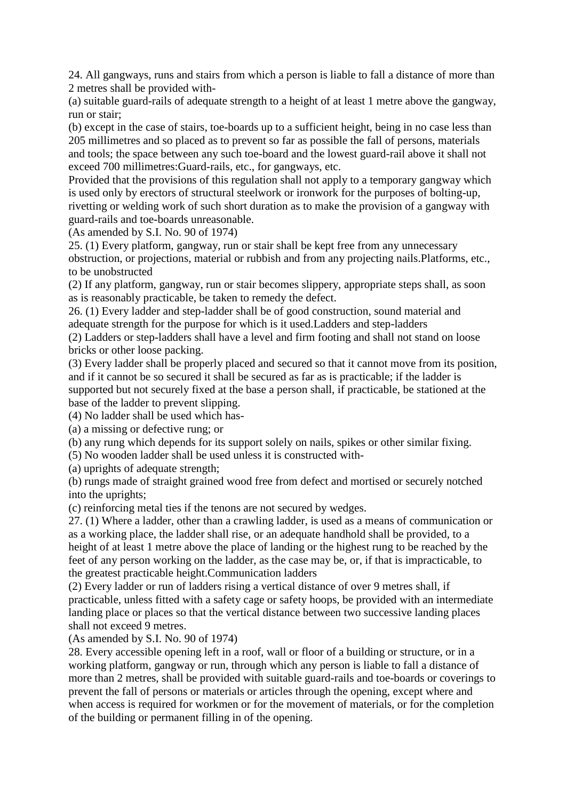24. All gangways, runs and stairs from which a person is liable to fall a distance of more than 2 metres shall be provided with-

(a) suitable guard-rails of adequate strength to a height of at least 1 metre above the gangway, run or stair;

(b) except in the case of stairs, toe-boards up to a sufficient height, being in no case less than 205 millimetres and so placed as to prevent so far as possible the fall of persons, materials and tools; the space between any such toe-board and the lowest guard-rail above it shall not exceed 700 millimetres:Guard-rails, etc., for gangways, etc.

Provided that the provisions of this regulation shall not apply to a temporary gangway which is used only by erectors of structural steelwork or ironwork for the purposes of bolting-up, rivetting or welding work of such short duration as to make the provision of a gangway with guard-rails and toe-boards unreasonable.

(As amended by S.I. No. 90 of 1974)

25. (1) Every platform, gangway, run or stair shall be kept free from any unnecessary obstruction, or projections, material or rubbish and from any projecting nails.Platforms, etc., to be unobstructed

(2) If any platform, gangway, run or stair becomes slippery, appropriate steps shall, as soon as is reasonably practicable, be taken to remedy the defect.

26. (1) Every ladder and step-ladder shall be of good construction, sound material and adequate strength for the purpose for which is it used.Ladders and step-ladders

(2) Ladders or step-ladders shall have a level and firm footing and shall not stand on loose bricks or other loose packing.

(3) Every ladder shall be properly placed and secured so that it cannot move from its position, and if it cannot be so secured it shall be secured as far as is practicable; if the ladder is supported but not securely fixed at the base a person shall, if practicable, be stationed at the base of the ladder to prevent slipping.

(4) No ladder shall be used which has-

(a) a missing or defective rung; or

(b) any rung which depends for its support solely on nails, spikes or other similar fixing.

(5) No wooden ladder shall be used unless it is constructed with-

(a) uprights of adequate strength;

(b) rungs made of straight grained wood free from defect and mortised or securely notched into the uprights;

(c) reinforcing metal ties if the tenons are not secured by wedges.

27. (1) Where a ladder, other than a crawling ladder, is used as a means of communication or as a working place, the ladder shall rise, or an adequate handhold shall be provided, to a height of at least 1 metre above the place of landing or the highest rung to be reached by the feet of any person working on the ladder, as the case may be, or, if that is impracticable, to the greatest practicable height.Communication ladders

(2) Every ladder or run of ladders rising a vertical distance of over 9 metres shall, if practicable, unless fitted with a safety cage or safety hoops, be provided with an intermediate landing place or places so that the vertical distance between two successive landing places shall not exceed 9 metres.

(As amended by S.I. No. 90 of 1974)

28. Every accessible opening left in a roof, wall or floor of a building or structure, or in a working platform, gangway or run, through which any person is liable to fall a distance of more than 2 metres, shall be provided with suitable guard-rails and toe-boards or coverings to prevent the fall of persons or materials or articles through the opening, except where and when access is required for workmen or for the movement of materials, or for the completion of the building or permanent filling in of the opening.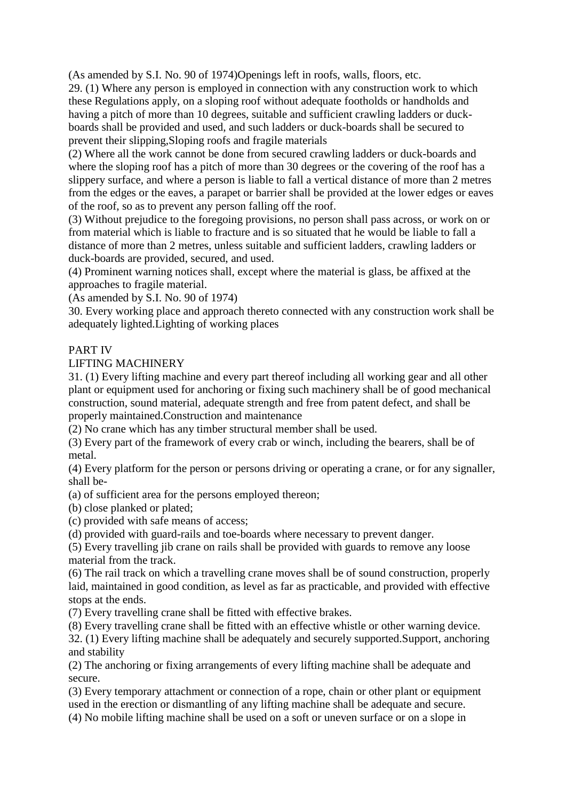(As amended by S.I. No. 90 of 1974)Openings left in roofs, walls, floors, etc.

29. (1) Where any person is employed in connection with any construction work to which these Regulations apply, on a sloping roof without adequate footholds or handholds and having a pitch of more than 10 degrees, suitable and sufficient crawling ladders or duckboards shall be provided and used, and such ladders or duck-boards shall be secured to prevent their slipping,Sloping roofs and fragile materials

(2) Where all the work cannot be done from secured crawling ladders or duck-boards and where the sloping roof has a pitch of more than 30 degrees or the covering of the roof has a slippery surface, and where a person is liable to fall a vertical distance of more than 2 metres from the edges or the eaves, a parapet or barrier shall be provided at the lower edges or eaves of the roof, so as to prevent any person falling off the roof.

(3) Without prejudice to the foregoing provisions, no person shall pass across, or work on or from material which is liable to fracture and is so situated that he would be liable to fall a distance of more than 2 metres, unless suitable and sufficient ladders, crawling ladders or duck-boards are provided, secured, and used.

(4) Prominent warning notices shall, except where the material is glass, be affixed at the approaches to fragile material.

(As amended by S.I. No. 90 of 1974)

30. Every working place and approach thereto connected with any construction work shall be adequately lighted.Lighting of working places

# PART IV

### LIFTING MACHINERY

31. (1) Every lifting machine and every part thereof including all working gear and all other plant or equipment used for anchoring or fixing such machinery shall be of good mechanical construction, sound material, adequate strength and free from patent defect, and shall be properly maintained.Construction and maintenance

(2) No crane which has any timber structural member shall be used.

(3) Every part of the framework of every crab or winch, including the bearers, shall be of metal.

(4) Every platform for the person or persons driving or operating a crane, or for any signaller, shall be-

(a) of sufficient area for the persons employed thereon;

(b) close planked or plated;

(c) provided with safe means of access;

(d) provided with guard-rails and toe-boards where necessary to prevent danger.

(5) Every travelling jib crane on rails shall be provided with guards to remove any loose material from the track.

(6) The rail track on which a travelling crane moves shall be of sound construction, properly laid, maintained in good condition, as level as far as practicable, and provided with effective stops at the ends.

(7) Every travelling crane shall be fitted with effective brakes.

(8) Every travelling crane shall be fitted with an effective whistle or other warning device.

32. (1) Every lifting machine shall be adequately and securely supported.Support, anchoring and stability

(2) The anchoring or fixing arrangements of every lifting machine shall be adequate and secure.

(3) Every temporary attachment or connection of a rope, chain or other plant or equipment used in the erection or dismantling of any lifting machine shall be adequate and secure.

(4) No mobile lifting machine shall be used on a soft or uneven surface or on a slope in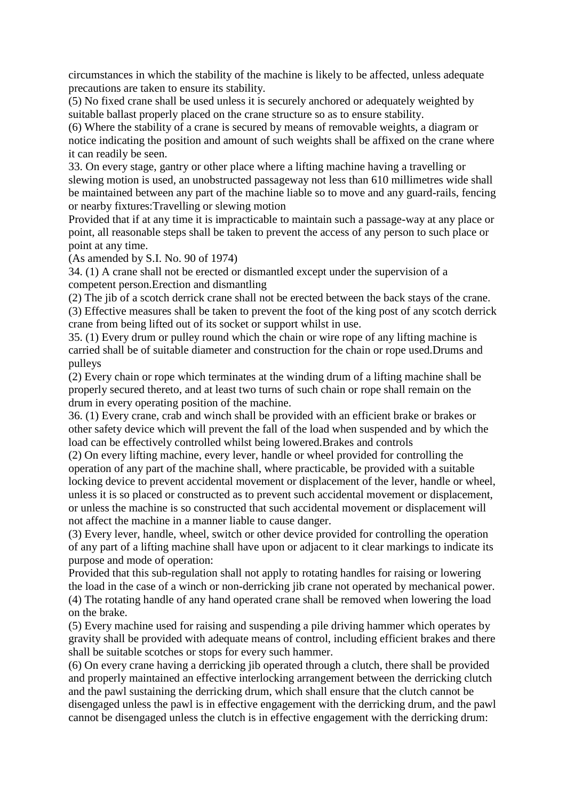circumstances in which the stability of the machine is likely to be affected, unless adequate precautions are taken to ensure its stability.

(5) No fixed crane shall be used unless it is securely anchored or adequately weighted by suitable ballast properly placed on the crane structure so as to ensure stability.

(6) Where the stability of a crane is secured by means of removable weights, a diagram or notice indicating the position and amount of such weights shall be affixed on the crane where it can readily be seen.

33. On every stage, gantry or other place where a lifting machine having a travelling or slewing motion is used, an unobstructed passageway not less than 610 millimetres wide shall be maintained between any part of the machine liable so to move and any guard-rails, fencing or nearby fixtures:Travelling or slewing motion

Provided that if at any time it is impracticable to maintain such a passage-way at any place or point, all reasonable steps shall be taken to prevent the access of any person to such place or point at any time.

(As amended by S.I. No. 90 of 1974)

34. (1) A crane shall not be erected or dismantled except under the supervision of a competent person.Erection and dismantling

(2) The jib of a scotch derrick crane shall not be erected between the back stays of the crane. (3) Effective measures shall be taken to prevent the foot of the king post of any scotch derrick crane from being lifted out of its socket or support whilst in use.

35. (1) Every drum or pulley round which the chain or wire rope of any lifting machine is carried shall be of suitable diameter and construction for the chain or rope used.Drums and pulleys

(2) Every chain or rope which terminates at the winding drum of a lifting machine shall be properly secured thereto, and at least two turns of such chain or rope shall remain on the drum in every operating position of the machine.

36. (1) Every crane, crab and winch shall be provided with an efficient brake or brakes or other safety device which will prevent the fall of the load when suspended and by which the load can be effectively controlled whilst being lowered.Brakes and controls

(2) On every lifting machine, every lever, handle or wheel provided for controlling the operation of any part of the machine shall, where practicable, be provided with a suitable locking device to prevent accidental movement or displacement of the lever, handle or wheel, unless it is so placed or constructed as to prevent such accidental movement or displacement, or unless the machine is so constructed that such accidental movement or displacement will not affect the machine in a manner liable to cause danger.

(3) Every lever, handle, wheel, switch or other device provided for controlling the operation of any part of a lifting machine shall have upon or adjacent to it clear markings to indicate its purpose and mode of operation:

Provided that this sub-regulation shall not apply to rotating handles for raising or lowering the load in the case of a winch or non-derricking jib crane not operated by mechanical power. (4) The rotating handle of any hand operated crane shall be removed when lowering the load on the brake.

(5) Every machine used for raising and suspending a pile driving hammer which operates by gravity shall be provided with adequate means of control, including efficient brakes and there shall be suitable scotches or stops for every such hammer.

(6) On every crane having a derricking jib operated through a clutch, there shall be provided and properly maintained an effective interlocking arrangement between the derricking clutch and the pawl sustaining the derricking drum, which shall ensure that the clutch cannot be disengaged unless the pawl is in effective engagement with the derricking drum, and the pawl cannot be disengaged unless the clutch is in effective engagement with the derricking drum: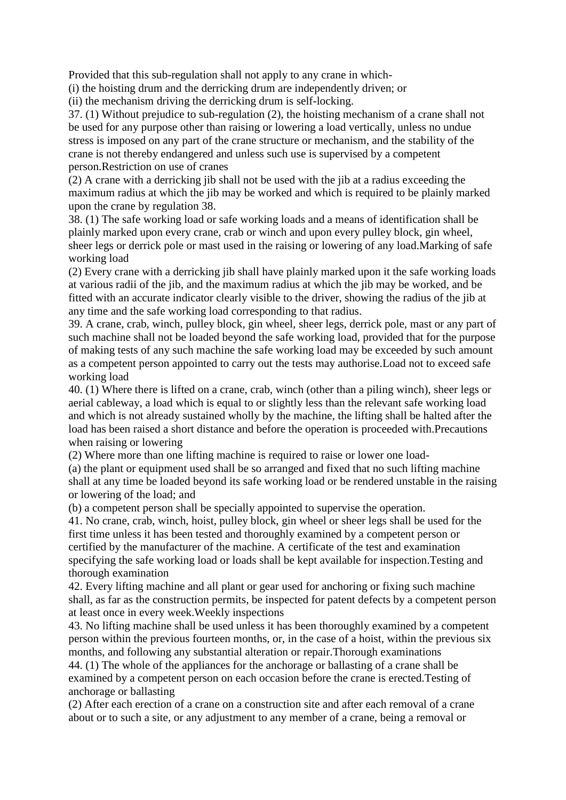Provided that this sub-regulation shall not apply to any crane in which-

(i) the hoisting drum and the derricking drum are independently driven; or

(ii) the mechanism driving the derricking drum is self-locking.

37. (1) Without prejudice to sub-regulation (2), the hoisting mechanism of a crane shall not be used for any purpose other than raising or lowering a load vertically, unless no undue stress is imposed on any part of the crane structure or mechanism, and the stability of the crane is not thereby endangered and unless such use is supervised by a competent person.Restriction on use of cranes

(2) A crane with a derricking jib shall not be used with the jib at a radius exceeding the maximum radius at which the jib may be worked and which is required to be plainly marked upon the crane by regulation 38.

38. (1) The safe working load or safe working loads and a means of identification shall be plainly marked upon every crane, crab or winch and upon every pulley block, gin wheel, sheer legs or derrick pole or mast used in the raising or lowering of any load.Marking of safe working load

(2) Every crane with a derricking jib shall have plainly marked upon it the safe working loads at various radii of the jib, and the maximum radius at which the jib may be worked, and be fitted with an accurate indicator clearly visible to the driver, showing the radius of the jib at any time and the safe working load corresponding to that radius.

39. A crane, crab, winch, pulley block, gin wheel, sheer legs, derrick pole, mast or any part of such machine shall not be loaded beyond the safe working load, provided that for the purpose of making tests of any such machine the safe working load may be exceeded by such amount as a competent person appointed to carry out the tests may authorise.Load not to exceed safe working load

40. (1) Where there is lifted on a crane, crab, winch (other than a piling winch), sheer legs or aerial cableway, a load which is equal to or slightly less than the relevant safe working load and which is not already sustained wholly by the machine, the lifting shall be halted after the load has been raised a short distance and before the operation is proceeded with.Precautions when raising or lowering

(2) Where more than one lifting machine is required to raise or lower one load-

(a) the plant or equipment used shall be so arranged and fixed that no such lifting machine shall at any time be loaded beyond its safe working load or be rendered unstable in the raising or lowering of the load; and

(b) a competent person shall be specially appointed to supervise the operation.

41. No crane, crab, winch, hoist, pulley block, gin wheel or sheer legs shall be used for the first time unless it has been tested and thoroughly examined by a competent person or certified by the manufacturer of the machine. A certificate of the test and examination specifying the safe working load or loads shall be kept available for inspection.Testing and thorough examination

42. Every lifting machine and all plant or gear used for anchoring or fixing such machine shall, as far as the construction permits, be inspected for patent defects by a competent person at least once in every week.Weekly inspections

43. No lifting machine shall be used unless it has been thoroughly examined by a competent person within the previous fourteen months, or, in the case of a hoist, within the previous six months, and following any substantial alteration or repair.Thorough examinations

44. (1) The whole of the appliances for the anchorage or ballasting of a crane shall be examined by a competent person on each occasion before the crane is erected.Testing of anchorage or ballasting

(2) After each erection of a crane on a construction site and after each removal of a crane about or to such a site, or any adjustment to any member of a crane, being a removal or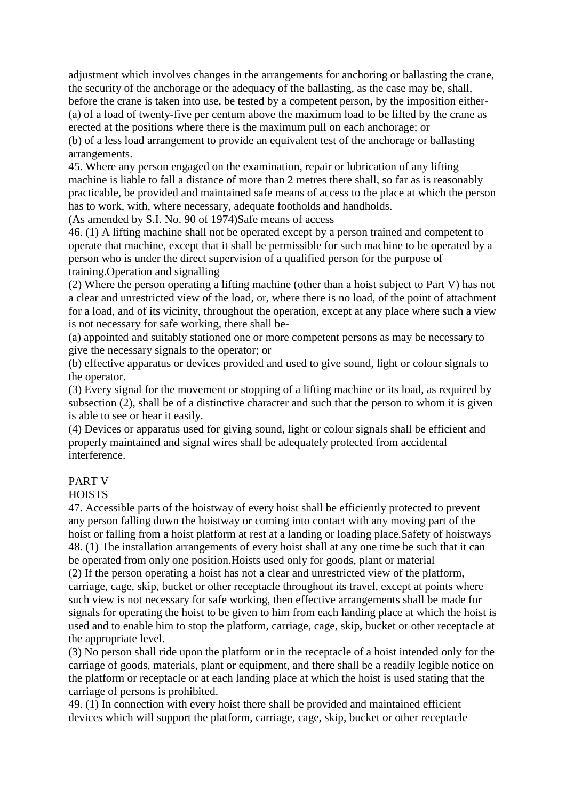adjustment which involves changes in the arrangements for anchoring or ballasting the crane, the security of the anchorage or the adequacy of the ballasting, as the case may be, shall, before the crane is taken into use, be tested by a competent person, by the imposition either- (a) of a load of twenty-five per centum above the maximum load to be lifted by the crane as erected at the positions where there is the maximum pull on each anchorage; or (b) of a less load arrangement to provide an equivalent test of the anchorage or ballasting arrangements.

45. Where any person engaged on the examination, repair or lubrication of any lifting machine is liable to fall a distance of more than 2 metres there shall, so far as is reasonably practicable, be provided and maintained safe means of access to the place at which the person has to work, with, where necessary, adequate footholds and handholds.

(As amended by S.I. No. 90 of 1974)Safe means of access

46. (1) A lifting machine shall not be operated except by a person trained and competent to operate that machine, except that it shall be permissible for such machine to be operated by a person who is under the direct supervision of a qualified person for the purpose of training.Operation and signalling

(2) Where the person operating a lifting machine (other than a hoist subject to Part V) has not a clear and unrestricted view of the load, or, where there is no load, of the point of attachment for a load, and of its vicinity, throughout the operation, except at any place where such a view is not necessary for safe working, there shall be-

(a) appointed and suitably stationed one or more competent persons as may be necessary to give the necessary signals to the operator; or

(b) effective apparatus or devices provided and used to give sound, light or colour signals to the operator.

(3) Every signal for the movement or stopping of a lifting machine or its load, as required by subsection (2), shall be of a distinctive character and such that the person to whom it is given is able to see or hear it easily.

(4) Devices or apparatus used for giving sound, light or colour signals shall be efficient and properly maintained and signal wires shall be adequately protected from accidental interference.

### PART V

#### **HOISTS**

47. Accessible parts of the hoistway of every hoist shall be efficiently protected to prevent any person falling down the hoistway or coming into contact with any moving part of the hoist or falling from a hoist platform at rest at a landing or loading place.Safety of hoistways 48. (1) The installation arrangements of every hoist shall at any one time be such that it can be operated from only one position.Hoists used only for goods, plant or material

(2) If the person operating a hoist has not a clear and unrestricted view of the platform, carriage, cage, skip, bucket or other receptacle throughout its travel, except at points where such view is not necessary for safe working, then effective arrangements shall be made for signals for operating the hoist to be given to him from each landing place at which the hoist is used and to enable him to stop the platform, carriage, cage, skip, bucket or other receptacle at the appropriate level.

(3) No person shall ride upon the platform or in the receptacle of a hoist intended only for the carriage of goods, materials, plant or equipment, and there shall be a readily legible notice on the platform or receptacle or at each landing place at which the hoist is used stating that the carriage of persons is prohibited.

49. (1) In connection with every hoist there shall be provided and maintained efficient devices which will support the platform, carriage, cage, skip, bucket or other receptacle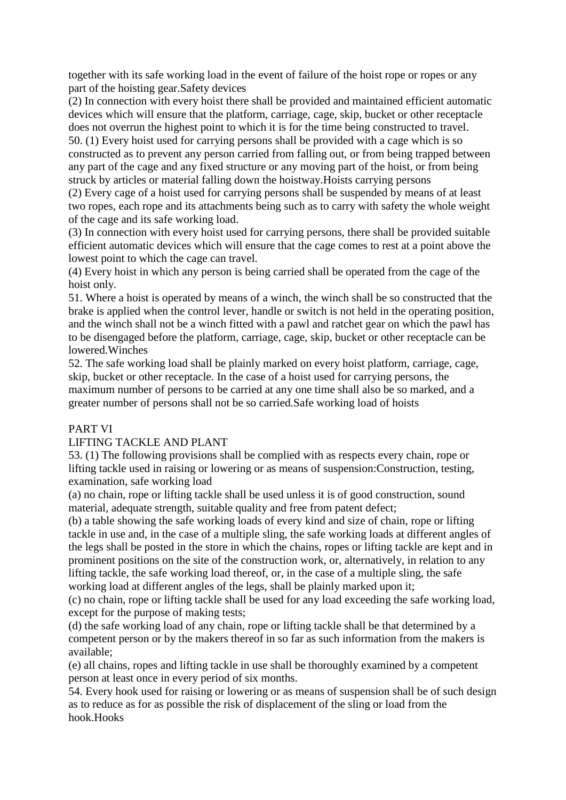together with its safe working load in the event of failure of the hoist rope or ropes or any part of the hoisting gear.Safety devices

(2) In connection with every hoist there shall be provided and maintained efficient automatic devices which will ensure that the platform, carriage, cage, skip, bucket or other receptacle does not overrun the highest point to which it is for the time being constructed to travel.

50. (1) Every hoist used for carrying persons shall be provided with a cage which is so constructed as to prevent any person carried from falling out, or from being trapped between any part of the cage and any fixed structure or any moving part of the hoist, or from being struck by articles or material falling down the hoistway.Hoists carrying persons

(2) Every cage of a hoist used for carrying persons shall be suspended by means of at least two ropes, each rope and its attachments being such as to carry with safety the whole weight of the cage and its safe working load.

(3) In connection with every hoist used for carrying persons, there shall be provided suitable efficient automatic devices which will ensure that the cage comes to rest at a point above the lowest point to which the cage can travel.

(4) Every hoist in which any person is being carried shall be operated from the cage of the hoist only.

51. Where a hoist is operated by means of a winch, the winch shall be so constructed that the brake is applied when the control lever, handle or switch is not held in the operating position, and the winch shall not be a winch fitted with a pawl and ratchet gear on which the pawl has to be disengaged before the platform, carriage, cage, skip, bucket or other receptacle can be lowered.Winches

52. The safe working load shall be plainly marked on every hoist platform, carriage, cage, skip, bucket or other receptacle. In the case of a hoist used for carrying persons, the maximum number of persons to be carried at any one time shall also be so marked, and a greater number of persons shall not be so carried.Safe working load of hoists

### PART VI

### LIFTING TACKLE AND PLANT

53. (1) The following provisions shall be complied with as respects every chain, rope or lifting tackle used in raising or lowering or as means of suspension:Construction, testing, examination, safe working load

(a) no chain, rope or lifting tackle shall be used unless it is of good construction, sound material, adequate strength, suitable quality and free from patent defect;

(b) a table showing the safe working loads of every kind and size of chain, rope or lifting tackle in use and, in the case of a multiple sling, the safe working loads at different angles of the legs shall be posted in the store in which the chains, ropes or lifting tackle are kept and in prominent positions on the site of the construction work, or, alternatively, in relation to any lifting tackle, the safe working load thereof, or, in the case of a multiple sling, the safe working load at different angles of the legs, shall be plainly marked upon it;

(c) no chain, rope or lifting tackle shall be used for any load exceeding the safe working load, except for the purpose of making tests;

(d) the safe working load of any chain, rope or lifting tackle shall be that determined by a competent person or by the makers thereof in so far as such information from the makers is available;

(e) all chains, ropes and lifting tackle in use shall be thoroughly examined by a competent person at least once in every period of six months.

54. Every hook used for raising or lowering or as means of suspension shall be of such design as to reduce as for as possible the risk of displacement of the sling or load from the hook.Hooks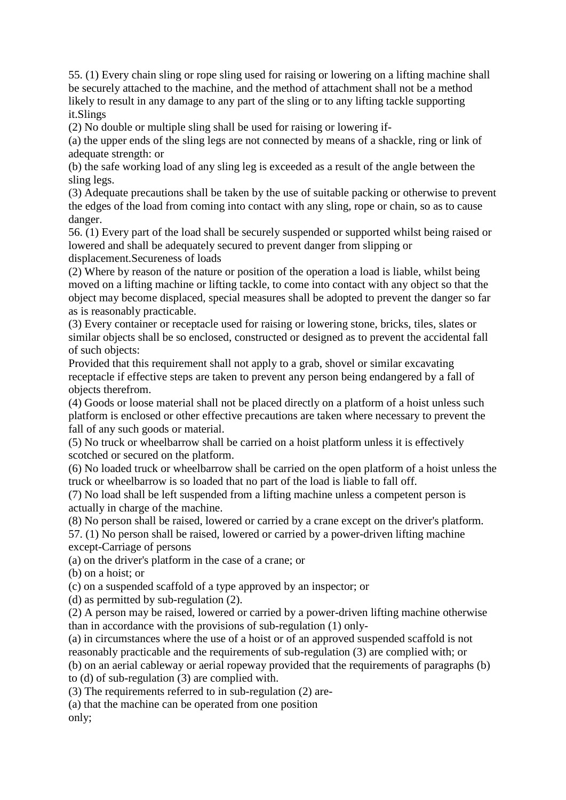55. (1) Every chain sling or rope sling used for raising or lowering on a lifting machine shall be securely attached to the machine, and the method of attachment shall not be a method likely to result in any damage to any part of the sling or to any lifting tackle supporting it.Slings

(2) No double or multiple sling shall be used for raising or lowering if-

(a) the upper ends of the sling legs are not connected by means of a shackle, ring or link of adequate strength: or

(b) the safe working load of any sling leg is exceeded as a result of the angle between the sling legs.

(3) Adequate precautions shall be taken by the use of suitable packing or otherwise to prevent the edges of the load from coming into contact with any sling, rope or chain, so as to cause danger.

56. (1) Every part of the load shall be securely suspended or supported whilst being raised or lowered and shall be adequately secured to prevent danger from slipping or displacement.Secureness of loads

(2) Where by reason of the nature or position of the operation a load is liable, whilst being moved on a lifting machine or lifting tackle, to come into contact with any object so that the object may become displaced, special measures shall be adopted to prevent the danger so far as is reasonably practicable.

(3) Every container or receptacle used for raising or lowering stone, bricks, tiles, slates or similar objects shall be so enclosed, constructed or designed as to prevent the accidental fall of such objects:

Provided that this requirement shall not apply to a grab, shovel or similar excavating receptacle if effective steps are taken to prevent any person being endangered by a fall of objects therefrom.

(4) Goods or loose material shall not be placed directly on a platform of a hoist unless such platform is enclosed or other effective precautions are taken where necessary to prevent the fall of any such goods or material.

(5) No truck or wheelbarrow shall be carried on a hoist platform unless it is effectively scotched or secured on the platform.

(6) No loaded truck or wheelbarrow shall be carried on the open platform of a hoist unless the truck or wheelbarrow is so loaded that no part of the load is liable to fall off.

(7) No load shall be left suspended from a lifting machine unless a competent person is actually in charge of the machine.

(8) No person shall be raised, lowered or carried by a crane except on the driver's platform.

57. (1) No person shall be raised, lowered or carried by a power-driven lifting machine except-Carriage of persons

(a) on the driver's platform in the case of a crane; or

(b) on a hoist; or

(c) on a suspended scaffold of a type approved by an inspector; or

(d) as permitted by sub-regulation (2).

(2) A person may be raised, lowered or carried by a power-driven lifting machine otherwise than in accordance with the provisions of sub-regulation (1) only-

(a) in circumstances where the use of a hoist or of an approved suspended scaffold is not reasonably practicable and the requirements of sub-regulation (3) are complied with; or (b) on an aerial cableway or aerial ropeway provided that the requirements of paragraphs (b) to (d) of sub-regulation (3) are complied with.

(3) The requirements referred to in sub-regulation (2) are-

(a) that the machine can be operated from one position only;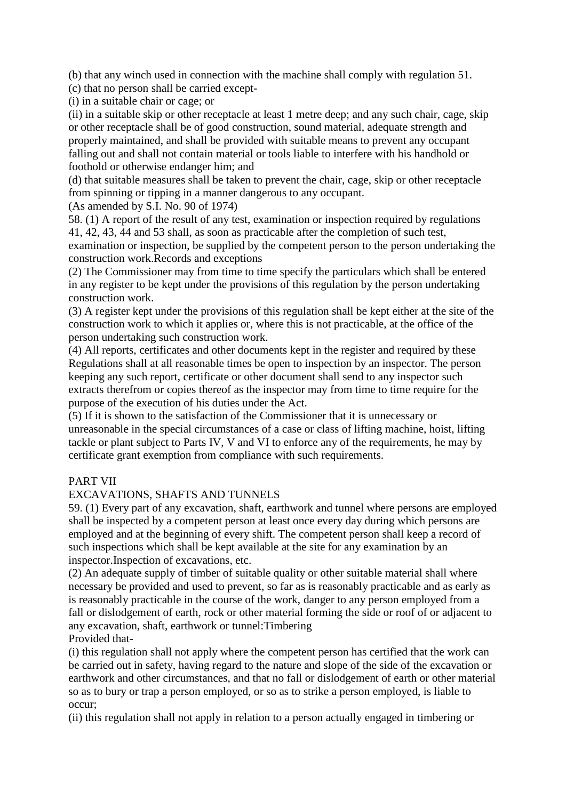(b) that any winch used in connection with the machine shall comply with regulation 51.

(c) that no person shall be carried except-

(i) in a suitable chair or cage; or

(ii) in a suitable skip or other receptacle at least 1 metre deep; and any such chair, cage, skip or other receptacle shall be of good construction, sound material, adequate strength and properly maintained, and shall be provided with suitable means to prevent any occupant falling out and shall not contain material or tools liable to interfere with his handhold or foothold or otherwise endanger him; and

(d) that suitable measures shall be taken to prevent the chair, cage, skip or other receptacle from spinning or tipping in a manner dangerous to any occupant.

(As amended by S.I. No. 90 of 1974)

58. (1) A report of the result of any test, examination or inspection required by regulations 41, 42, 43, 44 and 53 shall, as soon as practicable after the completion of such test,

examination or inspection, be supplied by the competent person to the person undertaking the construction work.Records and exceptions

(2) The Commissioner may from time to time specify the particulars which shall be entered in any register to be kept under the provisions of this regulation by the person undertaking construction work.

(3) A register kept under the provisions of this regulation shall be kept either at the site of the construction work to which it applies or, where this is not practicable, at the office of the person undertaking such construction work.

(4) All reports, certificates and other documents kept in the register and required by these Regulations shall at all reasonable times be open to inspection by an inspector. The person keeping any such report, certificate or other document shall send to any inspector such extracts therefrom or copies thereof as the inspector may from time to time require for the purpose of the execution of his duties under the Act.

(5) If it is shown to the satisfaction of the Commissioner that it is unnecessary or unreasonable in the special circumstances of a case or class of lifting machine, hoist, lifting tackle or plant subject to Parts IV, V and VI to enforce any of the requirements, he may by certificate grant exemption from compliance with such requirements.

### PART VII

### EXCAVATIONS, SHAFTS AND TUNNELS

59. (1) Every part of any excavation, shaft, earthwork and tunnel where persons are employed shall be inspected by a competent person at least once every day during which persons are employed and at the beginning of every shift. The competent person shall keep a record of such inspections which shall be kept available at the site for any examination by an inspector.Inspection of excavations, etc.

(2) An adequate supply of timber of suitable quality or other suitable material shall where necessary be provided and used to prevent, so far as is reasonably practicable and as early as is reasonably practicable in the course of the work, danger to any person employed from a fall or dislodgement of earth, rock or other material forming the side or roof of or adjacent to any excavation, shaft, earthwork or tunnel:Timbering Provided that-

(i) this regulation shall not apply where the competent person has certified that the work can be carried out in safety, having regard to the nature and slope of the side of the excavation or earthwork and other circumstances, and that no fall or dislodgement of earth or other material so as to bury or trap a person employed, or so as to strike a person employed, is liable to occur;

(ii) this regulation shall not apply in relation to a person actually engaged in timbering or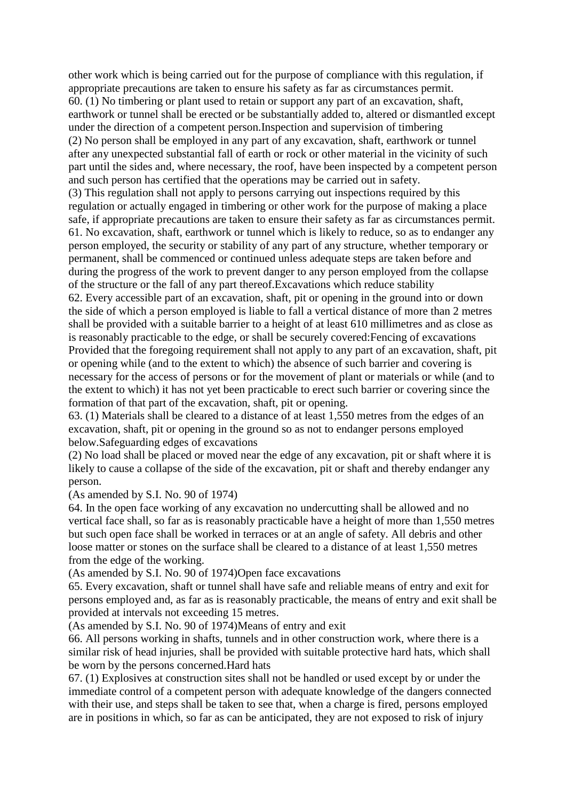other work which is being carried out for the purpose of compliance with this regulation, if appropriate precautions are taken to ensure his safety as far as circumstances permit. 60. (1) No timbering or plant used to retain or support any part of an excavation, shaft, earthwork or tunnel shall be erected or be substantially added to, altered or dismantled except under the direction of a competent person.Inspection and supervision of timbering (2) No person shall be employed in any part of any excavation, shaft, earthwork or tunnel after any unexpected substantial fall of earth or rock or other material in the vicinity of such part until the sides and, where necessary, the roof, have been inspected by a competent person and such person has certified that the operations may be carried out in safety. (3) This regulation shall not apply to persons carrying out inspections required by this regulation or actually engaged in timbering or other work for the purpose of making a place safe, if appropriate precautions are taken to ensure their safety as far as circumstances permit. 61. No excavation, shaft, earthwork or tunnel which is likely to reduce, so as to endanger any person employed, the security or stability of any part of any structure, whether temporary or permanent, shall be commenced or continued unless adequate steps are taken before and during the progress of the work to prevent danger to any person employed from the collapse of the structure or the fall of any part thereof.Excavations which reduce stability 62. Every accessible part of an excavation, shaft, pit or opening in the ground into or down the side of which a person employed is liable to fall a vertical distance of more than 2 metres shall be provided with a suitable barrier to a height of at least 610 millimetres and as close as is reasonably practicable to the edge, or shall be securely covered:Fencing of excavations Provided that the foregoing requirement shall not apply to any part of an excavation, shaft, pit or opening while (and to the extent to which) the absence of such barrier and covering is necessary for the access of persons or for the movement of plant or materials or while (and to the extent to which) it has not yet been practicable to erect such barrier or covering since the formation of that part of the excavation, shaft, pit or opening.

63. (1) Materials shall be cleared to a distance of at least 1,550 metres from the edges of an excavation, shaft, pit or opening in the ground so as not to endanger persons employed below.Safeguarding edges of excavations

(2) No load shall be placed or moved near the edge of any excavation, pit or shaft where it is likely to cause a collapse of the side of the excavation, pit or shaft and thereby endanger any person.

#### (As amended by S.I. No. 90 of 1974)

64. In the open face working of any excavation no undercutting shall be allowed and no vertical face shall, so far as is reasonably practicable have a height of more than 1,550 metres but such open face shall be worked in terraces or at an angle of safety. All debris and other loose matter or stones on the surface shall be cleared to a distance of at least 1,550 metres from the edge of the working.

(As amended by S.I. No. 90 of 1974)Open face excavations

65. Every excavation, shaft or tunnel shall have safe and reliable means of entry and exit for persons employed and, as far as is reasonably practicable, the means of entry and exit shall be provided at intervals not exceeding 15 metres.

(As amended by S.I. No. 90 of 1974)Means of entry and exit

66. All persons working in shafts, tunnels and in other construction work, where there is a similar risk of head injuries, shall be provided with suitable protective hard hats, which shall be worn by the persons concerned.Hard hats

67. (1) Explosives at construction sites shall not be handled or used except by or under the immediate control of a competent person with adequate knowledge of the dangers connected with their use, and steps shall be taken to see that, when a charge is fired, persons employed are in positions in which, so far as can be anticipated, they are not exposed to risk of injury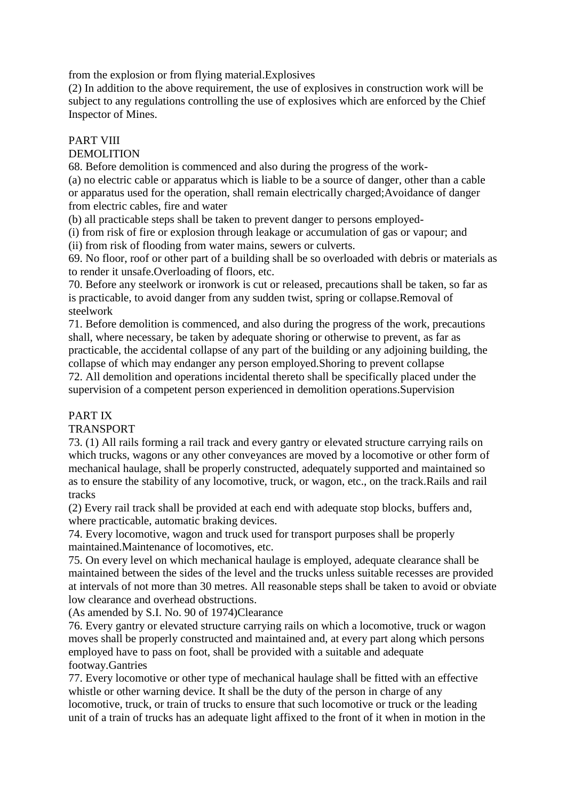from the explosion or from flying material.Explosives

(2) In addition to the above requirement, the use of explosives in construction work will be subject to any regulations controlling the use of explosives which are enforced by the Chief Inspector of Mines.

### PART VIII

### DEMOLITION

68. Before demolition is commenced and also during the progress of the work-

(a) no electric cable or apparatus which is liable to be a source of danger, other than a cable or apparatus used for the operation, shall remain electrically charged;Avoidance of danger from electric cables, fire and water

(b) all practicable steps shall be taken to prevent danger to persons employed-

(i) from risk of fire or explosion through leakage or accumulation of gas or vapour; and

(ii) from risk of flooding from water mains, sewers or culverts.

69. No floor, roof or other part of a building shall be so overloaded with debris or materials as to render it unsafe.Overloading of floors, etc.

70. Before any steelwork or ironwork is cut or released, precautions shall be taken, so far as is practicable, to avoid danger from any sudden twist, spring or collapse.Removal of steelwork

71. Before demolition is commenced, and also during the progress of the work, precautions shall, where necessary, be taken by adequate shoring or otherwise to prevent, as far as practicable, the accidental collapse of any part of the building or any adjoining building, the collapse of which may endanger any person employed.Shoring to prevent collapse

72. All demolition and operations incidental thereto shall be specifically placed under the supervision of a competent person experienced in demolition operations.Supervision

### PART IX

### TRANSPORT

73. (1) All rails forming a rail track and every gantry or elevated structure carrying rails on which trucks, wagons or any other conveyances are moved by a locomotive or other form of mechanical haulage, shall be properly constructed, adequately supported and maintained so as to ensure the stability of any locomotive, truck, or wagon, etc., on the track.Rails and rail tracks

(2) Every rail track shall be provided at each end with adequate stop blocks, buffers and, where practicable, automatic braking devices.

74. Every locomotive, wagon and truck used for transport purposes shall be properly maintained.Maintenance of locomotives, etc.

75. On every level on which mechanical haulage is employed, adequate clearance shall be maintained between the sides of the level and the trucks unless suitable recesses are provided at intervals of not more than 30 metres. All reasonable steps shall be taken to avoid or obviate low clearance and overhead obstructions.

(As amended by S.I. No. 90 of 1974)Clearance

76. Every gantry or elevated structure carrying rails on which a locomotive, truck or wagon moves shall be properly constructed and maintained and, at every part along which persons employed have to pass on foot, shall be provided with a suitable and adequate footway.Gantries

77. Every locomotive or other type of mechanical haulage shall be fitted with an effective whistle or other warning device. It shall be the duty of the person in charge of any locomotive, truck, or train of trucks to ensure that such locomotive or truck or the leading unit of a train of trucks has an adequate light affixed to the front of it when in motion in the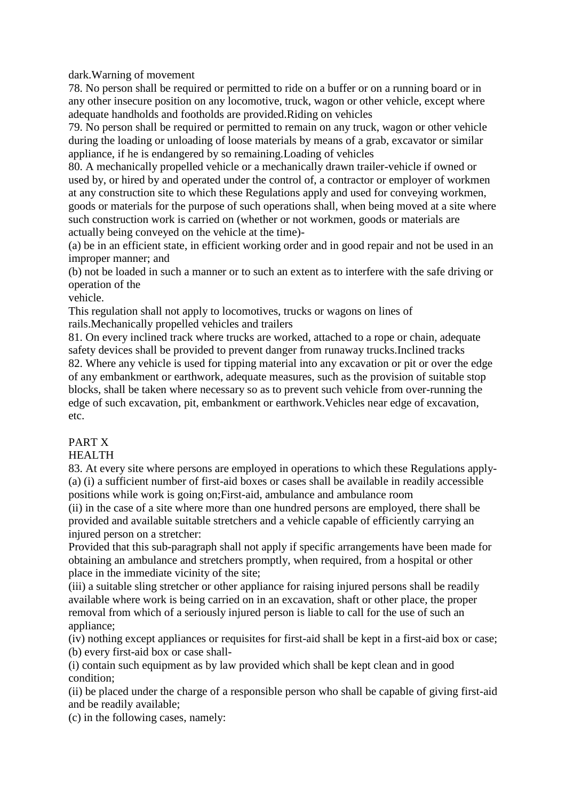dark.Warning of movement

78. No person shall be required or permitted to ride on a buffer or on a running board or in any other insecure position on any locomotive, truck, wagon or other vehicle, except where adequate handholds and footholds are provided.Riding on vehicles

79. No person shall be required or permitted to remain on any truck, wagon or other vehicle during the loading or unloading of loose materials by means of a grab, excavator or similar appliance, if he is endangered by so remaining.Loading of vehicles

80. A mechanically propelled vehicle or a mechanically drawn trailer-vehicle if owned or used by, or hired by and operated under the control of, a contractor or employer of workmen at any construction site to which these Regulations apply and used for conveying workmen, goods or materials for the purpose of such operations shall, when being moved at a site where such construction work is carried on (whether or not workmen, goods or materials are actually being conveyed on the vehicle at the time)-

(a) be in an efficient state, in efficient working order and in good repair and not be used in an improper manner; and

(b) not be loaded in such a manner or to such an extent as to interfere with the safe driving or operation of the

vehicle.

This regulation shall not apply to locomotives, trucks or wagons on lines of rails.Mechanically propelled vehicles and trailers

81. On every inclined track where trucks are worked, attached to a rope or chain, adequate safety devices shall be provided to prevent danger from runaway trucks.Inclined tracks 82. Where any vehicle is used for tipping material into any excavation or pit or over the edge of any embankment or earthwork, adequate measures, such as the provision of suitable stop blocks, shall be taken where necessary so as to prevent such vehicle from over-running the edge of such excavation, pit, embankment or earthwork.Vehicles near edge of excavation, etc.

# PART X

### HEALTH

83. At every site where persons are employed in operations to which these Regulations apply- (a) (i) a sufficient number of first-aid boxes or cases shall be available in readily accessible positions while work is going on;First-aid, ambulance and ambulance room

(ii) in the case of a site where more than one hundred persons are employed, there shall be provided and available suitable stretchers and a vehicle capable of efficiently carrying an injured person on a stretcher:

Provided that this sub-paragraph shall not apply if specific arrangements have been made for obtaining an ambulance and stretchers promptly, when required, from a hospital or other place in the immediate vicinity of the site;

(iii) a suitable sling stretcher or other appliance for raising injured persons shall be readily available where work is being carried on in an excavation, shaft or other place, the proper removal from which of a seriously injured person is liable to call for the use of such an appliance;

(iv) nothing except appliances or requisites for first-aid shall be kept in a first-aid box or case; (b) every first-aid box or case shall-

(i) contain such equipment as by law provided which shall be kept clean and in good condition;

(ii) be placed under the charge of a responsible person who shall be capable of giving first-aid and be readily available;

(c) in the following cases, namely: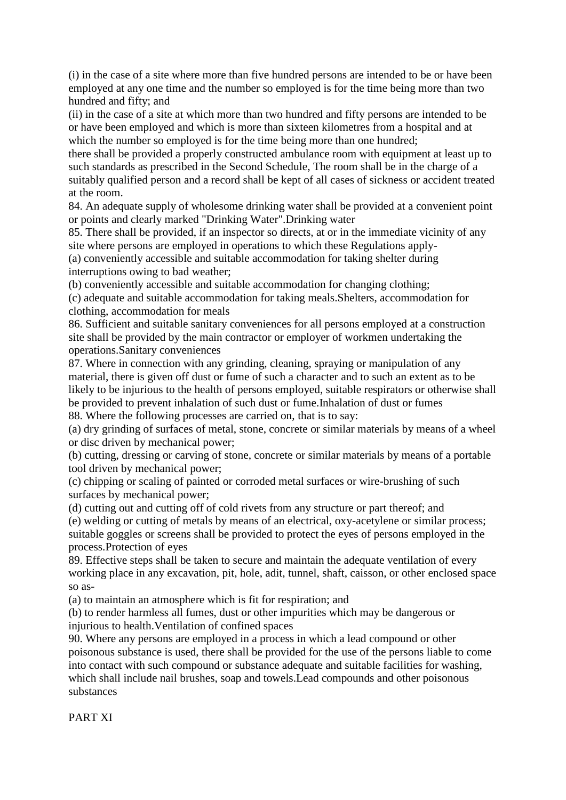(i) in the case of a site where more than five hundred persons are intended to be or have been employed at any one time and the number so employed is for the time being more than two hundred and fifty; and

(ii) in the case of a site at which more than two hundred and fifty persons are intended to be or have been employed and which is more than sixteen kilometres from a hospital and at which the number so employed is for the time being more than one hundred;

there shall be provided a properly constructed ambulance room with equipment at least up to such standards as prescribed in the Second Schedule, The room shall be in the charge of a suitably qualified person and a record shall be kept of all cases of sickness or accident treated at the room.

84. An adequate supply of wholesome drinking water shall be provided at a convenient point or points and clearly marked "Drinking Water".Drinking water

85. There shall be provided, if an inspector so directs, at or in the immediate vicinity of any site where persons are employed in operations to which these Regulations apply-

(a) conveniently accessible and suitable accommodation for taking shelter during interruptions owing to bad weather;

(b) conveniently accessible and suitable accommodation for changing clothing;

(c) adequate and suitable accommodation for taking meals.Shelters, accommodation for clothing, accommodation for meals

86. Sufficient and suitable sanitary conveniences for all persons employed at a construction site shall be provided by the main contractor or employer of workmen undertaking the operations.Sanitary conveniences

87. Where in connection with any grinding, cleaning, spraying or manipulation of any material, there is given off dust or fume of such a character and to such an extent as to be likely to be injurious to the health of persons employed, suitable respirators or otherwise shall be provided to prevent inhalation of such dust or fume.Inhalation of dust or fumes 88. Where the following processes are carried on, that is to say:

(a) dry grinding of surfaces of metal, stone, concrete or similar materials by means of a wheel or disc driven by mechanical power;

(b) cutting, dressing or carving of stone, concrete or similar materials by means of a portable tool driven by mechanical power;

(c) chipping or scaling of painted or corroded metal surfaces or wire-brushing of such surfaces by mechanical power;

(d) cutting out and cutting off of cold rivets from any structure or part thereof; and

(e) welding or cutting of metals by means of an electrical, oxy-acetylene or similar process; suitable goggles or screens shall be provided to protect the eyes of persons employed in the process.Protection of eyes

89. Effective steps shall be taken to secure and maintain the adequate ventilation of every working place in any excavation, pit, hole, adit, tunnel, shaft, caisson, or other enclosed space so as-

(a) to maintain an atmosphere which is fit for respiration; and

(b) to render harmless all fumes, dust or other impurities which may be dangerous or injurious to health.Ventilation of confined spaces

90. Where any persons are employed in a process in which a lead compound or other poisonous substance is used, there shall be provided for the use of the persons liable to come into contact with such compound or substance adequate and suitable facilities for washing, which shall include nail brushes, soap and towels.Lead compounds and other poisonous substances

PART XI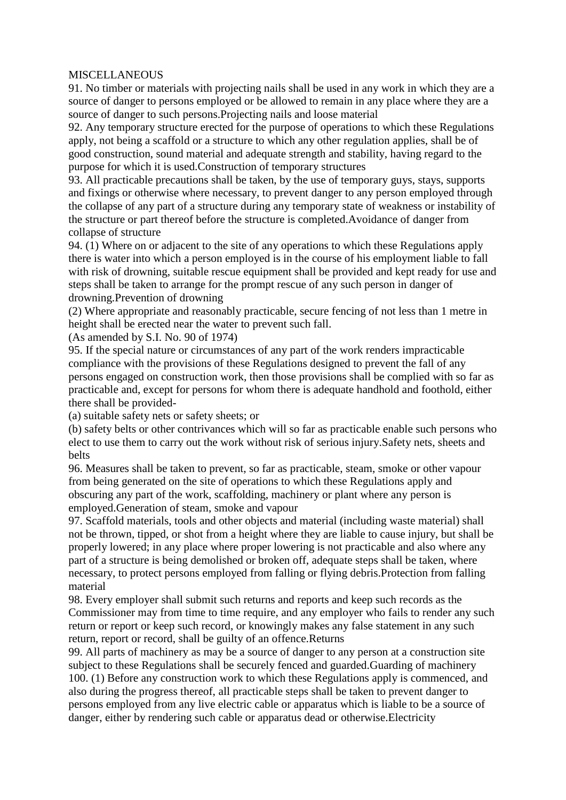#### MISCELLANEOUS

91. No timber or materials with projecting nails shall be used in any work in which they are a source of danger to persons employed or be allowed to remain in any place where they are a source of danger to such persons.Projecting nails and loose material

92. Any temporary structure erected for the purpose of operations to which these Regulations apply, not being a scaffold or a structure to which any other regulation applies, shall be of good construction, sound material and adequate strength and stability, having regard to the purpose for which it is used.Construction of temporary structures

93. All practicable precautions shall be taken, by the use of temporary guys, stays, supports and fixings or otherwise where necessary, to prevent danger to any person employed through the collapse of any part of a structure during any temporary state of weakness or instability of the structure or part thereof before the structure is completed.Avoidance of danger from collapse of structure

94. (1) Where on or adjacent to the site of any operations to which these Regulations apply there is water into which a person employed is in the course of his employment liable to fall with risk of drowning, suitable rescue equipment shall be provided and kept ready for use and steps shall be taken to arrange for the prompt rescue of any such person in danger of drowning.Prevention of drowning

(2) Where appropriate and reasonably practicable, secure fencing of not less than 1 metre in height shall be erected near the water to prevent such fall.

(As amended by S.I. No. 90 of 1974)

95. If the special nature or circumstances of any part of the work renders impracticable compliance with the provisions of these Regulations designed to prevent the fall of any persons engaged on construction work, then those provisions shall be complied with so far as practicable and, except for persons for whom there is adequate handhold and foothold, either there shall be provided-

(a) suitable safety nets or safety sheets; or

(b) safety belts or other contrivances which will so far as practicable enable such persons who elect to use them to carry out the work without risk of serious injury.Safety nets, sheets and belts

96. Measures shall be taken to prevent, so far as practicable, steam, smoke or other vapour from being generated on the site of operations to which these Regulations apply and obscuring any part of the work, scaffolding, machinery or plant where any person is employed.Generation of steam, smoke and vapour

97. Scaffold materials, tools and other objects and material (including waste material) shall not be thrown, tipped, or shot from a height where they are liable to cause injury, but shall be properly lowered; in any place where proper lowering is not practicable and also where any part of a structure is being demolished or broken off, adequate steps shall be taken, where necessary, to protect persons employed from falling or flying debris.Protection from falling material

98. Every employer shall submit such returns and reports and keep such records as the Commissioner may from time to time require, and any employer who fails to render any such return or report or keep such record, or knowingly makes any false statement in any such return, report or record, shall be guilty of an offence.Returns

99. All parts of machinery as may be a source of danger to any person at a construction site subject to these Regulations shall be securely fenced and guarded.Guarding of machinery 100. (1) Before any construction work to which these Regulations apply is commenced, and also during the progress thereof, all practicable steps shall be taken to prevent danger to persons employed from any live electric cable or apparatus which is liable to be a source of danger, either by rendering such cable or apparatus dead or otherwise.Electricity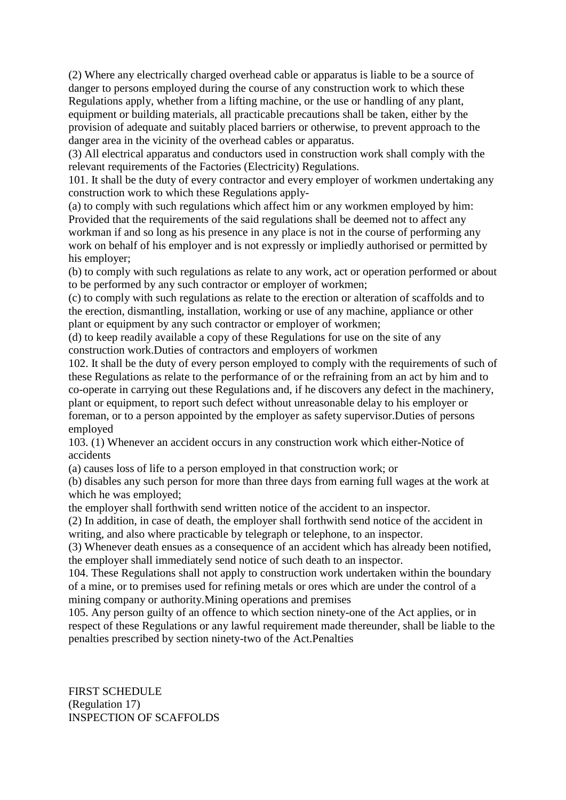(2) Where any electrically charged overhead cable or apparatus is liable to be a source of danger to persons employed during the course of any construction work to which these Regulations apply, whether from a lifting machine, or the use or handling of any plant, equipment or building materials, all practicable precautions shall be taken, either by the provision of adequate and suitably placed barriers or otherwise, to prevent approach to the danger area in the vicinity of the overhead cables or apparatus.

(3) All electrical apparatus and conductors used in construction work shall comply with the relevant requirements of the Factories (Electricity) Regulations.

101. It shall be the duty of every contractor and every employer of workmen undertaking any construction work to which these Regulations apply-

(a) to comply with such regulations which affect him or any workmen employed by him: Provided that the requirements of the said regulations shall be deemed not to affect any workman if and so long as his presence in any place is not in the course of performing any work on behalf of his employer and is not expressly or impliedly authorised or permitted by his employer;

(b) to comply with such regulations as relate to any work, act or operation performed or about to be performed by any such contractor or employer of workmen;

(c) to comply with such regulations as relate to the erection or alteration of scaffolds and to the erection, dismantling, installation, working or use of any machine, appliance or other plant or equipment by any such contractor or employer of workmen;

(d) to keep readily available a copy of these Regulations for use on the site of any construction work.Duties of contractors and employers of workmen

102. It shall be the duty of every person employed to comply with the requirements of such of these Regulations as relate to the performance of or the refraining from an act by him and to co-operate in carrying out these Regulations and, if he discovers any defect in the machinery, plant or equipment, to report such defect without unreasonable delay to his employer or foreman, or to a person appointed by the employer as safety supervisor.Duties of persons employed

103. (1) Whenever an accident occurs in any construction work which either-Notice of accidents

(a) causes loss of life to a person employed in that construction work; or

(b) disables any such person for more than three days from earning full wages at the work at which he was employed;

the employer shall forthwith send written notice of the accident to an inspector.

(2) In addition, in case of death, the employer shall forthwith send notice of the accident in writing, and also where practicable by telegraph or telephone, to an inspector.

(3) Whenever death ensues as a consequence of an accident which has already been notified, the employer shall immediately send notice of such death to an inspector.

104. These Regulations shall not apply to construction work undertaken within the boundary of a mine, or to premises used for refining metals or ores which are under the control of a mining company or authority.Mining operations and premises

105. Any person guilty of an offence to which section ninety-one of the Act applies, or in respect of these Regulations or any lawful requirement made thereunder, shall be liable to the penalties prescribed by section ninety-two of the Act.Penalties

FIRST SCHEDULE (Regulation 17) INSPECTION OF SCAFFOLDS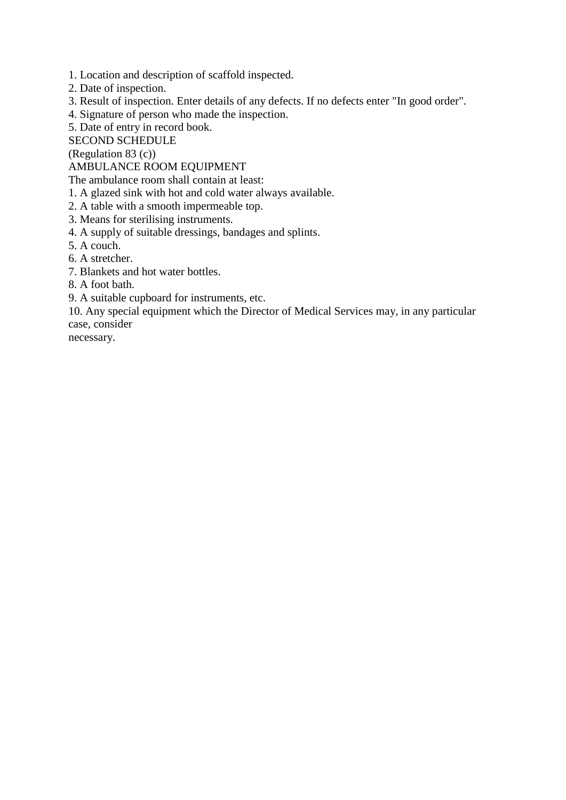- 1. Location and description of scaffold inspected.
- 2. Date of inspection.
- 3. Result of inspection. Enter details of any defects. If no defects enter "In good order".
- 4. Signature of person who made the inspection.
- 5. Date of entry in record book.

### SECOND SCHEDULE

(Regulation 83 (c))

AMBULANCE ROOM EQUIPMENT

The ambulance room shall contain at least:

- 1. A glazed sink with hot and cold water always available.
- 2. A table with a smooth impermeable top.
- 3. Means for sterilising instruments.
- 4. A supply of suitable dressings, bandages and splints.
- 5. A couch.
- 6. A stretcher.
- 7. Blankets and hot water bottles.
- 8. A foot bath.
- 9. A suitable cupboard for instruments, etc.

10. Any special equipment which the Director of Medical Services may, in any particular case, consider

necessary.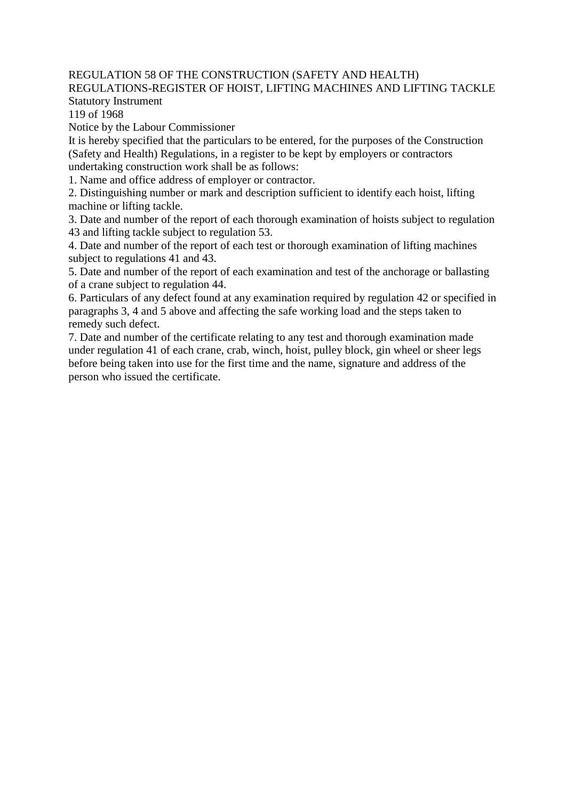#### REGULATION 58 OF THE CONSTRUCTION (SAFETY AND HEALTH) REGULATIONS-REGISTER OF HOIST, LIFTING MACHINES AND LIFTING TACKLE Statutory Instrument

119 of 1968

Notice by the Labour Commissioner

It is hereby specified that the particulars to be entered, for the purposes of the Construction (Safety and Health) Regulations, in a register to be kept by employers or contractors undertaking construction work shall be as follows:

1. Name and office address of employer or contractor.

2. Distinguishing number or mark and description sufficient to identify each hoist, lifting machine or lifting tackle.

3. Date and number of the report of each thorough examination of hoists subject to regulation 43 and lifting tackle subject to regulation 53.

4. Date and number of the report of each test or thorough examination of lifting machines subject to regulations 41 and 43.

5. Date and number of the report of each examination and test of the anchorage or ballasting of a crane subject to regulation 44.

6. Particulars of any defect found at any examination required by regulation 42 or specified in paragraphs 3, 4 and 5 above and affecting the safe working load and the steps taken to remedy such defect.

7. Date and number of the certificate relating to any test and thorough examination made under regulation 41 of each crane, crab, winch, hoist, pulley block, gin wheel or sheer legs before being taken into use for the first time and the name, signature and address of the person who issued the certificate.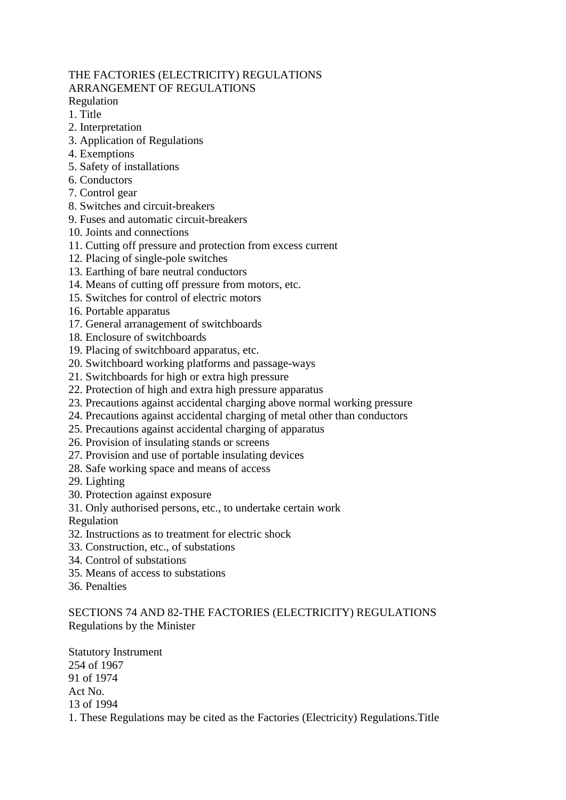# THE FACTORIES (ELECTRICITY) REGULATIONS ARRANGEMENT OF REGULATIONS

Regulation

- 1. Title
- 2. Interpretation
- 3. Application of Regulations
- 4. Exemptions
- 5. Safety of installations
- 6. Conductors
- 7. Control gear
- 8. Switches and circuit-breakers
- 9. Fuses and automatic circuit-breakers
- 10. Joints and connections
- 11. Cutting off pressure and protection from excess current
- 12. Placing of single-pole switches
- 13. Earthing of bare neutral conductors
- 14. Means of cutting off pressure from motors, etc.
- 15. Switches for control of electric motors
- 16. Portable apparatus
- 17. General arranagement of switchboards
- 18. Enclosure of switchboards
- 19. Placing of switchboard apparatus, etc.
- 20. Switchboard working platforms and passage-ways
- 21. Switchboards for high or extra high pressure
- 22. Protection of high and extra high pressure apparatus
- 23. Precautions against accidental charging above normal working pressure
- 24. Precautions against accidental charging of metal other than conductors
- 25. Precautions against accidental charging of apparatus
- 26. Provision of insulating stands or screens
- 27. Provision and use of portable insulating devices
- 28. Safe working space and means of access
- 29. Lighting
- 30. Protection against exposure
- 31. Only authorised persons, etc., to undertake certain work

Regulation

- 32. Instructions as to treatment for electric shock
- 33. Construction, etc., of substations
- 34. Control of substations
- 35. Means of access to substations
- 36. Penalties

### SECTIONS 74 AND 82-THE FACTORIES (ELECTRICITY) REGULATIONS Regulations by the Minister

Statutory Instrument 254 of 1967 91 of 1974 Act No. 13 of 1994 1. These Regulations may be cited as the Factories (Electricity) Regulations.Title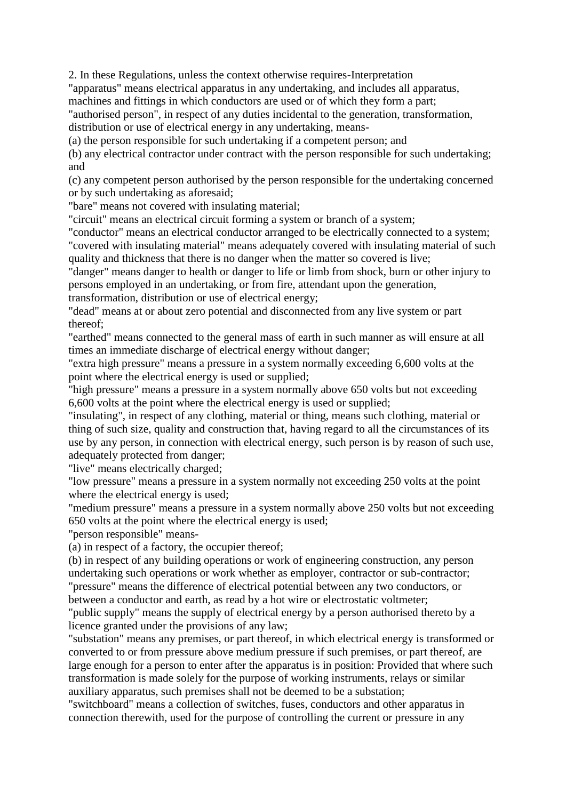2. In these Regulations, unless the context otherwise requires-Interpretation

"apparatus" means electrical apparatus in any undertaking, and includes all apparatus,

machines and fittings in which conductors are used or of which they form a part;

"authorised person", in respect of any duties incidental to the generation, transformation, distribution or use of electrical energy in any undertaking, means-

(a) the person responsible for such undertaking if a competent person; and

(b) any electrical contractor under contract with the person responsible for such undertaking; and

(c) any competent person authorised by the person responsible for the undertaking concerned or by such undertaking as aforesaid;

"bare" means not covered with insulating material;

"circuit" means an electrical circuit forming a system or branch of a system;

"conductor" means an electrical conductor arranged to be electrically connected to a system; "covered with insulating material" means adequately covered with insulating material of such quality and thickness that there is no danger when the matter so covered is live;

"danger" means danger to health or danger to life or limb from shock, burn or other injury to persons employed in an undertaking, or from fire, attendant upon the generation, transformation, distribution or use of electrical energy;

"dead" means at or about zero potential and disconnected from any live system or part thereof;

"earthed" means connected to the general mass of earth in such manner as will ensure at all times an immediate discharge of electrical energy without danger;

"extra high pressure" means a pressure in a system normally exceeding 6,600 volts at the point where the electrical energy is used or supplied;

"high pressure" means a pressure in a system normally above 650 volts but not exceeding 6,600 volts at the point where the electrical energy is used or supplied;

"insulating", in respect of any clothing, material or thing, means such clothing, material or thing of such size, quality and construction that, having regard to all the circumstances of its use by any person, in connection with electrical energy, such person is by reason of such use, adequately protected from danger;

"live" means electrically charged;

"low pressure" means a pressure in a system normally not exceeding 250 volts at the point where the electrical energy is used;

"medium pressure" means a pressure in a system normally above 250 volts but not exceeding 650 volts at the point where the electrical energy is used;

"person responsible" means-

(a) in respect of a factory, the occupier thereof;

(b) in respect of any building operations or work of engineering construction, any person undertaking such operations or work whether as employer, contractor or sub-contractor; "pressure" means the difference of electrical potential between any two conductors, or between a conductor and earth, as read by a hot wire or electrostatic voltmeter;

"public supply" means the supply of electrical energy by a person authorised thereto by a licence granted under the provisions of any law;

"substation" means any premises, or part thereof, in which electrical energy is transformed or converted to or from pressure above medium pressure if such premises, or part thereof, are large enough for a person to enter after the apparatus is in position: Provided that where such transformation is made solely for the purpose of working instruments, relays or similar auxiliary apparatus, such premises shall not be deemed to be a substation;

"switchboard" means a collection of switches, fuses, conductors and other apparatus in connection therewith, used for the purpose of controlling the current or pressure in any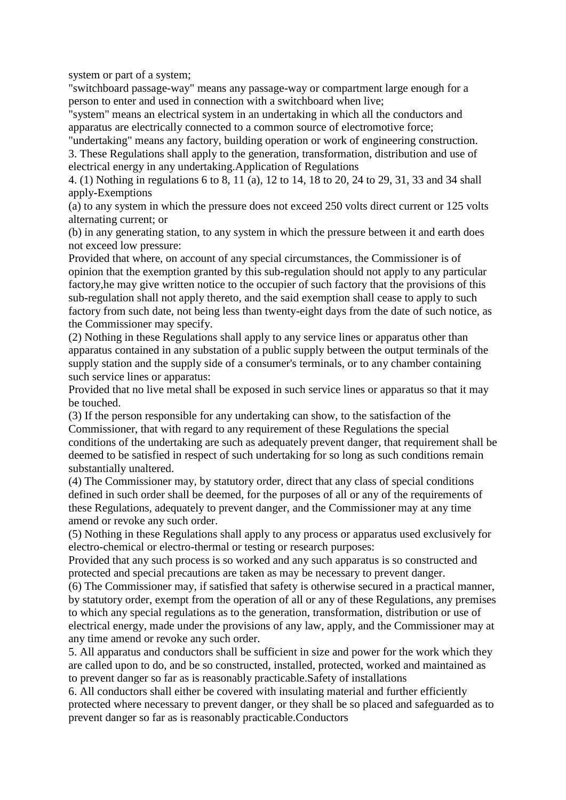system or part of a system;

"switchboard passage-way" means any passage-way or compartment large enough for a person to enter and used in connection with a switchboard when live;

"system" means an electrical system in an undertaking in which all the conductors and apparatus are electrically connected to a common source of electromotive force;

"undertaking" means any factory, building operation or work of engineering construction. 3. These Regulations shall apply to the generation, transformation, distribution and use of electrical energy in any undertaking.Application of Regulations

4. (1) Nothing in regulations 6 to 8, 11 (a), 12 to 14, 18 to 20, 24 to 29, 31, 33 and 34 shall apply-Exemptions

(a) to any system in which the pressure does not exceed 250 volts direct current or 125 volts alternating current; or

(b) in any generating station, to any system in which the pressure between it and earth does not exceed low pressure:

Provided that where, on account of any special circumstances, the Commissioner is of opinion that the exemption granted by this sub-regulation should not apply to any particular factory,he may give written notice to the occupier of such factory that the provisions of this sub-regulation shall not apply thereto, and the said exemption shall cease to apply to such factory from such date, not being less than twenty-eight days from the date of such notice, as the Commissioner may specify.

(2) Nothing in these Regulations shall apply to any service lines or apparatus other than apparatus contained in any substation of a public supply between the output terminals of the supply station and the supply side of a consumer's terminals, or to any chamber containing such service lines or apparatus:

Provided that no live metal shall be exposed in such service lines or apparatus so that it may be touched.

(3) If the person responsible for any undertaking can show, to the satisfaction of the Commissioner, that with regard to any requirement of these Regulations the special conditions of the undertaking are such as adequately prevent danger, that requirement shall be deemed to be satisfied in respect of such undertaking for so long as such conditions remain substantially unaltered.

(4) The Commissioner may, by statutory order, direct that any class of special conditions defined in such order shall be deemed, for the purposes of all or any of the requirements of these Regulations, adequately to prevent danger, and the Commissioner may at any time amend or revoke any such order.

(5) Nothing in these Regulations shall apply to any process or apparatus used exclusively for electro-chemical or electro-thermal or testing or research purposes:

Provided that any such process is so worked and any such apparatus is so constructed and protected and special precautions are taken as may be necessary to prevent danger.

(6) The Commissioner may, if satisfied that safety is otherwise secured in a practical manner, by statutory order, exempt from the operation of all or any of these Regulations, any premises to which any special regulations as to the generation, transformation, distribution or use of electrical energy, made under the provisions of any law, apply, and the Commissioner may at any time amend or revoke any such order.

5. All apparatus and conductors shall be sufficient in size and power for the work which they are called upon to do, and be so constructed, installed, protected, worked and maintained as to prevent danger so far as is reasonably practicable.Safety of installations

6. All conductors shall either be covered with insulating material and further efficiently protected where necessary to prevent danger, or they shall be so placed and safeguarded as to prevent danger so far as is reasonably practicable.Conductors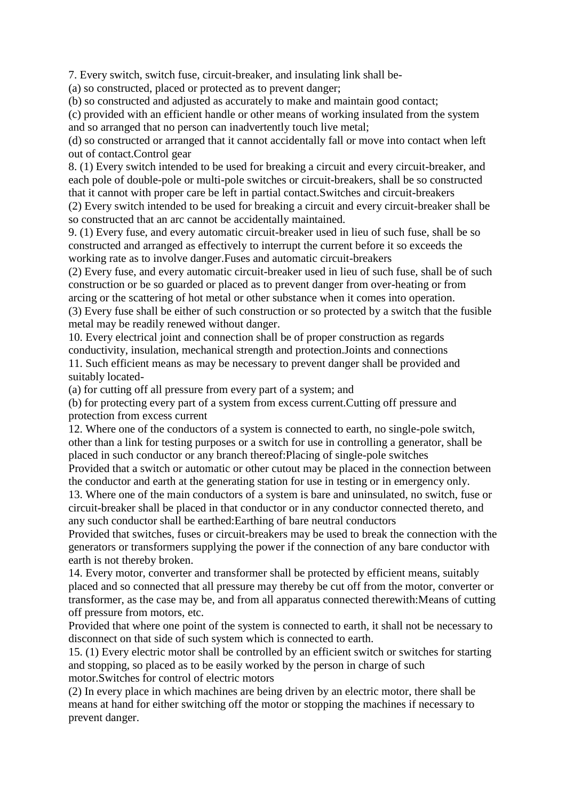7. Every switch, switch fuse, circuit-breaker, and insulating link shall be-

(a) so constructed, placed or protected as to prevent danger;

(b) so constructed and adjusted as accurately to make and maintain good contact;

(c) provided with an efficient handle or other means of working insulated from the system and so arranged that no person can inadvertently touch live metal;

(d) so constructed or arranged that it cannot accidentally fall or move into contact when left out of contact.Control gear

8. (1) Every switch intended to be used for breaking a circuit and every circuit-breaker, and each pole of double-pole or multi-pole switches or circuit-breakers, shall be so constructed that it cannot with proper care be left in partial contact.Switches and circuit-breakers

(2) Every switch intended to be used for breaking a circuit and every circuit-breaker shall be so constructed that an arc cannot be accidentally maintained.

9. (1) Every fuse, and every automatic circuit-breaker used in lieu of such fuse, shall be so constructed and arranged as effectively to interrupt the current before it so exceeds the working rate as to involve danger.Fuses and automatic circuit-breakers

(2) Every fuse, and every automatic circuit-breaker used in lieu of such fuse, shall be of such construction or be so guarded or placed as to prevent danger from over-heating or from arcing or the scattering of hot metal or other substance when it comes into operation. (3) Every fuse shall be either of such construction or so protected by a switch that the fusible metal may be readily renewed without danger.

10. Every electrical joint and connection shall be of proper construction as regards conductivity, insulation, mechanical strength and protection.Joints and connections 11. Such efficient means as may be necessary to prevent danger shall be provided and suitably located-

(a) for cutting off all pressure from every part of a system; and

(b) for protecting every part of a system from excess current.Cutting off pressure and protection from excess current

12. Where one of the conductors of a system is connected to earth, no single-pole switch, other than a link for testing purposes or a switch for use in controlling a generator, shall be placed in such conductor or any branch thereof:Placing of single-pole switches

Provided that a switch or automatic or other cutout may be placed in the connection between the conductor and earth at the generating station for use in testing or in emergency only.

13. Where one of the main conductors of a system is bare and uninsulated, no switch, fuse or circuit-breaker shall be placed in that conductor or in any conductor connected thereto, and any such conductor shall be earthed:Earthing of bare neutral conductors

Provided that switches, fuses or circuit-breakers may be used to break the connection with the generators or transformers supplying the power if the connection of any bare conductor with earth is not thereby broken.

14. Every motor, converter and transformer shall be protected by efficient means, suitably placed and so connected that all pressure may thereby be cut off from the motor, converter or transformer, as the case may be, and from all apparatus connected therewith:Means of cutting off pressure from motors, etc.

Provided that where one point of the system is connected to earth, it shall not be necessary to disconnect on that side of such system which is connected to earth.

15. (1) Every electric motor shall be controlled by an efficient switch or switches for starting and stopping, so placed as to be easily worked by the person in charge of such motor.Switches for control of electric motors

(2) In every place in which machines are being driven by an electric motor, there shall be means at hand for either switching off the motor or stopping the machines if necessary to prevent danger.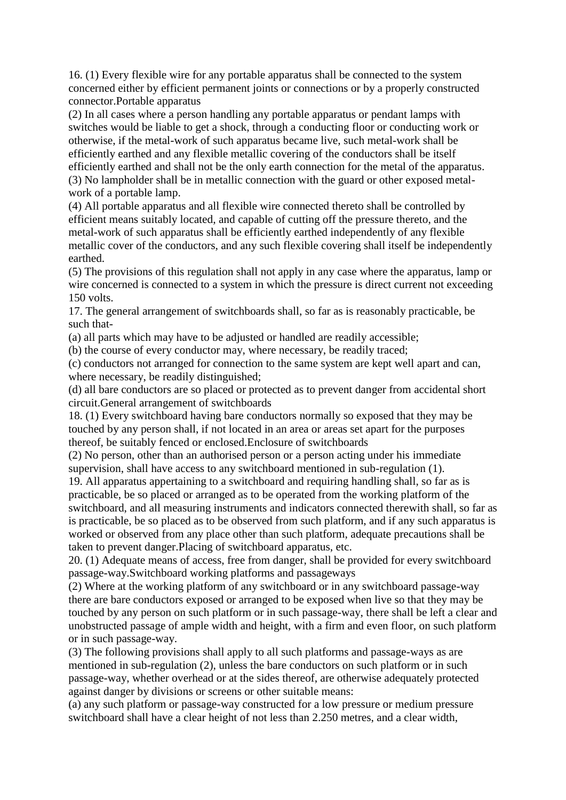16. (1) Every flexible wire for any portable apparatus shall be connected to the system concerned either by efficient permanent joints or connections or by a properly constructed connector.Portable apparatus

(2) In all cases where a person handling any portable apparatus or pendant lamps with switches would be liable to get a shock, through a conducting floor or conducting work or otherwise, if the metal-work of such apparatus became live, such metal-work shall be efficiently earthed and any flexible metallic covering of the conductors shall be itself efficiently earthed and shall not be the only earth connection for the metal of the apparatus. (3) No lampholder shall be in metallic connection with the guard or other exposed metalwork of a portable lamp.

(4) All portable apparatus and all flexible wire connected thereto shall be controlled by efficient means suitably located, and capable of cutting off the pressure thereto, and the metal-work of such apparatus shall be efficiently earthed independently of any flexible metallic cover of the conductors, and any such flexible covering shall itself be independently earthed.

(5) The provisions of this regulation shall not apply in any case where the apparatus, lamp or wire concerned is connected to a system in which the pressure is direct current not exceeding 150 volts.

17. The general arrangement of switchboards shall, so far as is reasonably practicable, be such that-

(a) all parts which may have to be adjusted or handled are readily accessible;

(b) the course of every conductor may, where necessary, be readily traced;

(c) conductors not arranged for connection to the same system are kept well apart and can, where necessary, be readily distinguished;

(d) all bare conductors are so placed or protected as to prevent danger from accidental short circuit.General arrangement of switchboards

18. (1) Every switchboard having bare conductors normally so exposed that they may be touched by any person shall, if not located in an area or areas set apart for the purposes thereof, be suitably fenced or enclosed.Enclosure of switchboards

(2) No person, other than an authorised person or a person acting under his immediate supervision, shall have access to any switchboard mentioned in sub-regulation (1).

19. All apparatus appertaining to a switchboard and requiring handling shall, so far as is practicable, be so placed or arranged as to be operated from the working platform of the switchboard, and all measuring instruments and indicators connected therewith shall, so far as is practicable, be so placed as to be observed from such platform, and if any such apparatus is worked or observed from any place other than such platform, adequate precautions shall be taken to prevent danger.Placing of switchboard apparatus, etc.

20. (1) Adequate means of access, free from danger, shall be provided for every switchboard passage-way.Switchboard working platforms and passageways

(2) Where at the working platform of any switchboard or in any switchboard passage-way there are bare conductors exposed or arranged to be exposed when live so that they may be touched by any person on such platform or in such passage-way, there shall be left a clear and unobstructed passage of ample width and height, with a firm and even floor, on such platform or in such passage-way.

(3) The following provisions shall apply to all such platforms and passage-ways as are mentioned in sub-regulation (2), unless the bare conductors on such platform or in such passage-way, whether overhead or at the sides thereof, are otherwise adequately protected against danger by divisions or screens or other suitable means:

(a) any such platform or passage-way constructed for a low pressure or medium pressure switchboard shall have a clear height of not less than 2.250 metres, and a clear width,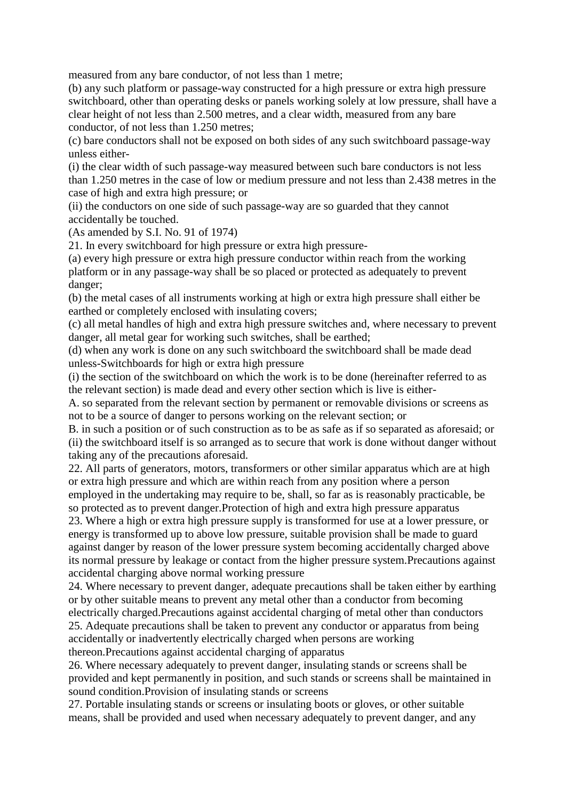measured from any bare conductor, of not less than 1 metre;

(b) any such platform or passage-way constructed for a high pressure or extra high pressure switchboard, other than operating desks or panels working solely at low pressure, shall have a clear height of not less than 2.500 metres, and a clear width, measured from any bare conductor, of not less than 1.250 metres;

(c) bare conductors shall not be exposed on both sides of any such switchboard passage-way unless either-

(i) the clear width of such passage-way measured between such bare conductors is not less than 1.250 metres in the case of low or medium pressure and not less than 2.438 metres in the case of high and extra high pressure; or

(ii) the conductors on one side of such passage-way are so guarded that they cannot accidentally be touched.

(As amended by S.I. No. 91 of 1974)

21. In every switchboard for high pressure or extra high pressure-

(a) every high pressure or extra high pressure conductor within reach from the working platform or in any passage-way shall be so placed or protected as adequately to prevent danger;

(b) the metal cases of all instruments working at high or extra high pressure shall either be earthed or completely enclosed with insulating covers;

(c) all metal handles of high and extra high pressure switches and, where necessary to prevent danger, all metal gear for working such switches, shall be earthed;

(d) when any work is done on any such switchboard the switchboard shall be made dead unless-Switchboards for high or extra high pressure

(i) the section of the switchboard on which the work is to be done (hereinafter referred to as the relevant section) is made dead and every other section which is live is either-

A. so separated from the relevant section by permanent or removable divisions or screens as not to be a source of danger to persons working on the relevant section; or

B. in such a position or of such construction as to be as safe as if so separated as aforesaid; or (ii) the switchboard itself is so arranged as to secure that work is done without danger without taking any of the precautions aforesaid.

22. All parts of generators, motors, transformers or other similar apparatus which are at high or extra high pressure and which are within reach from any position where a person employed in the undertaking may require to be, shall, so far as is reasonably practicable, be so protected as to prevent danger.Protection of high and extra high pressure apparatus

23. Where a high or extra high pressure supply is transformed for use at a lower pressure, or energy is transformed up to above low pressure, suitable provision shall be made to guard against danger by reason of the lower pressure system becoming accidentally charged above its normal pressure by leakage or contact from the higher pressure system.Precautions against accidental charging above normal working pressure

24. Where necessary to prevent danger, adequate precautions shall be taken either by earthing or by other suitable means to prevent any metal other than a conductor from becoming electrically charged.Precautions against accidental charging of metal other than conductors 25. Adequate precautions shall be taken to prevent any conductor or apparatus from being accidentally or inadvertently electrically charged when persons are working

thereon.Precautions against accidental charging of apparatus

26. Where necessary adequately to prevent danger, insulating stands or screens shall be provided and kept permanently in position, and such stands or screens shall be maintained in sound condition.Provision of insulating stands or screens

27. Portable insulating stands or screens or insulating boots or gloves, or other suitable means, shall be provided and used when necessary adequately to prevent danger, and any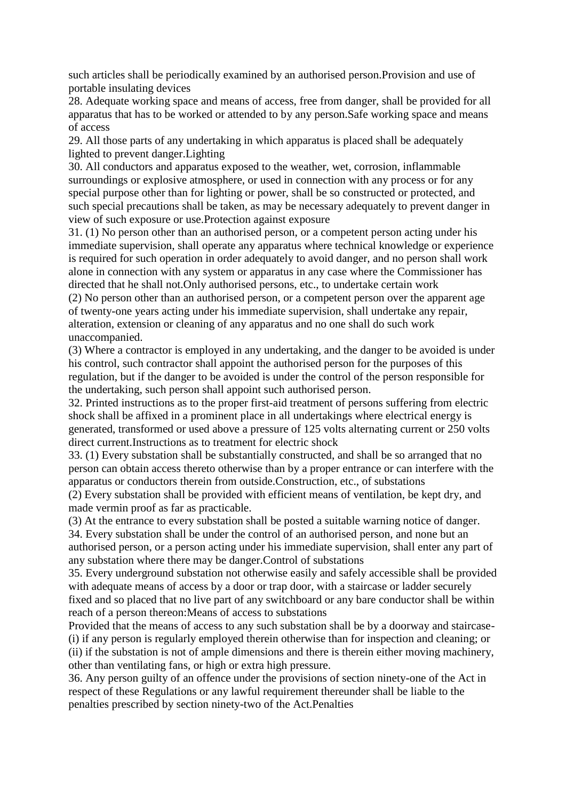such articles shall be periodically examined by an authorised person.Provision and use of portable insulating devices

28. Adequate working space and means of access, free from danger, shall be provided for all apparatus that has to be worked or attended to by any person.Safe working space and means of access

29. All those parts of any undertaking in which apparatus is placed shall be adequately lighted to prevent danger.Lighting

30. All conductors and apparatus exposed to the weather, wet, corrosion, inflammable surroundings or explosive atmosphere, or used in connection with any process or for any special purpose other than for lighting or power, shall be so constructed or protected, and such special precautions shall be taken, as may be necessary adequately to prevent danger in view of such exposure or use.Protection against exposure

31. (1) No person other than an authorised person, or a competent person acting under his immediate supervision, shall operate any apparatus where technical knowledge or experience is required for such operation in order adequately to avoid danger, and no person shall work alone in connection with any system or apparatus in any case where the Commissioner has directed that he shall not.Only authorised persons, etc., to undertake certain work

(2) No person other than an authorised person, or a competent person over the apparent age of twenty-one years acting under his immediate supervision, shall undertake any repair, alteration, extension or cleaning of any apparatus and no one shall do such work unaccompanied.

(3) Where a contractor is employed in any undertaking, and the danger to be avoided is under his control, such contractor shall appoint the authorised person for the purposes of this regulation, but if the danger to be avoided is under the control of the person responsible for the undertaking, such person shall appoint such authorised person.

32. Printed instructions as to the proper first-aid treatment of persons suffering from electric shock shall be affixed in a prominent place in all undertakings where electrical energy is generated, transformed or used above a pressure of 125 volts alternating current or 250 volts direct current.Instructions as to treatment for electric shock

33. (1) Every substation shall be substantially constructed, and shall be so arranged that no person can obtain access thereto otherwise than by a proper entrance or can interfere with the apparatus or conductors therein from outside.Construction, etc., of substations

(2) Every substation shall be provided with efficient means of ventilation, be kept dry, and made vermin proof as far as practicable.

(3) At the entrance to every substation shall be posted a suitable warning notice of danger.

34. Every substation shall be under the control of an authorised person, and none but an authorised person, or a person acting under his immediate supervision, shall enter any part of any substation where there may be danger.Control of substations

35. Every underground substation not otherwise easily and safely accessible shall be provided with adequate means of access by a door or trap door, with a staircase or ladder securely fixed and so placed that no live part of any switchboard or any bare conductor shall be within reach of a person thereon:Means of access to substations

Provided that the means of access to any such substation shall be by a doorway and staircase- (i) if any person is regularly employed therein otherwise than for inspection and cleaning; or (ii) if the substation is not of ample dimensions and there is therein either moving machinery, other than ventilating fans, or high or extra high pressure.

36. Any person guilty of an offence under the provisions of section ninety-one of the Act in respect of these Regulations or any lawful requirement thereunder shall be liable to the penalties prescribed by section ninety-two of the Act.Penalties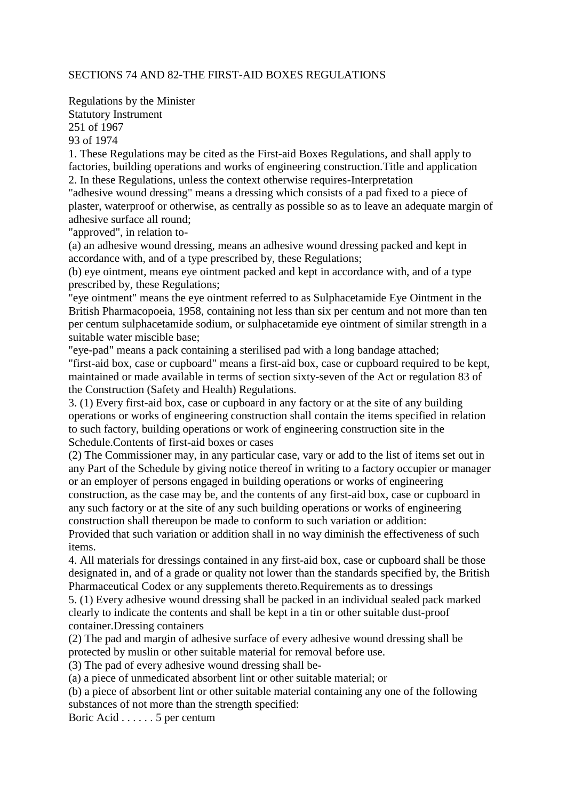#### SECTIONS 74 AND 82-THE FIRST-AID BOXES REGULATIONS

Regulations by the Minister Statutory Instrument 251 of 1967 93 of 1974

1. These Regulations may be cited as the First-aid Boxes Regulations, and shall apply to factories, building operations and works of engineering construction.Title and application 2. In these Regulations, unless the context otherwise requires-Interpretation

"adhesive wound dressing" means a dressing which consists of a pad fixed to a piece of plaster, waterproof or otherwise, as centrally as possible so as to leave an adequate margin of adhesive surface all round;

"approved", in relation to-

(a) an adhesive wound dressing, means an adhesive wound dressing packed and kept in accordance with, and of a type prescribed by, these Regulations;

(b) eye ointment, means eye ointment packed and kept in accordance with, and of a type prescribed by, these Regulations;

"eye ointment" means the eye ointment referred to as Sulphacetamide Eye Ointment in the British Pharmacopoeia, 1958, containing not less than six per centum and not more than ten per centum sulphacetamide sodium, or sulphacetamide eye ointment of similar strength in a suitable water miscible base;

"eye-pad" means a pack containing a sterilised pad with a long bandage attached; "first-aid box, case or cupboard" means a first-aid box, case or cupboard required to be kept, maintained or made available in terms of section sixty-seven of the Act or regulation 83 of the Construction (Safety and Health) Regulations.

3. (1) Every first-aid box, case or cupboard in any factory or at the site of any building operations or works of engineering construction shall contain the items specified in relation to such factory, building operations or work of engineering construction site in the Schedule.Contents of first-aid boxes or cases

(2) The Commissioner may, in any particular case, vary or add to the list of items set out in any Part of the Schedule by giving notice thereof in writing to a factory occupier or manager or an employer of persons engaged in building operations or works of engineering construction, as the case may be, and the contents of any first-aid box, case or cupboard in any such factory or at the site of any such building operations or works of engineering construction shall thereupon be made to conform to such variation or addition: Provided that such variation or addition shall in no way diminish the effectiveness of such

items.

4. All materials for dressings contained in any first-aid box, case or cupboard shall be those designated in, and of a grade or quality not lower than the standards specified by, the British Pharmaceutical Codex or any supplements thereto.Requirements as to dressings

5. (1) Every adhesive wound dressing shall be packed in an individual sealed pack marked clearly to indicate the contents and shall be kept in a tin or other suitable dust-proof container.Dressing containers

(2) The pad and margin of adhesive surface of every adhesive wound dressing shall be protected by muslin or other suitable material for removal before use.

(3) The pad of every adhesive wound dressing shall be-

(a) a piece of unmedicated absorbent lint or other suitable material; or

(b) a piece of absorbent lint or other suitable material containing any one of the following substances of not more than the strength specified:

Boric Acid . . . . . . 5 per centum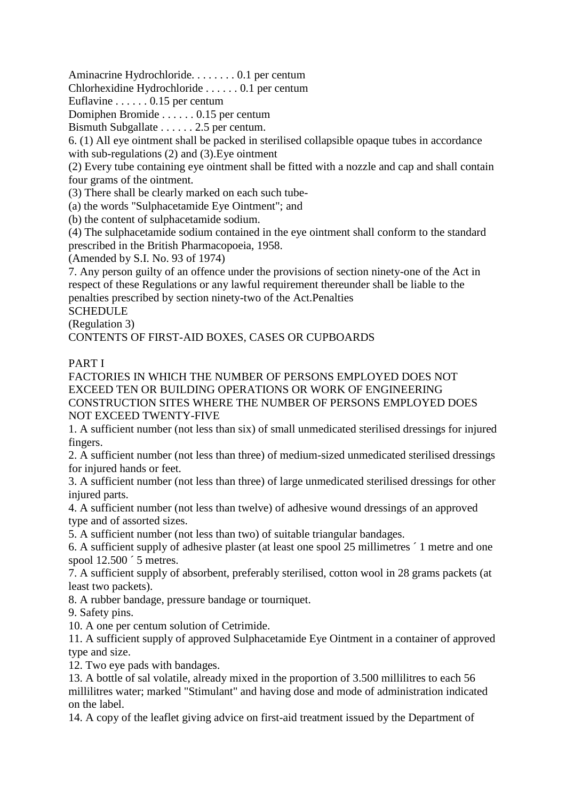Aminacrine Hydrochloride. . . . . . . . 0.1 per centum

Chlorhexidine Hydrochloride . . . . . . 0.1 per centum

Euflavine . . . . . . 0.15 per centum

Domiphen Bromide . . . . . . 0.15 per centum

Bismuth Subgallate . . . . . . 2.5 per centum.

6. (1) All eye ointment shall be packed in sterilised collapsible opaque tubes in accordance with sub-regulations (2) and (3). Eye ointment

(2) Every tube containing eye ointment shall be fitted with a nozzle and cap and shall contain four grams of the ointment.

(3) There shall be clearly marked on each such tube-

(a) the words "Sulphacetamide Eye Ointment"; and

(b) the content of sulphacetamide sodium.

(4) The sulphacetamide sodium contained in the eye ointment shall conform to the standard prescribed in the British Pharmacopoeia, 1958.

(Amended by S.I. No. 93 of 1974)

7. Any person guilty of an offence under the provisions of section ninety-one of the Act in respect of these Regulations or any lawful requirement thereunder shall be liable to the penalties prescribed by section ninety-two of the Act.Penalties

**SCHEDULE** 

(Regulation 3)

CONTENTS OF FIRST-AID BOXES, CASES OR CUPBOARDS

# PART I

FACTORIES IN WHICH THE NUMBER OF PERSONS EMPLOYED DOES NOT EXCEED TEN OR BUILDING OPERATIONS OR WORK OF ENGINEERING CONSTRUCTION SITES WHERE THE NUMBER OF PERSONS EMPLOYED DOES NOT EXCEED TWENTY-FIVE

1. A sufficient number (not less than six) of small unmedicated sterilised dressings for injured fingers.

2. A sufficient number (not less than three) of medium-sized unmedicated sterilised dressings for injured hands or feet.

3. A sufficient number (not less than three) of large unmedicated sterilised dressings for other injured parts.

4. A sufficient number (not less than twelve) of adhesive wound dressings of an approved type and of assorted sizes.

5. A sufficient number (not less than two) of suitable triangular bandages.

6. A sufficient supply of adhesive plaster (at least one spool 25 millimetres ´ 1 metre and one spool 12.500  $\degree$  5 metres.

7. A sufficient supply of absorbent, preferably sterilised, cotton wool in 28 grams packets (at least two packets).

8. A rubber bandage, pressure bandage or tourniquet.

9. Safety pins.

10. A one per centum solution of Cetrimide.

11. A sufficient supply of approved Sulphacetamide Eye Ointment in a container of approved type and size.

12. Two eye pads with bandages.

13. A bottle of sal volatile, already mixed in the proportion of 3.500 millilitres to each 56 millilitres water; marked "Stimulant" and having dose and mode of administration indicated on the label.

14. A copy of the leaflet giving advice on first-aid treatment issued by the Department of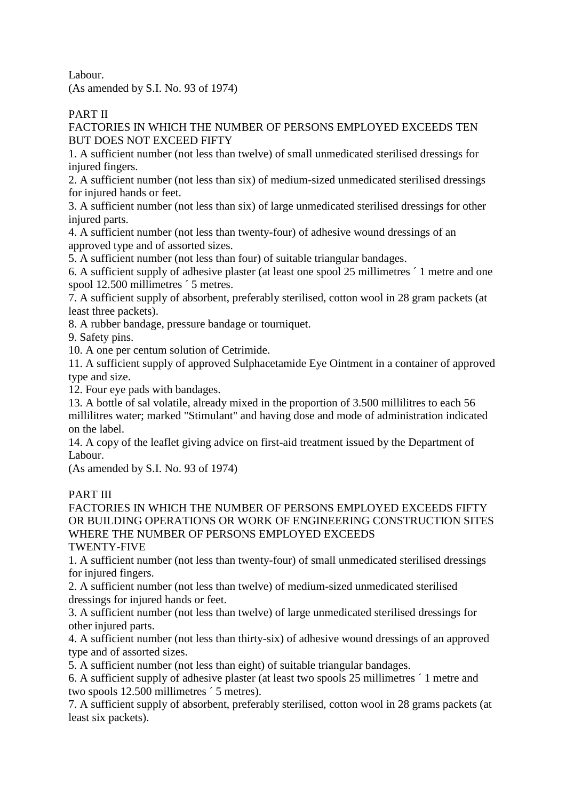Labour.

(As amended by S.I. No. 93 of 1974)

# PART II

FACTORIES IN WHICH THE NUMBER OF PERSONS EMPLOYED EXCEEDS TEN BUT DOES NOT EXCEED FIFTY

1. A sufficient number (not less than twelve) of small unmedicated sterilised dressings for injured fingers.

2. A sufficient number (not less than six) of medium-sized unmedicated sterilised dressings for injured hands or feet.

3. A sufficient number (not less than six) of large unmedicated sterilised dressings for other injured parts.

4. A sufficient number (not less than twenty-four) of adhesive wound dressings of an approved type and of assorted sizes.

5. A sufficient number (not less than four) of suitable triangular bandages.

6. A sufficient supply of adhesive plaster (at least one spool 25 millimetres ´ 1 metre and one spool 12.500 millimetres  $\hat{ }$  5 metres.

7. A sufficient supply of absorbent, preferably sterilised, cotton wool in 28 gram packets (at least three packets).

8. A rubber bandage, pressure bandage or tourniquet.

9. Safety pins.

10. A one per centum solution of Cetrimide.

11. A sufficient supply of approved Sulphacetamide Eye Ointment in a container of approved type and size.

12. Four eye pads with bandages.

13. A bottle of sal volatile, already mixed in the proportion of 3.500 millilitres to each 56 millilitres water; marked "Stimulant" and having dose and mode of administration indicated on the label.

14. A copy of the leaflet giving advice on first-aid treatment issued by the Department of Labour.

(As amended by S.I. No. 93 of 1974)

# PART III

FACTORIES IN WHICH THE NUMBER OF PERSONS EMPLOYED EXCEEDS FIFTY OR BUILDING OPERATIONS OR WORK OF ENGINEERING CONSTRUCTION SITES WHERE THE NUMBER OF PERSONS EMPLOYED EXCEEDS TWENTY-FIVE

1. A sufficient number (not less than twenty-four) of small unmedicated sterilised dressings for injured fingers.

2. A sufficient number (not less than twelve) of medium-sized unmedicated sterilised dressings for injured hands or feet.

3. A sufficient number (not less than twelve) of large unmedicated sterilised dressings for other injured parts.

4. A sufficient number (not less than thirty-six) of adhesive wound dressings of an approved type and of assorted sizes.

5. A sufficient number (not less than eight) of suitable triangular bandages.

6. A sufficient supply of adhesive plaster (at least two spools 25 millimetres ´ 1 metre and two spools 12.500 millimetres ´ 5 metres).

7. A sufficient supply of absorbent, preferably sterilised, cotton wool in 28 grams packets (at least six packets).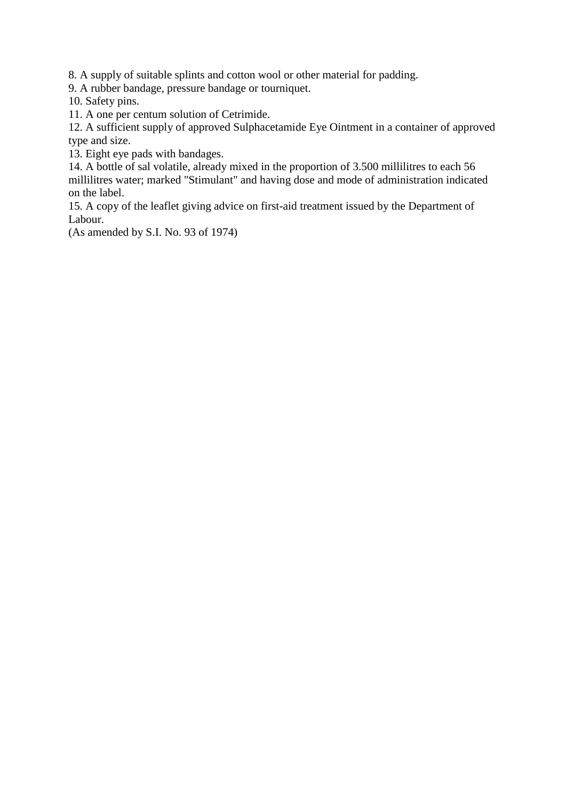8. A supply of suitable splints and cotton wool or other material for padding.

9. A rubber bandage, pressure bandage or tourniquet.

10. Safety pins.

11. A one per centum solution of Cetrimide.

12. A sufficient supply of approved Sulphacetamide Eye Ointment in a container of approved type and size.

13. Eight eye pads with bandages.

14. A bottle of sal volatile, already mixed in the proportion of 3.500 millilitres to each 56 millilitres water; marked "Stimulant" and having dose and mode of administration indicated on the label.

15. A copy of the leaflet giving advice on first-aid treatment issued by the Department of Labour.

(As amended by S.I. No. 93 of 1974)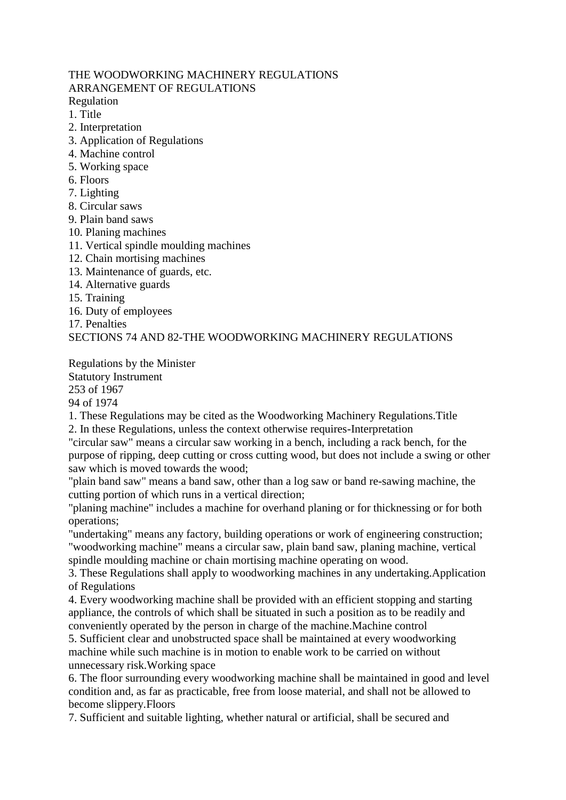# THE WOODWORKING MACHINERY REGULATIONS ARRANGEMENT OF REGULATIONS

Regulation

- 1. Title
- 2. Interpretation
- 3. Application of Regulations
- 4. Machine control
- 5. Working space
- 6. Floors
- 7. Lighting
- 8. Circular saws
- 9. Plain band saws
- 10. Planing machines
- 11. Vertical spindle moulding machines
- 12. Chain mortising machines
- 13. Maintenance of guards, etc.
- 14. Alternative guards
- 15. Training
- 16. Duty of employees
- 17. Penalties

# SECTIONS 74 AND 82-THE WOODWORKING MACHINERY REGULATIONS

Regulations by the Minister

Statutory Instrument

253 of 1967

94 of 1974

1. These Regulations may be cited as the Woodworking Machinery Regulations.Title

2. In these Regulations, unless the context otherwise requires-Interpretation

"circular saw" means a circular saw working in a bench, including a rack bench, for the purpose of ripping, deep cutting or cross cutting wood, but does not include a swing or other saw which is moved towards the wood;

"plain band saw" means a band saw, other than a log saw or band re-sawing machine, the cutting portion of which runs in a vertical direction;

"planing machine" includes a machine for overhand planing or for thicknessing or for both operations;

"undertaking" means any factory, building operations or work of engineering construction; "woodworking machine" means a circular saw, plain band saw, planing machine, vertical spindle moulding machine or chain mortising machine operating on wood.

3. These Regulations shall apply to woodworking machines in any undertaking.Application of Regulations

4. Every woodworking machine shall be provided with an efficient stopping and starting appliance, the controls of which shall be situated in such a position as to be readily and conveniently operated by the person in charge of the machine.Machine control

5. Sufficient clear and unobstructed space shall be maintained at every woodworking machine while such machine is in motion to enable work to be carried on without unnecessary risk.Working space

6. The floor surrounding every woodworking machine shall be maintained in good and level condition and, as far as practicable, free from loose material, and shall not be allowed to become slippery.Floors

7. Sufficient and suitable lighting, whether natural or artificial, shall be secured and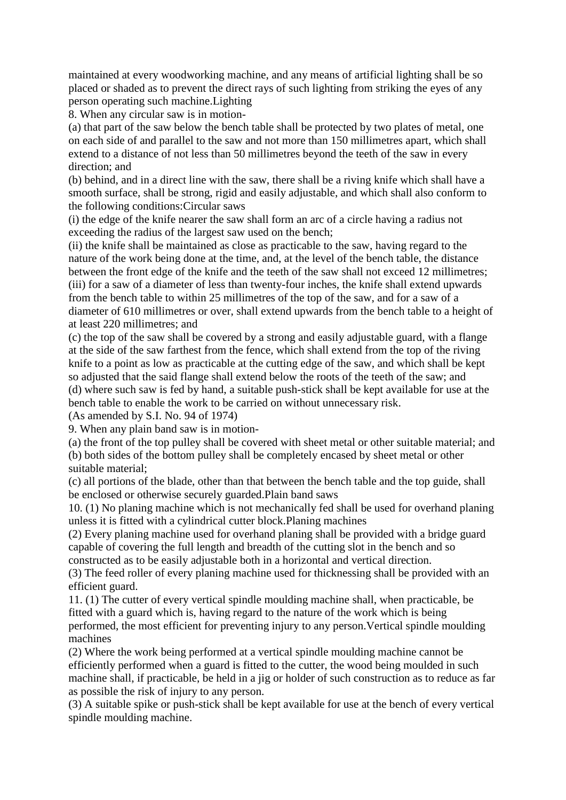maintained at every woodworking machine, and any means of artificial lighting shall be so placed or shaded as to prevent the direct rays of such lighting from striking the eyes of any person operating such machine.Lighting

8. When any circular saw is in motion-

(a) that part of the saw below the bench table shall be protected by two plates of metal, one on each side of and parallel to the saw and not more than 150 millimetres apart, which shall extend to a distance of not less than 50 millimetres beyond the teeth of the saw in every direction; and

(b) behind, and in a direct line with the saw, there shall be a riving knife which shall have a smooth surface, shall be strong, rigid and easily adjustable, and which shall also conform to the following conditions:Circular saws

(i) the edge of the knife nearer the saw shall form an arc of a circle having a radius not exceeding the radius of the largest saw used on the bench;

(ii) the knife shall be maintained as close as practicable to the saw, having regard to the nature of the work being done at the time, and, at the level of the bench table, the distance between the front edge of the knife and the teeth of the saw shall not exceed 12 millimetres; (iii) for a saw of a diameter of less than twenty-four inches, the knife shall extend upwards from the bench table to within 25 millimetres of the top of the saw, and for a saw of a diameter of 610 millimetres or over, shall extend upwards from the bench table to a height of at least 220 millimetres; and

(c) the top of the saw shall be covered by a strong and easily adjustable guard, with a flange at the side of the saw farthest from the fence, which shall extend from the top of the riving knife to a point as low as practicable at the cutting edge of the saw, and which shall be kept so adjusted that the said flange shall extend below the roots of the teeth of the saw; and (d) where such saw is fed by hand, a suitable push-stick shall be kept available for use at the bench table to enable the work to be carried on without unnecessary risk.

(As amended by S.I. No. 94 of 1974)

9. When any plain band saw is in motion-

(a) the front of the top pulley shall be covered with sheet metal or other suitable material; and (b) both sides of the bottom pulley shall be completely encased by sheet metal or other suitable material;

(c) all portions of the blade, other than that between the bench table and the top guide, shall be enclosed or otherwise securely guarded.Plain band saws

10. (1) No planing machine which is not mechanically fed shall be used for overhand planing unless it is fitted with a cylindrical cutter block.Planing machines

(2) Every planing machine used for overhand planing shall be provided with a bridge guard capable of covering the full length and breadth of the cutting slot in the bench and so constructed as to be easily adjustable both in a horizontal and vertical direction.

(3) The feed roller of every planing machine used for thicknessing shall be provided with an efficient guard.

11. (1) The cutter of every vertical spindle moulding machine shall, when practicable, be fitted with a guard which is, having regard to the nature of the work which is being performed, the most efficient for preventing injury to any person.Vertical spindle moulding machines

(2) Where the work being performed at a vertical spindle moulding machine cannot be efficiently performed when a guard is fitted to the cutter, the wood being moulded in such machine shall, if practicable, be held in a jig or holder of such construction as to reduce as far as possible the risk of injury to any person.

(3) A suitable spike or push-stick shall be kept available for use at the bench of every vertical spindle moulding machine.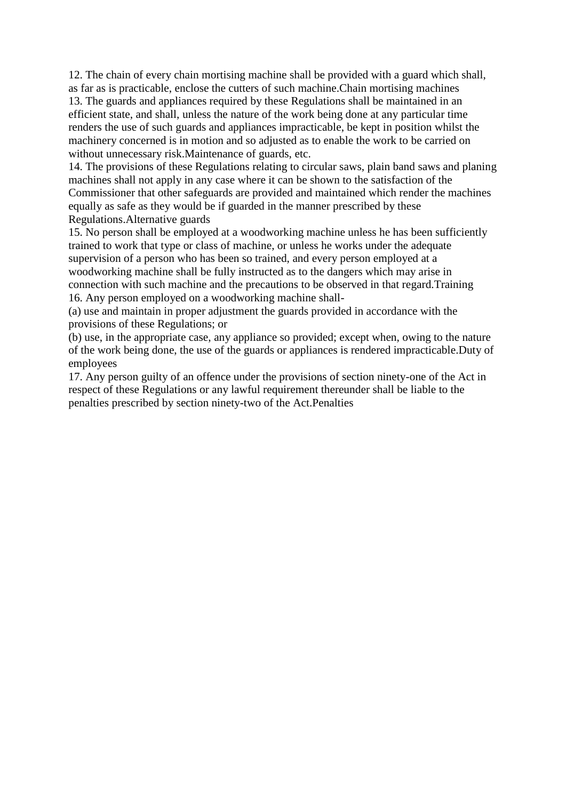12. The chain of every chain mortising machine shall be provided with a guard which shall, as far as is practicable, enclose the cutters of such machine.Chain mortising machines 13. The guards and appliances required by these Regulations shall be maintained in an efficient state, and shall, unless the nature of the work being done at any particular time renders the use of such guards and appliances impracticable, be kept in position whilst the machinery concerned is in motion and so adjusted as to enable the work to be carried on without unnecessary risk.Maintenance of guards, etc.

14. The provisions of these Regulations relating to circular saws, plain band saws and planing machines shall not apply in any case where it can be shown to the satisfaction of the Commissioner that other safeguards are provided and maintained which render the machines equally as safe as they would be if guarded in the manner prescribed by these Regulations.Alternative guards

15. No person shall be employed at a woodworking machine unless he has been sufficiently trained to work that type or class of machine, or unless he works under the adequate supervision of a person who has been so trained, and every person employed at a woodworking machine shall be fully instructed as to the dangers which may arise in connection with such machine and the precautions to be observed in that regard.Training 16. Any person employed on a woodworking machine shall-

(a) use and maintain in proper adjustment the guards provided in accordance with the provisions of these Regulations; or

(b) use, in the appropriate case, any appliance so provided; except when, owing to the nature of the work being done, the use of the guards or appliances is rendered impracticable.Duty of employees

17. Any person guilty of an offence under the provisions of section ninety-one of the Act in respect of these Regulations or any lawful requirement thereunder shall be liable to the penalties prescribed by section ninety-two of the Act.Penalties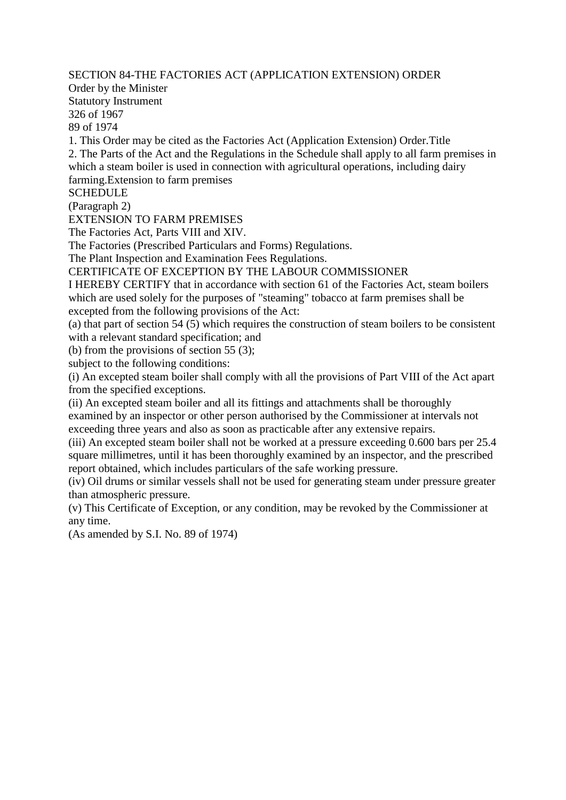SECTION 84-THE FACTORIES ACT (APPLICATION EXTENSION) ORDER

Order by the Minister Statutory Instrument 326 of 1967

89 of 1974

1. This Order may be cited as the Factories Act (Application Extension) Order.Title

2. The Parts of the Act and the Regulations in the Schedule shall apply to all farm premises in which a steam boiler is used in connection with agricultural operations, including dairy farming.Extension to farm premises

**SCHEDULE** 

(Paragraph 2)

EXTENSION TO FARM PREMISES

The Factories Act, Parts VIII and XIV.

The Factories (Prescribed Particulars and Forms) Regulations.

The Plant Inspection and Examination Fees Regulations.

CERTIFICATE OF EXCEPTION BY THE LABOUR COMMISSIONER

I HEREBY CERTIFY that in accordance with section 61 of the Factories Act, steam boilers which are used solely for the purposes of "steaming" tobacco at farm premises shall be excepted from the following provisions of the Act:

(a) that part of section 54 (5) which requires the construction of steam boilers to be consistent with a relevant standard specification; and

(b) from the provisions of section 55 (3);

subject to the following conditions:

(i) An excepted steam boiler shall comply with all the provisions of Part VIII of the Act apart from the specified exceptions.

(ii) An excepted steam boiler and all its fittings and attachments shall be thoroughly examined by an inspector or other person authorised by the Commissioner at intervals not exceeding three years and also as soon as practicable after any extensive repairs.

(iii) An excepted steam boiler shall not be worked at a pressure exceeding 0.600 bars per 25.4 square millimetres, until it has been thoroughly examined by an inspector, and the prescribed report obtained, which includes particulars of the safe working pressure.

(iv) Oil drums or similar vessels shall not be used for generating steam under pressure greater than atmospheric pressure.

(v) This Certificate of Exception, or any condition, may be revoked by the Commissioner at any time.

(As amended by S.I. No. 89 of 1974)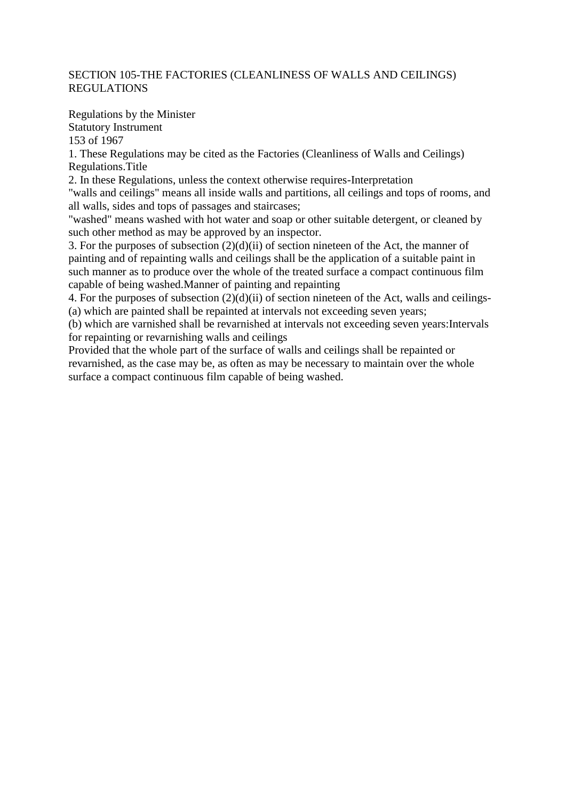### SECTION 105-THE FACTORIES (CLEANLINESS OF WALLS AND CEILINGS) REGULATIONS

Regulations by the Minister Statutory Instrument

153 of 1967

1. These Regulations may be cited as the Factories (Cleanliness of Walls and Ceilings) Regulations.Title

2. In these Regulations, unless the context otherwise requires-Interpretation "walls and ceilings" means all inside walls and partitions, all ceilings and tops of rooms, and all walls, sides and tops of passages and staircases;

"washed" means washed with hot water and soap or other suitable detergent, or cleaned by such other method as may be approved by an inspector.

3. For the purposes of subsection (2)(d)(ii) of section nineteen of the Act, the manner of painting and of repainting walls and ceilings shall be the application of a suitable paint in such manner as to produce over the whole of the treated surface a compact continuous film capable of being washed.Manner of painting and repainting

4. For the purposes of subsection  $(2)(d)(ii)$  of section nineteen of the Act, walls and ceilings-(a) which are painted shall be repainted at intervals not exceeding seven years;

(b) which are varnished shall be revarnished at intervals not exceeding seven years:Intervals for repainting or revarnishing walls and ceilings

Provided that the whole part of the surface of walls and ceilings shall be repainted or revarnished, as the case may be, as often as may be necessary to maintain over the whole surface a compact continuous film capable of being washed.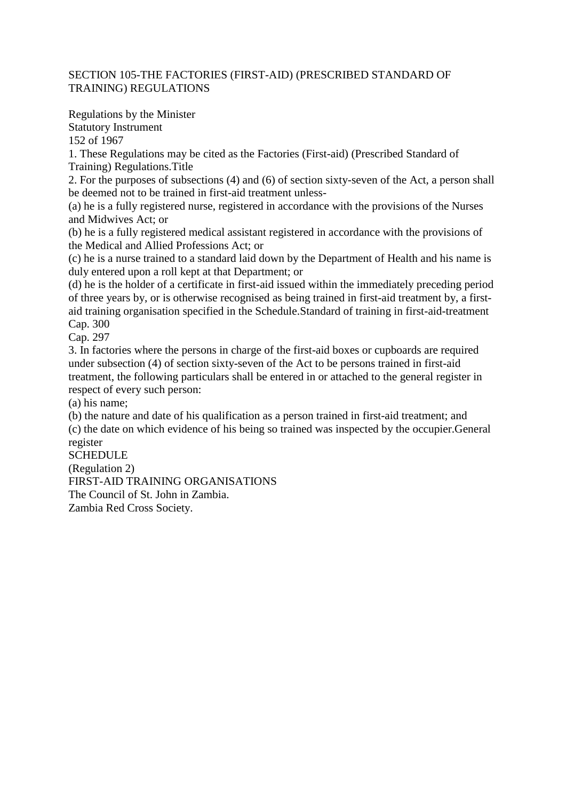# SECTION 105-THE FACTORIES (FIRST-AID) (PRESCRIBED STANDARD OF TRAINING) REGULATIONS

Regulations by the Minister Statutory Instrument

152 of 1967

1. These Regulations may be cited as the Factories (First-aid) (Prescribed Standard of Training) Regulations.Title

2. For the purposes of subsections (4) and (6) of section sixty-seven of the Act, a person shall be deemed not to be trained in first-aid treatment unless-

(a) he is a fully registered nurse, registered in accordance with the provisions of the Nurses and Midwives Act; or

(b) he is a fully registered medical assistant registered in accordance with the provisions of the Medical and Allied Professions Act; or

(c) he is a nurse trained to a standard laid down by the Department of Health and his name is duly entered upon a roll kept at that Department; or

(d) he is the holder of a certificate in first-aid issued within the immediately preceding period of three years by, or is otherwise recognised as being trained in first-aid treatment by, a firstaid training organisation specified in the Schedule.Standard of training in first-aid-treatment Cap. 300

Cap. 297

3. In factories where the persons in charge of the first-aid boxes or cupboards are required under subsection (4) of section sixty-seven of the Act to be persons trained in first-aid treatment, the following particulars shall be entered in or attached to the general register in respect of every such person:

(a) his name;

(b) the nature and date of his qualification as a person trained in first-aid treatment; and

(c) the date on which evidence of his being so trained was inspected by the occupier.General register

**SCHEDULE** 

(Regulation 2) FIRST-AID TRAINING ORGANISATIONS The Council of St. John in Zambia. Zambia Red Cross Society.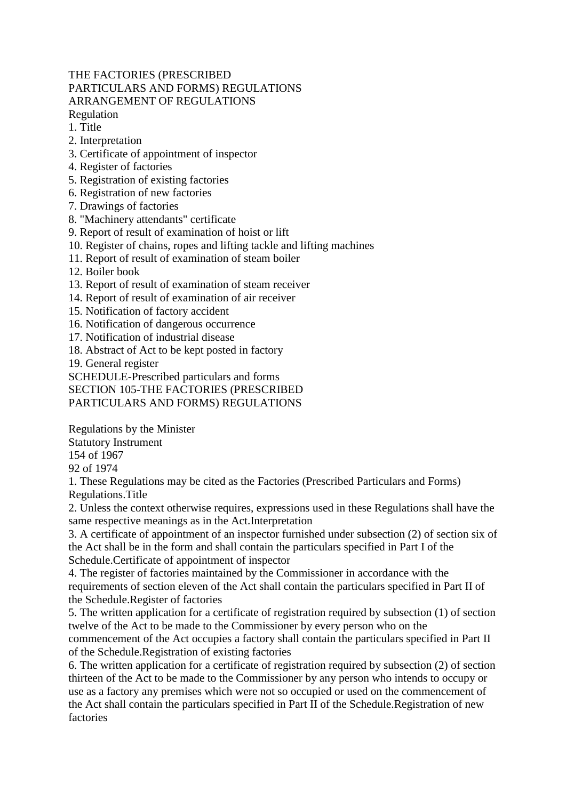#### THE FACTORIES (PRESCRIBED PARTICULARS AND FORMS) REGULATIONS ARRANGEMENT OF REGULATIONS Regulation

1. Title

- 2. Interpretation
- 3. Certificate of appointment of inspector
- 4. Register of factories
- 5. Registration of existing factories
- 6. Registration of new factories
- 7. Drawings of factories
- 8. "Machinery attendants" certificate
- 9. Report of result of examination of hoist or lift
- 10. Register of chains, ropes and lifting tackle and lifting machines
- 11. Report of result of examination of steam boiler
- 12. Boiler book
- 13. Report of result of examination of steam receiver
- 14. Report of result of examination of air receiver
- 15. Notification of factory accident
- 16. Notification of dangerous occurrence
- 17. Notification of industrial disease
- 18. Abstract of Act to be kept posted in factory
- 19. General register

SCHEDULE-Prescribed particulars and forms

SECTION 105-THE FACTORIES (PRESCRIBED

PARTICULARS AND FORMS) REGULATIONS

Regulations by the Minister Statutory Instrument

154 of 1967

92 of 1974

1. These Regulations may be cited as the Factories (Prescribed Particulars and Forms) Regulations.Title

2. Unless the context otherwise requires, expressions used in these Regulations shall have the same respective meanings as in the Act.Interpretation

3. A certificate of appointment of an inspector furnished under subsection (2) of section six of the Act shall be in the form and shall contain the particulars specified in Part I of the Schedule.Certificate of appointment of inspector

4. The register of factories maintained by the Commissioner in accordance with the requirements of section eleven of the Act shall contain the particulars specified in Part II of the Schedule.Register of factories

5. The written application for a certificate of registration required by subsection (1) of section twelve of the Act to be made to the Commissioner by every person who on the

commencement of the Act occupies a factory shall contain the particulars specified in Part II of the Schedule.Registration of existing factories

6. The written application for a certificate of registration required by subsection (2) of section thirteen of the Act to be made to the Commissioner by any person who intends to occupy or use as a factory any premises which were not so occupied or used on the commencement of the Act shall contain the particulars specified in Part II of the Schedule.Registration of new factories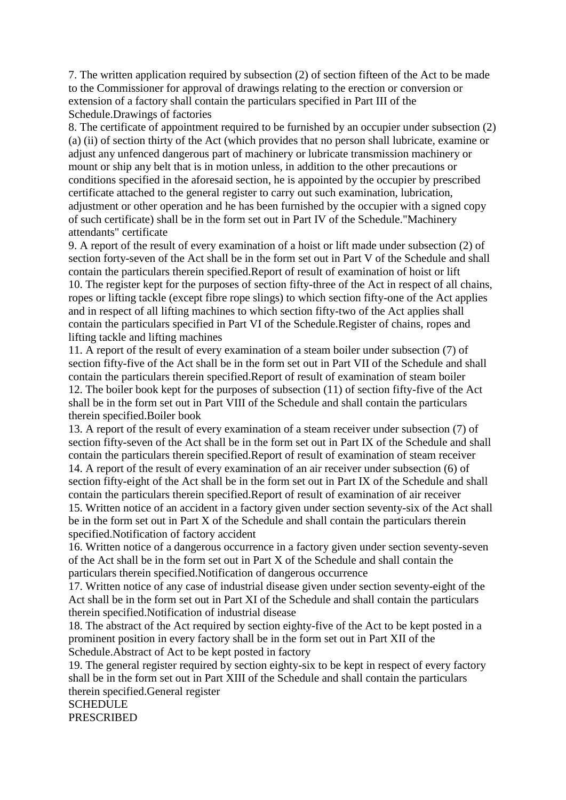7. The written application required by subsection (2) of section fifteen of the Act to be made to the Commissioner for approval of drawings relating to the erection or conversion or extension of a factory shall contain the particulars specified in Part III of the Schedule.Drawings of factories

8. The certificate of appointment required to be furnished by an occupier under subsection (2) (a) (ii) of section thirty of the Act (which provides that no person shall lubricate, examine or adjust any unfenced dangerous part of machinery or lubricate transmission machinery or mount or ship any belt that is in motion unless, in addition to the other precautions or conditions specified in the aforesaid section, he is appointed by the occupier by prescribed certificate attached to the general register to carry out such examination, lubrication, adjustment or other operation and he has been furnished by the occupier with a signed copy of such certificate) shall be in the form set out in Part IV of the Schedule."Machinery attendants" certificate

9. A report of the result of every examination of a hoist or lift made under subsection (2) of section forty-seven of the Act shall be in the form set out in Part V of the Schedule and shall contain the particulars therein specified.Report of result of examination of hoist or lift 10. The register kept for the purposes of section fifty-three of the Act in respect of all chains, ropes or lifting tackle (except fibre rope slings) to which section fifty-one of the Act applies and in respect of all lifting machines to which section fifty-two of the Act applies shall contain the particulars specified in Part VI of the Schedule.Register of chains, ropes and lifting tackle and lifting machines

11. A report of the result of every examination of a steam boiler under subsection (7) of section fifty-five of the Act shall be in the form set out in Part VII of the Schedule and shall contain the particulars therein specified.Report of result of examination of steam boiler 12. The boiler book kept for the purposes of subsection (11) of section fifty-five of the Act shall be in the form set out in Part VIII of the Schedule and shall contain the particulars therein specified.Boiler book

13. A report of the result of every examination of a steam receiver under subsection (7) of section fifty-seven of the Act shall be in the form set out in Part IX of the Schedule and shall contain the particulars therein specified.Report of result of examination of steam receiver 14. A report of the result of every examination of an air receiver under subsection (6) of section fifty-eight of the Act shall be in the form set out in Part IX of the Schedule and shall contain the particulars therein specified.Report of result of examination of air receiver 15. Written notice of an accident in a factory given under section seventy-six of the Act shall be in the form set out in Part X of the Schedule and shall contain the particulars therein

specified.Notification of factory accident

16. Written notice of a dangerous occurrence in a factory given under section seventy-seven of the Act shall be in the form set out in Part X of the Schedule and shall contain the particulars therein specified.Notification of dangerous occurrence

17. Written notice of any case of industrial disease given under section seventy-eight of the Act shall be in the form set out in Part XI of the Schedule and shall contain the particulars therein specified.Notification of industrial disease

18. The abstract of the Act required by section eighty-five of the Act to be kept posted in a prominent position in every factory shall be in the form set out in Part XII of the Schedule.Abstract of Act to be kept posted in factory

19. The general register required by section eighty-six to be kept in respect of every factory shall be in the form set out in Part XIII of the Schedule and shall contain the particulars therein specified.General register

SCHEDULE PRESCRIBED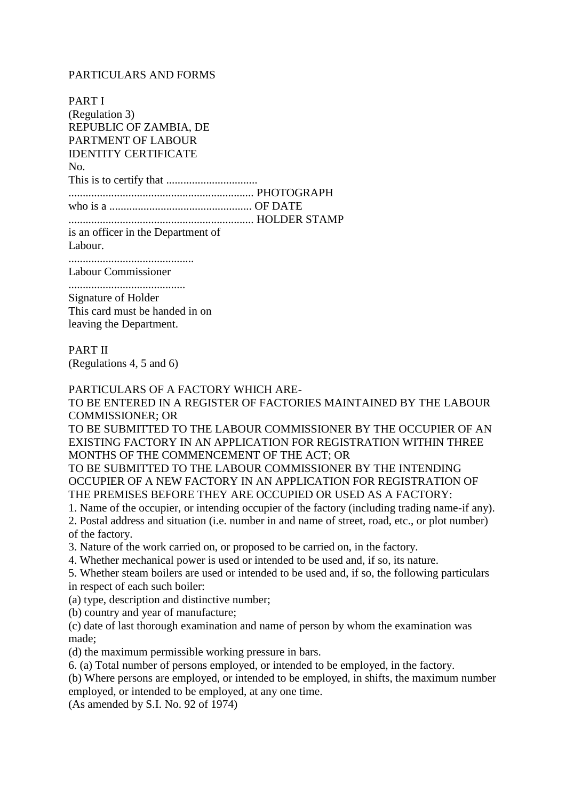#### PARTICULARS AND FORMS

PART I (Regulation 3) REPUBLIC OF ZAMBIA, DE PARTMENT OF LABOUR IDENTITY CERTIFICATE  $N<sub>0</sub>$ This is to certify that ................................ ................................................................. PHOTOGRAPH who is a .................................................. OF DATE ................................................................. HOLDER STAMP is an officer in the Department of Labour. ............................................ Labour Commissioner ......................................... Signature of Holder This card must be handed in on leaving the Department.

PART II

(Regulations 4, 5 and 6)

PARTICULARS OF A FACTORY WHICH ARE-

TO BE ENTERED IN A REGISTER OF FACTORIES MAINTAINED BY THE LABOUR COMMISSIONER; OR

TO BE SUBMITTED TO THE LABOUR COMMISSIONER BY THE OCCUPIER OF AN EXISTING FACTORY IN AN APPLICATION FOR REGISTRATION WITHIN THREE MONTHS OF THE COMMENCEMENT OF THE ACT; OR

TO BE SUBMITTED TO THE LABOUR COMMISSIONER BY THE INTENDING OCCUPIER OF A NEW FACTORY IN AN APPLICATION FOR REGISTRATION OF THE PREMISES BEFORE THEY ARE OCCUPIED OR USED AS A FACTORY:

1. Name of the occupier, or intending occupier of the factory (including trading name-if any).

2. Postal address and situation (i.e. number in and name of street, road, etc., or plot number) of the factory.

3. Nature of the work carried on, or proposed to be carried on, in the factory.

4. Whether mechanical power is used or intended to be used and, if so, its nature.

5. Whether steam boilers are used or intended to be used and, if so, the following particulars in respect of each such boiler:

(a) type, description and distinctive number;

(b) country and year of manufacture;

(c) date of last thorough examination and name of person by whom the examination was made;

(d) the maximum permissible working pressure in bars.

6. (a) Total number of persons employed, or intended to be employed, in the factory.

(b) Where persons are employed, or intended to be employed, in shifts, the maximum number employed, or intended to be employed, at any one time.

(As amended by S.I. No. 92 of 1974)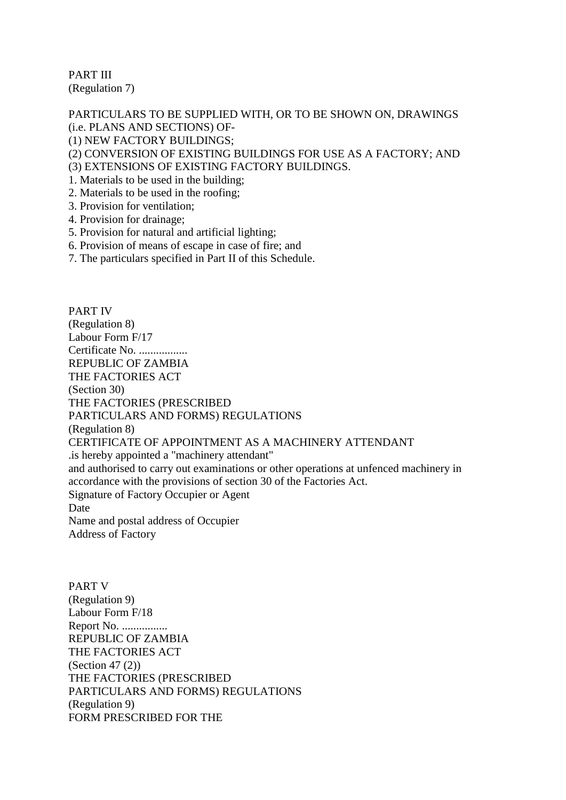PART III (Regulation 7)

PARTICULARS TO BE SUPPLIED WITH, OR TO BE SHOWN ON, DRAWINGS (i.e. PLANS AND SECTIONS) OF-

(1) NEW FACTORY BUILDINGS;

(2) CONVERSION OF EXISTING BUILDINGS FOR USE AS A FACTORY; AND (3) EXTENSIONS OF EXISTING FACTORY BUILDINGS.

- 1. Materials to be used in the building;
- 2. Materials to be used in the roofing;
- 3. Provision for ventilation;
- 4. Provision for drainage;
- 5. Provision for natural and artificial lighting;
- 6. Provision of means of escape in case of fire; and
- 7. The particulars specified in Part II of this Schedule.

PART IV (Regulation 8) Labour Form F/17 Certificate No. ................. REPUBLIC OF ZAMBIA THE FACTORIES ACT (Section 30) THE FACTORIES (PRESCRIBED PARTICULARS AND FORMS) REGULATIONS (Regulation 8) CERTIFICATE OF APPOINTMENT AS A MACHINERY ATTENDANT .is hereby appointed a "machinery attendant" and authorised to carry out examinations or other operations at unfenced machinery in accordance with the provisions of section 30 of the Factories Act. Signature of Factory Occupier or Agent Date Name and postal address of Occupier Address of Factory

PART V (Regulation 9) Labour Form F/18 Report No. ................ REPUBLIC OF ZAMBIA THE FACTORIES ACT (Section 47 (2)) THE FACTORIES (PRESCRIBED PARTICULARS AND FORMS) REGULATIONS (Regulation 9) FORM PRESCRIBED FOR THE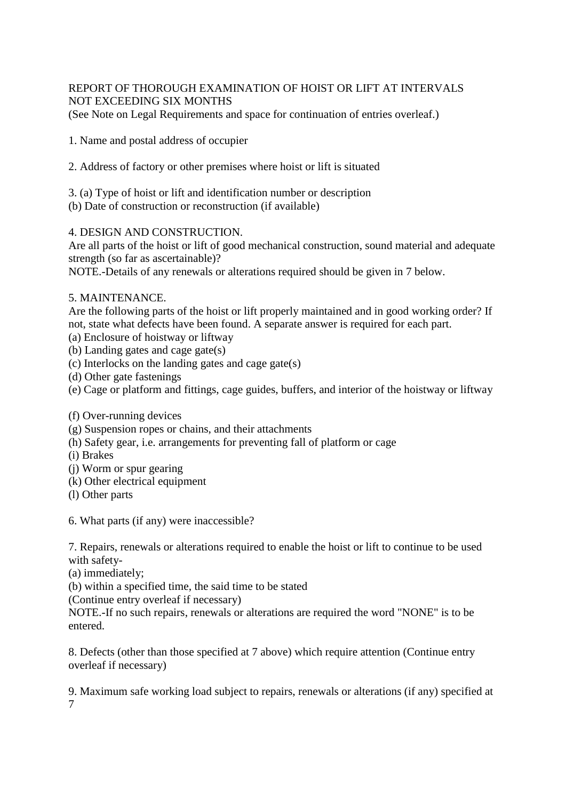# REPORT OF THOROUGH EXAMINATION OF HOIST OR LIFT AT INTERVALS NOT EXCEEDING SIX MONTHS

(See Note on Legal Requirements and space for continuation of entries overleaf.)

- 1. Name and postal address of occupier
- 2. Address of factory or other premises where hoist or lift is situated

3. (a) Type of hoist or lift and identification number or description (b) Date of construction or reconstruction (if available)

# 4. DESIGN AND CONSTRUCTION.

Are all parts of the hoist or lift of good mechanical construction, sound material and adequate strength (so far as ascertainable)?

NOTE.-Details of any renewals or alterations required should be given in 7 below.

# 5. MAINTENANCE.

Are the following parts of the hoist or lift properly maintained and in good working order? If not, state what defects have been found. A separate answer is required for each part.

- (a) Enclosure of hoistway or liftway
- (b) Landing gates and cage gate(s)
- (c) Interlocks on the landing gates and cage gate(s)
- (d) Other gate fastenings

(e) Cage or platform and fittings, cage guides, buffers, and interior of the hoistway or liftway

- (f) Over-running devices
- (g) Suspension ropes or chains, and their attachments
- (h) Safety gear, i.e. arrangements for preventing fall of platform or cage
- (i) Brakes
- (j) Worm or spur gearing
- (k) Other electrical equipment
- (l) Other parts

6. What parts (if any) were inaccessible?

7. Repairs, renewals or alterations required to enable the hoist or lift to continue to be used with safety-

(a) immediately;

(b) within a specified time, the said time to be stated

(Continue entry overleaf if necessary)

NOTE.-If no such repairs, renewals or alterations are required the word "NONE" is to be entered.

8. Defects (other than those specified at 7 above) which require attention (Continue entry overleaf if necessary)

9. Maximum safe working load subject to repairs, renewals or alterations (if any) specified at 7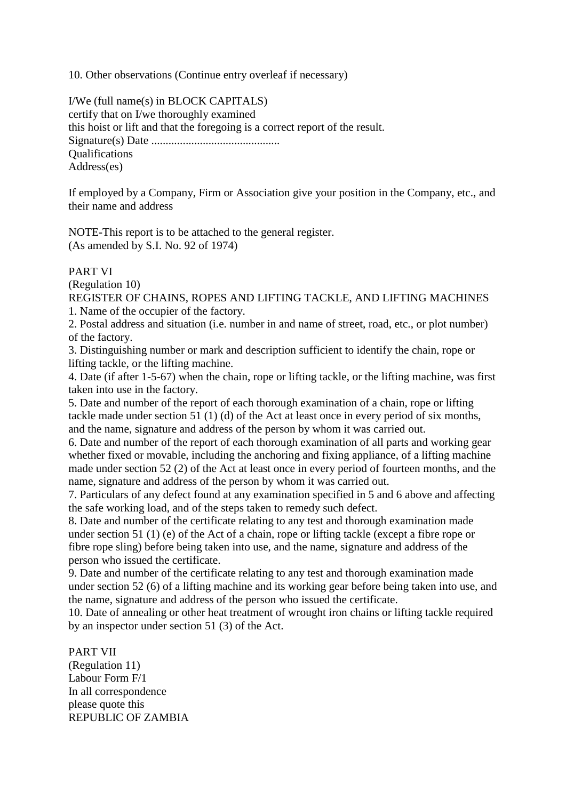10. Other observations (Continue entry overleaf if necessary)

I/We (full name(s) in BLOCK CAPITALS) certify that on I/we thoroughly examined this hoist or lift and that the foregoing is a correct report of the result. Signature(s) Date ............................................. **Oualifications** Address(es)

If employed by a Company, Firm or Association give your position in the Company, etc., and their name and address

NOTE-This report is to be attached to the general register. (As amended by S.I. No. 92 of 1974)

#### PART VI

(Regulation 10)

REGISTER OF CHAINS, ROPES AND LIFTING TACKLE, AND LIFTING MACHINES 1. Name of the occupier of the factory.

2. Postal address and situation (i.e. number in and name of street, road, etc., or plot number) of the factory.

3. Distinguishing number or mark and description sufficient to identify the chain, rope or lifting tackle, or the lifting machine.

4. Date (if after 1-5-67) when the chain, rope or lifting tackle, or the lifting machine, was first taken into use in the factory.

5. Date and number of the report of each thorough examination of a chain, rope or lifting tackle made under section 51 (1) (d) of the Act at least once in every period of six months, and the name, signature and address of the person by whom it was carried out.

6. Date and number of the report of each thorough examination of all parts and working gear whether fixed or movable, including the anchoring and fixing appliance, of a lifting machine made under section 52 (2) of the Act at least once in every period of fourteen months, and the name, signature and address of the person by whom it was carried out.

7. Particulars of any defect found at any examination specified in 5 and 6 above and affecting the safe working load, and of the steps taken to remedy such defect.

8. Date and number of the certificate relating to any test and thorough examination made under section 51 (1) (e) of the Act of a chain, rope or lifting tackle (except a fibre rope or fibre rope sling) before being taken into use, and the name, signature and address of the person who issued the certificate.

9. Date and number of the certificate relating to any test and thorough examination made under section 52 (6) of a lifting machine and its working gear before being taken into use, and the name, signature and address of the person who issued the certificate.

10. Date of annealing or other heat treatment of wrought iron chains or lifting tackle required by an inspector under section 51 (3) of the Act.

#### PART VII

(Regulation 11) Labour Form F/1 In all correspondence please quote this REPUBLIC OF ZAMBIA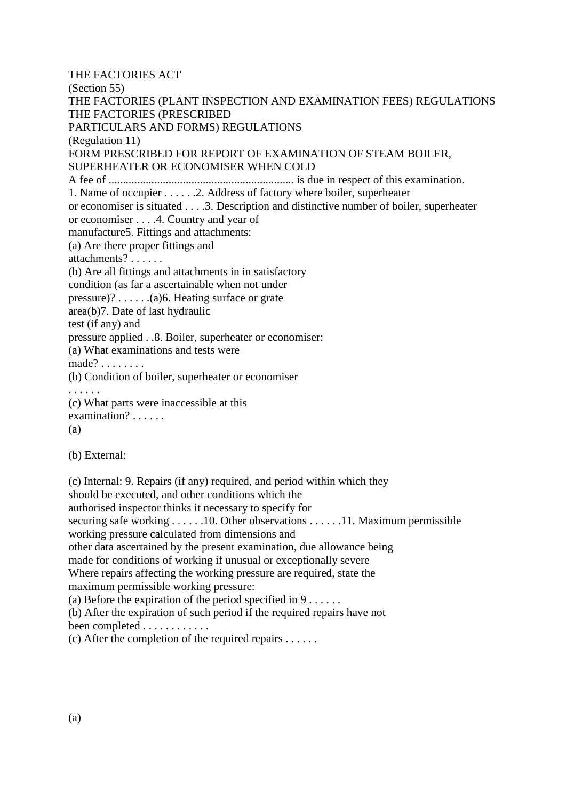THE FACTORIES ACT

(Section 55) THE FACTORIES (PLANT INSPECTION AND EXAMINATION FEES) REGULATIONS THE FACTORIES (PRESCRIBED PARTICULARS AND FORMS) REGULATIONS (Regulation 11) FORM PRESCRIBED FOR REPORT OF EXAMINATION OF STEAM BOILER, SUPERHEATER OR ECONOMISER WHEN COLD A fee of ................................................................. is due in respect of this examination. 1. Name of occupier . . . . . .2. Address of factory where boiler, superheater or economiser is situated . . . .3. Description and distinctive number of boiler, superheater or economiser . . . .4. Country and year of manufacture5. Fittings and attachments: (a) Are there proper fittings and attachments? . . . . . . (b) Are all fittings and attachments in in satisfactory condition (as far a ascertainable when not under pressure)? . . . . . .(a)6. Heating surface or grate area(b)7. Date of last hydraulic test (if any) and pressure applied . .8. Boiler, superheater or economiser: (a) What examinations and tests were made? . . . . . . . . (b) Condition of boiler, superheater or economiser . . . . . . (c) What parts were inaccessible at this examination? . . . . . . (a) (b) External:

(c) Internal: 9. Repairs (if any) required, and period within which they should be executed, and other conditions which the authorised inspector thinks it necessary to specify for securing safe working . . . . . . 10. Other observations . . . . . . 11. Maximum permissible working pressure calculated from dimensions and other data ascertained by the present examination, due allowance being made for conditions of working if unusual or exceptionally severe Where repairs affecting the working pressure are required, state the maximum permissible working pressure: (a) Before the expiration of the period specified in  $9 \ldots$ . (b) After the expiration of such period if the required repairs have not been completed . . . . . . . . . . . . (c) After the completion of the required repairs  $\dots$ .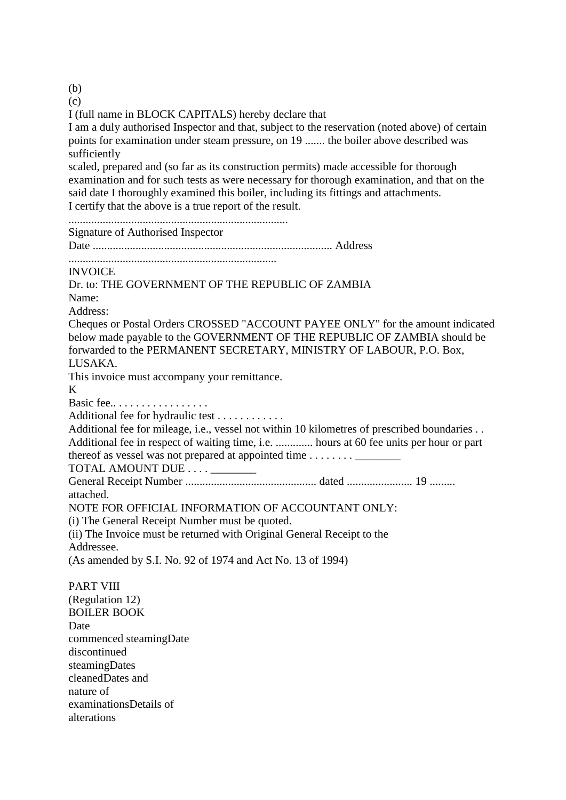(b)

 $(c)$ 

I (full name in BLOCK CAPITALS) hereby declare that

I am a duly authorised Inspector and that, subject to the reservation (noted above) of certain points for examination under steam pressure, on 19 ....... the boiler above described was sufficiently

scaled, prepared and (so far as its construction permits) made accessible for thorough examination and for such tests as were necessary for thorough examination, and that on the said date I thoroughly examined this boiler, including its fittings and attachments. I certify that the above is a true report of the result.

.............................................................................

Signature of Authorised Inspector

Date .................................................................................... Address

.........................................................................

INVOICE

Dr. to: THE GOVERNMENT OF THE REPUBLIC OF ZAMBIA

Name:

Address:

Cheques or Postal Orders CROSSED "ACCOUNT PAYEE ONLY" for the amount indicated below made payable to the GOVERNMENT OF THE REPUBLIC OF ZAMBIA should be forwarded to the PERMANENT SECRETARY, MINISTRY OF LABOUR, P.O. Box, LUSAKA.

This invoice must accompany your remittance.

K

Basic fee.. . . . . . . . . . . . . . . . .

Additional fee for hydraulic test . . . . . . . . . . . .

Additional fee for mileage, i.e., vessel not within 10 kilometres of prescribed boundaries . .

Additional fee in respect of waiting time, i.e. ............. hours at 60 fee units per hour or part thereof as vessel was not prepared at appointed time  $\dots \dots$ .

TOTAL AMOUNT DUE . . . . \_\_\_\_\_\_\_\_\_

General Receipt Number .............................................. dated ....................... 19 ......... attached.

NOTE FOR OFFICIAL INFORMATION OF ACCOUNTANT ONLY:

(i) The General Receipt Number must be quoted.

(ii) The Invoice must be returned with Original General Receipt to the Addressee.

(As amended by S.I. No. 92 of 1974 and Act No. 13 of 1994)

PART VIII (Regulation 12) BOILER BOOK Date commenced steamingDate discontinued steamingDates cleanedDates and nature of examinationsDetails of alterations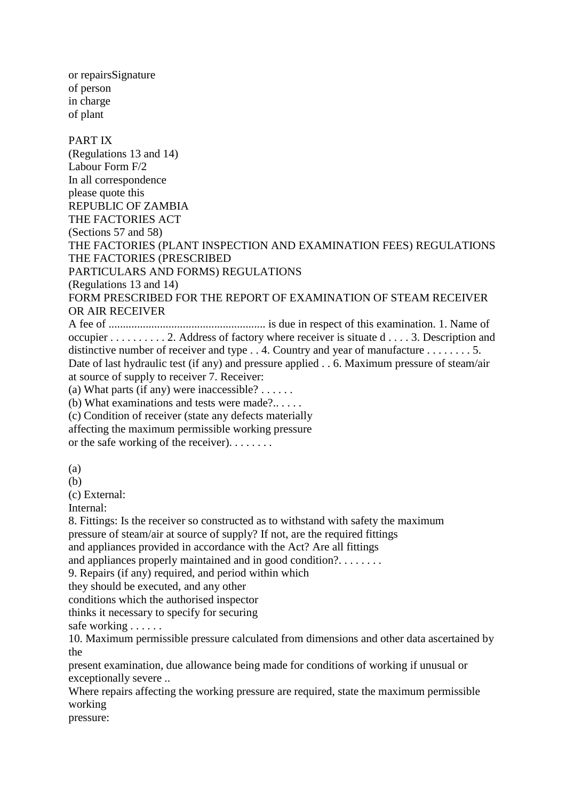or repairsSignature of person in charge of plant

PART IX

(Regulations 13 and 14) Labour Form F/2 In all correspondence please quote this REPUBLIC OF ZAMBIA THE FACTORIES ACT (Sections 57 and 58) THE FACTORIES (PLANT INSPECTION AND EXAMINATION FEES) REGULATIONS THE FACTORIES (PRESCRIBED PARTICULARS AND FORMS) REGULATIONS (Regulations 13 and 14) FORM PRESCRIBED FOR THE REPORT OF EXAMINATION OF STEAM RECEIVER OR AIR RECEIVER A fee of ....................................................... is due in respect of this examination. 1. Name of occupier . . . . . . . . . . 2. Address of factory where receiver is situate d . . . . 3. Description and distinctive number of receiver and type . . 4. Country and year of manufacture . . . . . . . . 5. Date of last hydraulic test (if any) and pressure applied . . 6. Maximum pressure of steam/air at source of supply to receiver 7. Receiver: (a) What parts (if any) were inaccessible? . . . . . . (b) What examinations and tests were made?.. . . . . (c) Condition of receiver (state any defects materially affecting the maximum permissible working pressure or the safe working of the receiver). . . . . . . . (a) (b) (c) External: Internal: 8. Fittings: Is the receiver so constructed as to withstand with safety the maximum pressure of steam/air at source of supply? If not, are the required fittings and appliances provided in accordance with the Act? Are all fittings and appliances properly maintained and in good condition?. . . . . . . . 9. Repairs (if any) required, and period within which they should be executed, and any other conditions which the authorised inspector thinks it necessary to specify for securing safe working . . . . . . 10. Maximum permissible pressure calculated from dimensions and other data ascertained by the present examination, due allowance being made for conditions of working if unusual or exceptionally severe ..

Where repairs affecting the working pressure are required, state the maximum permissible working

pressure: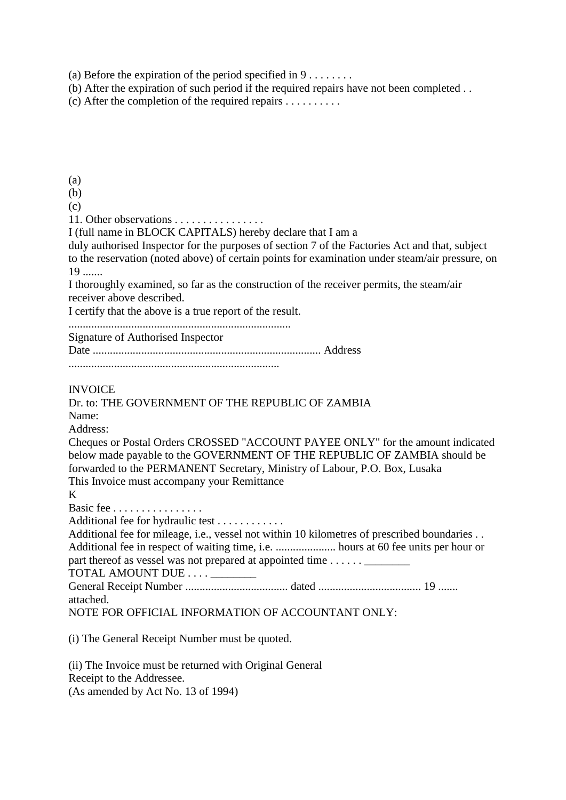(a) Before the expiration of the period specified in  $9 \ldots \ldots$ 

(b) After the expiration of such period if the required repairs have not been completed . .

 $(c)$  After the completion of the required repairs  $\dots \dots$ 

(a) (b)  $(c)$ 11. Other observations . . . . . . . . . . . . . . . . I (full name in BLOCK CAPITALS) hereby declare that I am a duly authorised Inspector for the purposes of section 7 of the Factories Act and that, subject to the reservation (noted above) of certain points for examination under steam/air pressure, on 19 ....... I thoroughly examined, so far as the construction of the receiver permits, the steam/air receiver above described. I certify that the above is a true report of the result. .............................................................................. Signature of Authorised Inspector Date ................................................................................ Address .......................................................................... **INVOICE** Dr. to: THE GOVERNMENT OF THE REPUBLIC OF ZAMBIA Name: Address: Cheques or Postal Orders CROSSED "ACCOUNT PAYEE ONLY" for the amount indicated below made payable to the GOVERNMENT OF THE REPUBLIC OF ZAMBIA should be forwarded to the PERMANENT Secretary, Ministry of Labour, P.O. Box, Lusaka This Invoice must accompany your Remittance K Basic fee . . . . . . . . . . . . . . . . Additional fee for hydraulic test . . . . . . . . . . . . Additional fee for mileage, i.e., vessel not within 10 kilometres of prescribed boundaries . . Additional fee in respect of waiting time, i.e. ..................... hours at 60 fee units per hour or part thereof as vessel was not prepared at appointed time  $\dots \dots$ TOTAL AMOUNT DUE  $\ldots$ General Receipt Number .................................... dated .................................... 19 ....... attached. NOTE FOR OFFICIAL INFORMATION OF ACCOUNTANT ONLY: (i) The General Receipt Number must be quoted.

(ii) The Invoice must be returned with Original General Receipt to the Addressee. (As amended by Act No. 13 of 1994)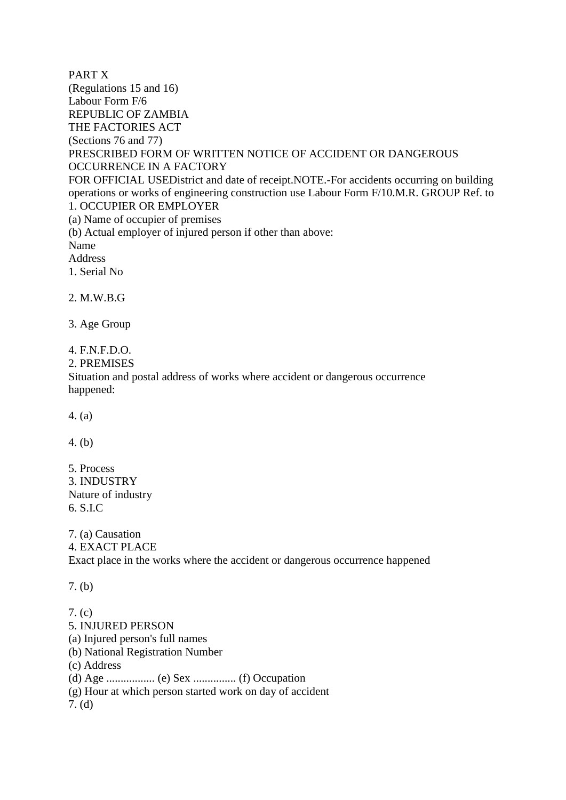PART X (Regulations 15 and 16) Labour Form F/6 REPUBLIC OF ZAMBIA THE FACTORIES ACT (Sections 76 and 77) PRESCRIBED FORM OF WRITTEN NOTICE OF ACCIDENT OR DANGEROUS OCCURRENCE IN A FACTORY FOR OFFICIAL USEDistrict and date of receipt.NOTE.-For accidents occurring on building operations or works of engineering construction use Labour Form F/10.M.R. GROUP Ref. to 1. OCCUPIER OR EMPLOYER (a) Name of occupier of premises (b) Actual employer of injured person if other than above: Name Address

1. Serial No

2. M.W.B.G

3. Age Group

 $4.$  F.N.F.D.O.

2. PREMISES

Situation and postal address of works where accident or dangerous occurrence happened:

4. (a)

4. (b)

5. Process 3. INDUSTRY Nature of industry 6. S.I.C

7. (a) Causation 4. EXACT PLACE Exact place in the works where the accident or dangerous occurrence happened

7. (b)

7. (c) 5. INJURED PERSON (a) Injured person's full names (b) National Registration Number (c) Address (d) Age ................. (e) Sex ............... (f) Occupation (g) Hour at which person started work on day of accident 7. (d)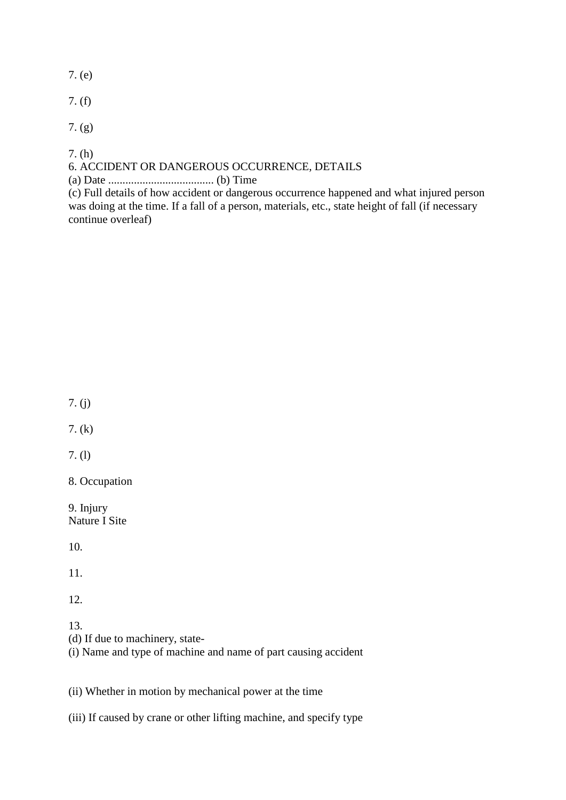# 7. (e)

- 7. (f)
- 7. (g)

7. (h)

6. ACCIDENT OR DANGEROUS OCCURRENCE, DETAILS

(a) Date ..................................... (b) Time

(c) Full details of how accident or dangerous occurrence happened and what injured person was doing at the time. If a fall of a person, materials, etc., state height of fall (if necessary continue overleaf)

7. (j)

7. (k)

7. (l)

8. Occupation

9. Injury Nature I Site

10.

11.

12.

13. (d) If due to machinery, state- (i) Name and type of machine and name of part causing accident

(ii) Whether in motion by mechanical power at the time

(iii) If caused by crane or other lifting machine, and specify type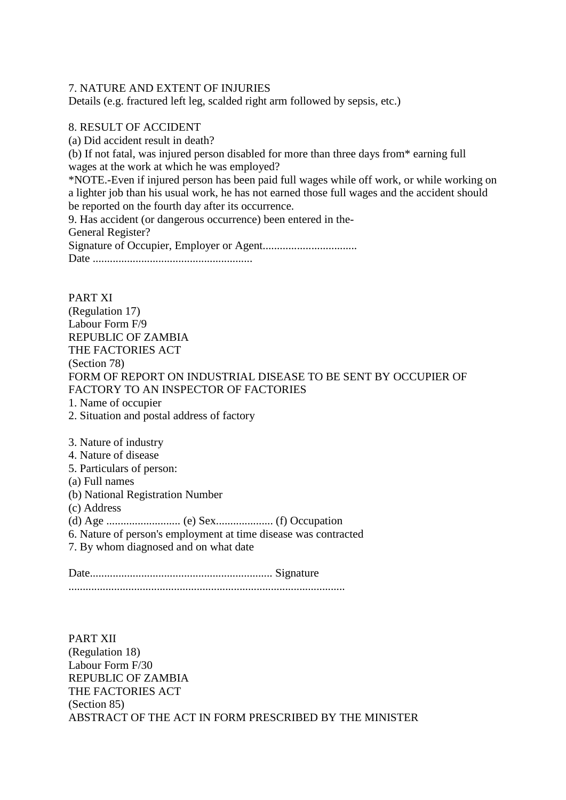#### 7. NATURE AND EXTENT OF INJURIES

Details (e.g. fractured left leg, scalded right arm followed by sepsis, etc.)

#### 8. RESULT OF ACCIDENT

(a) Did accident result in death? (b) If not fatal, was injured person disabled for more than three days from\* earning full wages at the work at which he was employed? \*NOTE.-Even if injured person has been paid full wages while off work, or while working on a lighter job than his usual work, he has not earned those full wages and the accident should be reported on the fourth day after its occurrence. 9. Has accident (or dangerous occurrence) been entered in the-General Register? Signature of Occupier, Employer or Agent................................. Date ........................................................

PART XI (Regulation 17) Labour Form F/9 REPUBLIC OF ZAMBIA THE FACTORIES ACT (Section 78) FORM OF REPORT ON INDUSTRIAL DISEASE TO BE SENT BY OCCUPIER OF FACTORY TO AN INSPECTOR OF FACTORIES 1. Name of occupier 2. Situation and postal address of factory 3. Nature of industry 4. Nature of disease 5. Particulars of person: (a) Full names (b) National Registration Number (c) Address (d) Age .......................... (e) Sex.................... (f) Occupation 6. Nature of person's employment at time disease was contracted 7. By whom diagnosed and on what date Date................................................................ Signature .................................................................................................

PART XII (Regulation 18) Labour Form F/30 REPUBLIC OF ZAMBIA THE FACTORIES ACT (Section 85) ABSTRACT OF THE ACT IN FORM PRESCRIBED BY THE MINISTER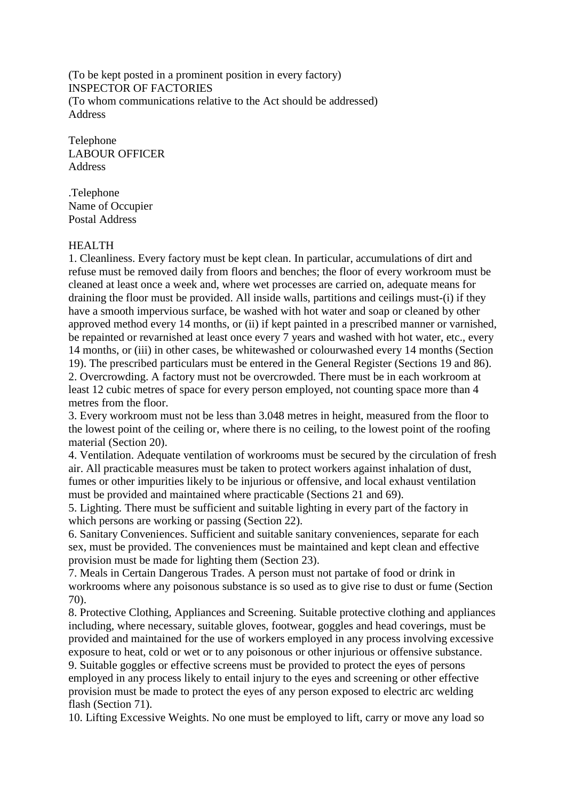(To be kept posted in a prominent position in every factory) INSPECTOR OF FACTORIES (To whom communications relative to the Act should be addressed) Address

Telephone LABOUR OFFICER Address

.Telephone Name of Occupier Postal Address

#### HEALTH

1. Cleanliness. Every factory must be kept clean. In particular, accumulations of dirt and refuse must be removed daily from floors and benches; the floor of every workroom must be cleaned at least once a week and, where wet processes are carried on, adequate means for draining the floor must be provided. All inside walls, partitions and ceilings must-(i) if they have a smooth impervious surface, be washed with hot water and soap or cleaned by other approved method every 14 months, or (ii) if kept painted in a prescribed manner or varnished, be repainted or revarnished at least once every 7 years and washed with hot water, etc., every 14 months, or (iii) in other cases, be whitewashed or colourwashed every 14 months (Section 19). The prescribed particulars must be entered in the General Register (Sections 19 and 86). 2. Overcrowding. A factory must not be overcrowded. There must be in each workroom at least 12 cubic metres of space for every person employed, not counting space more than 4 metres from the floor.

3. Every workroom must not be less than 3.048 metres in height, measured from the floor to the lowest point of the ceiling or, where there is no ceiling, to the lowest point of the roofing material (Section 20).

4. Ventilation. Adequate ventilation of workrooms must be secured by the circulation of fresh air. All practicable measures must be taken to protect workers against inhalation of dust, fumes or other impurities likely to be injurious or offensive, and local exhaust ventilation must be provided and maintained where practicable (Sections 21 and 69).

5. Lighting. There must be sufficient and suitable lighting in every part of the factory in which persons are working or passing (Section 22).

6. Sanitary Conveniences. Sufficient and suitable sanitary conveniences, separate for each sex, must be provided. The conveniences must be maintained and kept clean and effective provision must be made for lighting them (Section 23).

7. Meals in Certain Dangerous Trades. A person must not partake of food or drink in workrooms where any poisonous substance is so used as to give rise to dust or fume (Section 70).

8. Protective Clothing, Appliances and Screening. Suitable protective clothing and appliances including, where necessary, suitable gloves, footwear, goggles and head coverings, must be provided and maintained for the use of workers employed in any process involving excessive exposure to heat, cold or wet or to any poisonous or other injurious or offensive substance. 9. Suitable goggles or effective screens must be provided to protect the eyes of persons employed in any process likely to entail injury to the eyes and screening or other effective provision must be made to protect the eyes of any person exposed to electric arc welding flash (Section 71).

10. Lifting Excessive Weights. No one must be employed to lift, carry or move any load so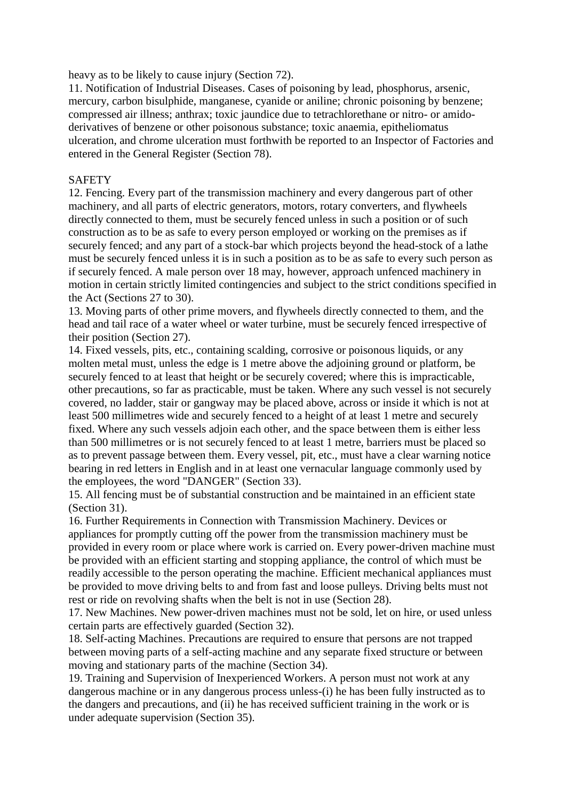heavy as to be likely to cause injury (Section 72).

11. Notification of Industrial Diseases. Cases of poisoning by lead, phosphorus, arsenic, mercury, carbon bisulphide, manganese, cyanide or aniline; chronic poisoning by benzene; compressed air illness; anthrax; toxic jaundice due to tetrachlorethane or nitro- or amidoderivatives of benzene or other poisonous substance; toxic anaemia, epitheliomatus ulceration, and chrome ulceration must forthwith be reported to an Inspector of Factories and entered in the General Register (Section 78).

#### **SAFETY**

12. Fencing. Every part of the transmission machinery and every dangerous part of other machinery, and all parts of electric generators, motors, rotary converters, and flywheels directly connected to them, must be securely fenced unless in such a position or of such construction as to be as safe to every person employed or working on the premises as if securely fenced; and any part of a stock-bar which projects beyond the head-stock of a lathe must be securely fenced unless it is in such a position as to be as safe to every such person as if securely fenced. A male person over 18 may, however, approach unfenced machinery in motion in certain strictly limited contingencies and subject to the strict conditions specified in the Act (Sections 27 to 30).

13. Moving parts of other prime movers, and flywheels directly connected to them, and the head and tail race of a water wheel or water turbine, must be securely fenced irrespective of their position (Section 27).

14. Fixed vessels, pits, etc., containing scalding, corrosive or poisonous liquids, or any molten metal must, unless the edge is 1 metre above the adjoining ground or platform, be securely fenced to at least that height or be securely covered; where this is impracticable, other precautions, so far as practicable, must be taken. Where any such vessel is not securely covered, no ladder, stair or gangway may be placed above, across or inside it which is not at least 500 millimetres wide and securely fenced to a height of at least 1 metre and securely fixed. Where any such vessels adjoin each other, and the space between them is either less than 500 millimetres or is not securely fenced to at least 1 metre, barriers must be placed so as to prevent passage between them. Every vessel, pit, etc., must have a clear warning notice bearing in red letters in English and in at least one vernacular language commonly used by the employees, the word "DANGER" (Section 33).

15. All fencing must be of substantial construction and be maintained in an efficient state (Section 31).

16. Further Requirements in Connection with Transmission Machinery. Devices or appliances for promptly cutting off the power from the transmission machinery must be provided in every room or place where work is carried on. Every power-driven machine must be provided with an efficient starting and stopping appliance, the control of which must be readily accessible to the person operating the machine. Efficient mechanical appliances must be provided to move driving belts to and from fast and loose pulleys. Driving belts must not rest or ride on revolving shafts when the belt is not in use (Section 28).

17. New Machines. New power-driven machines must not be sold, let on hire, or used unless certain parts are effectively guarded (Section 32).

18. Self-acting Machines. Precautions are required to ensure that persons are not trapped between moving parts of a self-acting machine and any separate fixed structure or between moving and stationary parts of the machine (Section 34).

19. Training and Supervision of Inexperienced Workers. A person must not work at any dangerous machine or in any dangerous process unless-(i) he has been fully instructed as to the dangers and precautions, and (ii) he has received sufficient training in the work or is under adequate supervision (Section 35).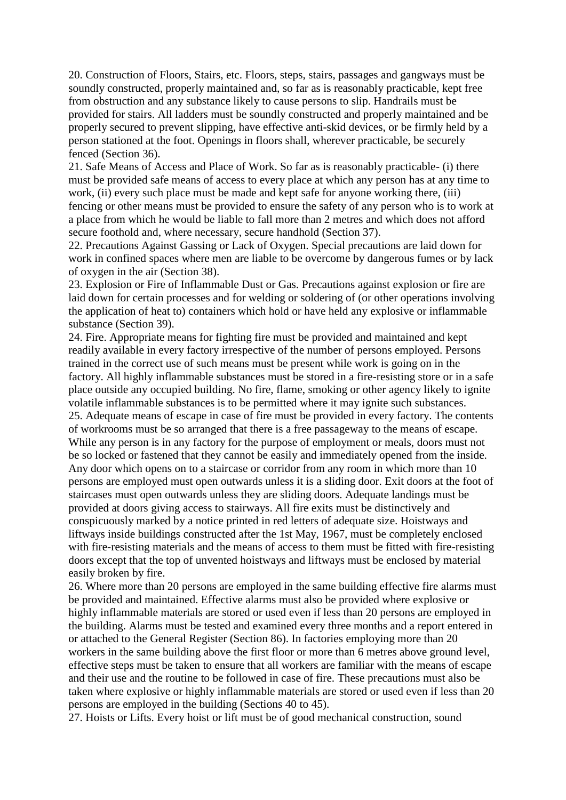20. Construction of Floors, Stairs, etc. Floors, steps, stairs, passages and gangways must be soundly constructed, properly maintained and, so far as is reasonably practicable, kept free from obstruction and any substance likely to cause persons to slip. Handrails must be provided for stairs. All ladders must be soundly constructed and properly maintained and be properly secured to prevent slipping, have effective anti-skid devices, or be firmly held by a person stationed at the foot. Openings in floors shall, wherever practicable, be securely fenced (Section 36).

21. Safe Means of Access and Place of Work. So far as is reasonably practicable- (i) there must be provided safe means of access to every place at which any person has at any time to work, (ii) every such place must be made and kept safe for anyone working there, (iii) fencing or other means must be provided to ensure the safety of any person who is to work at a place from which he would be liable to fall more than 2 metres and which does not afford secure foothold and, where necessary, secure handhold (Section 37).

22. Precautions Against Gassing or Lack of Oxygen. Special precautions are laid down for work in confined spaces where men are liable to be overcome by dangerous fumes or by lack of oxygen in the air (Section 38).

23. Explosion or Fire of Inflammable Dust or Gas. Precautions against explosion or fire are laid down for certain processes and for welding or soldering of (or other operations involving the application of heat to) containers which hold or have held any explosive or inflammable substance (Section 39).

24. Fire. Appropriate means for fighting fire must be provided and maintained and kept readily available in every factory irrespective of the number of persons employed. Persons trained in the correct use of such means must be present while work is going on in the factory. All highly inflammable substances must be stored in a fire-resisting store or in a safe place outside any occupied building. No fire, flame, smoking or other agency likely to ignite volatile inflammable substances is to be permitted where it may ignite such substances. 25. Adequate means of escape in case of fire must be provided in every factory. The contents of workrooms must be so arranged that there is a free passageway to the means of escape. While any person is in any factory for the purpose of employment or meals, doors must not be so locked or fastened that they cannot be easily and immediately opened from the inside. Any door which opens on to a staircase or corridor from any room in which more than 10 persons are employed must open outwards unless it is a sliding door. Exit doors at the foot of staircases must open outwards unless they are sliding doors. Adequate landings must be provided at doors giving access to stairways. All fire exits must be distinctively and conspicuously marked by a notice printed in red letters of adequate size. Hoistways and liftways inside buildings constructed after the 1st May, 1967, must be completely enclosed with fire-resisting materials and the means of access to them must be fitted with fire-resisting doors except that the top of unvented hoistways and liftways must be enclosed by material easily broken by fire.

26. Where more than 20 persons are employed in the same building effective fire alarms must be provided and maintained. Effective alarms must also be provided where explosive or highly inflammable materials are stored or used even if less than 20 persons are employed in the building. Alarms must be tested and examined every three months and a report entered in or attached to the General Register (Section 86). In factories employing more than 20 workers in the same building above the first floor or more than 6 metres above ground level, effective steps must be taken to ensure that all workers are familiar with the means of escape and their use and the routine to be followed in case of fire. These precautions must also be taken where explosive or highly inflammable materials are stored or used even if less than 20 persons are employed in the building (Sections 40 to 45).

27. Hoists or Lifts. Every hoist or lift must be of good mechanical construction, sound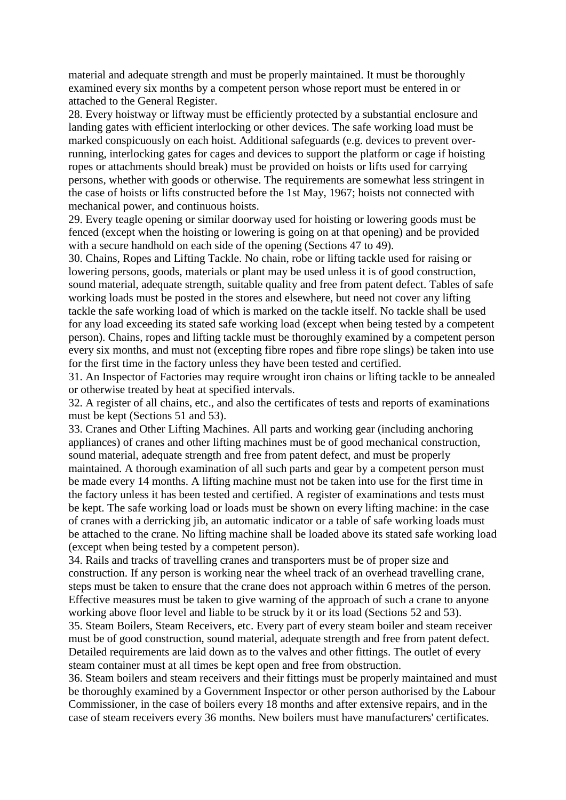material and adequate strength and must be properly maintained. It must be thoroughly examined every six months by a competent person whose report must be entered in or attached to the General Register.

28. Every hoistway or liftway must be efficiently protected by a substantial enclosure and landing gates with efficient interlocking or other devices. The safe working load must be marked conspicuously on each hoist. Additional safeguards (e.g. devices to prevent overrunning, interlocking gates for cages and devices to support the platform or cage if hoisting ropes or attachments should break) must be provided on hoists or lifts used for carrying persons, whether with goods or otherwise. The requirements are somewhat less stringent in the case of hoists or lifts constructed before the 1st May, 1967; hoists not connected with mechanical power, and continuous hoists.

29. Every teagle opening or similar doorway used for hoisting or lowering goods must be fenced (except when the hoisting or lowering is going on at that opening) and be provided with a secure handhold on each side of the opening (Sections 47 to 49).

30. Chains, Ropes and Lifting Tackle. No chain, robe or lifting tackle used for raising or lowering persons, goods, materials or plant may be used unless it is of good construction, sound material, adequate strength, suitable quality and free from patent defect. Tables of safe working loads must be posted in the stores and elsewhere, but need not cover any lifting tackle the safe working load of which is marked on the tackle itself. No tackle shall be used for any load exceeding its stated safe working load (except when being tested by a competent person). Chains, ropes and lifting tackle must be thoroughly examined by a competent person every six months, and must not (excepting fibre ropes and fibre rope slings) be taken into use for the first time in the factory unless they have been tested and certified.

31. An Inspector of Factories may require wrought iron chains or lifting tackle to be annealed or otherwise treated by heat at specified intervals.

32. A register of all chains, etc., and also the certificates of tests and reports of examinations must be kept (Sections 51 and 53).

33. Cranes and Other Lifting Machines. All parts and working gear (including anchoring appliances) of cranes and other lifting machines must be of good mechanical construction, sound material, adequate strength and free from patent defect, and must be properly maintained. A thorough examination of all such parts and gear by a competent person must be made every 14 months. A lifting machine must not be taken into use for the first time in the factory unless it has been tested and certified. A register of examinations and tests must be kept. The safe working load or loads must be shown on every lifting machine: in the case of cranes with a derricking jib, an automatic indicator or a table of safe working loads must be attached to the crane. No lifting machine shall be loaded above its stated safe working load (except when being tested by a competent person).

34. Rails and tracks of travelling cranes and transporters must be of proper size and construction. If any person is working near the wheel track of an overhead travelling crane, steps must be taken to ensure that the crane does not approach within 6 metres of the person. Effective measures must be taken to give warning of the approach of such a crane to anyone working above floor level and liable to be struck by it or its load (Sections 52 and 53).

35. Steam Boilers, Steam Receivers, etc. Every part of every steam boiler and steam receiver must be of good construction, sound material, adequate strength and free from patent defect. Detailed requirements are laid down as to the valves and other fittings. The outlet of every steam container must at all times be kept open and free from obstruction.

36. Steam boilers and steam receivers and their fittings must be properly maintained and must be thoroughly examined by a Government Inspector or other person authorised by the Labour Commissioner, in the case of boilers every 18 months and after extensive repairs, and in the case of steam receivers every 36 months. New boilers must have manufacturers' certificates.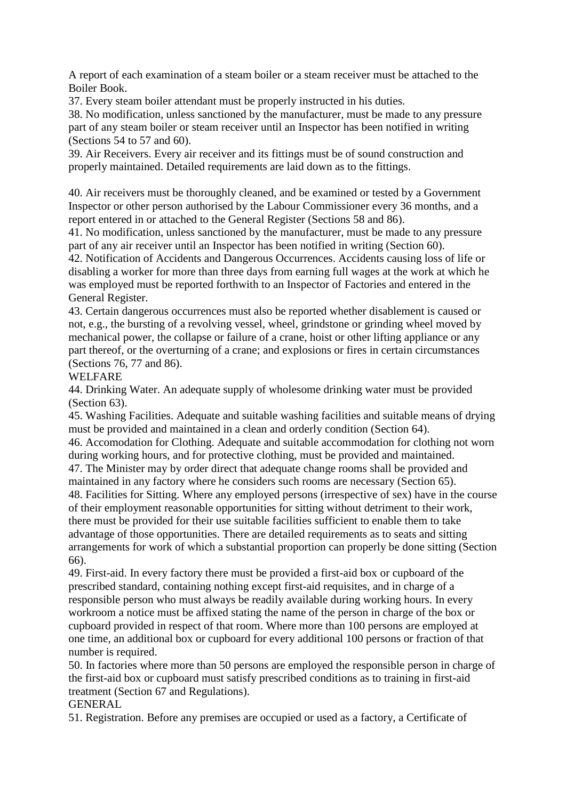A report of each examination of a steam boiler or a steam receiver must be attached to the Boiler Book.

37. Every steam boiler attendant must be properly instructed in his duties.

38. No modification, unless sanctioned by the manufacturer, must be made to any pressure part of any steam boiler or steam receiver until an Inspector has been notified in writing (Sections 54 to 57 and 60).

39. Air Receivers. Every air receiver and its fittings must be of sound construction and properly maintained. Detailed requirements are laid down as to the fittings.

40. Air receivers must be thoroughly cleaned, and be examined or tested by a Government Inspector or other person authorised by the Labour Commissioner every 36 months, and a report entered in or attached to the General Register (Sections 58 and 86).

41. No modification, unless sanctioned by the manufacturer, must be made to any pressure part of any air receiver until an Inspector has been notified in writing (Section 60).

42. Notification of Accidents and Dangerous Occurrences. Accidents causing loss of life or disabling a worker for more than three days from earning full wages at the work at which he was employed must be reported forthwith to an Inspector of Factories and entered in the General Register.

43. Certain dangerous occurrences must also be reported whether disablement is caused or not, e.g., the bursting of a revolving vessel, wheel, grindstone or grinding wheel moved by mechanical power, the collapse or failure of a crane, hoist or other lifting appliance or any part thereof, or the overturning of a crane; and explosions or fires in certain circumstances (Sections 76, 77 and 86).

WELFARE

44. Drinking Water. An adequate supply of wholesome drinking water must be provided (Section 63).

45. Washing Facilities. Adequate and suitable washing facilities and suitable means of drying must be provided and maintained in a clean and orderly condition (Section 64).

46. Accomodation for Clothing. Adequate and suitable accommodation for clothing not worn during working hours, and for protective clothing, must be provided and maintained.

47. The Minister may by order direct that adequate change rooms shall be provided and maintained in any factory where he considers such rooms are necessary (Section 65). 48. Facilities for Sitting. Where any employed persons (irrespective of sex) have in the course of their employment reasonable opportunities for sitting without detriment to their work, there must be provided for their use suitable facilities sufficient to enable them to take advantage of those opportunities. There are detailed requirements as to seats and sitting arrangements for work of which a substantial proportion can properly be done sitting (Section 66).

49. First-aid. In every factory there must be provided a first-aid box or cupboard of the prescribed standard, containing nothing except first-aid requisites, and in charge of a responsible person who must always be readily available during working hours. In every workroom a notice must be affixed stating the name of the person in charge of the box or cupboard provided in respect of that room. Where more than 100 persons are employed at one time, an additional box or cupboard for every additional 100 persons or fraction of that number is required.

50. In factories where more than 50 persons are employed the responsible person in charge of the first-aid box or cupboard must satisfy prescribed conditions as to training in first-aid treatment (Section 67 and Regulations).

GENERAL

51. Registration. Before any premises are occupied or used as a factory, a Certificate of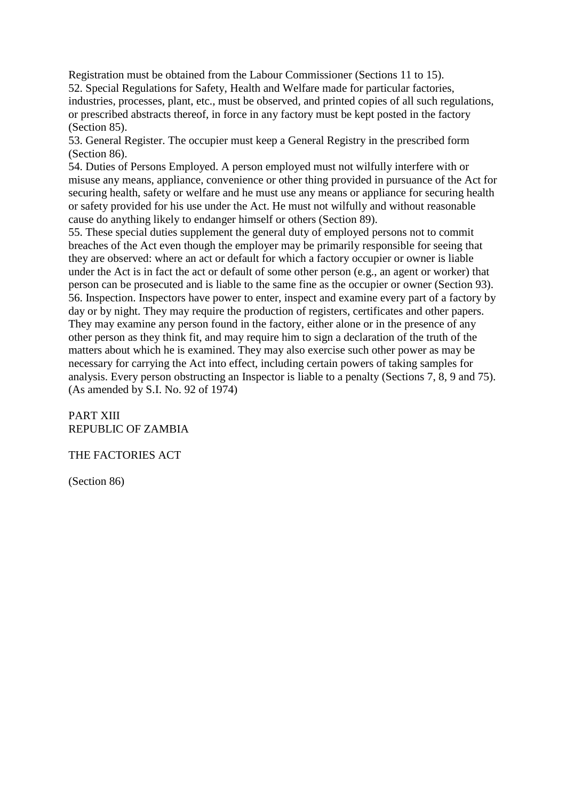Registration must be obtained from the Labour Commissioner (Sections 11 to 15). 52. Special Regulations for Safety, Health and Welfare made for particular factories, industries, processes, plant, etc., must be observed, and printed copies of all such regulations, or prescribed abstracts thereof, in force in any factory must be kept posted in the factory (Section 85).

53. General Register. The occupier must keep a General Registry in the prescribed form (Section 86).

54. Duties of Persons Employed. A person employed must not wilfully interfere with or misuse any means, appliance, convenience or other thing provided in pursuance of the Act for securing health, safety or welfare and he must use any means or appliance for securing health or safety provided for his use under the Act. He must not wilfully and without reasonable cause do anything likely to endanger himself or others (Section 89).

55. These special duties supplement the general duty of employed persons not to commit breaches of the Act even though the employer may be primarily responsible for seeing that they are observed: where an act or default for which a factory occupier or owner is liable under the Act is in fact the act or default of some other person (e.g., an agent or worker) that person can be prosecuted and is liable to the same fine as the occupier or owner (Section 93). 56. Inspection. Inspectors have power to enter, inspect and examine every part of a factory by day or by night. They may require the production of registers, certificates and other papers. They may examine any person found in the factory, either alone or in the presence of any other person as they think fit, and may require him to sign a declaration of the truth of the matters about which he is examined. They may also exercise such other power as may be necessary for carrying the Act into effect, including certain powers of taking samples for analysis. Every person obstructing an Inspector is liable to a penalty (Sections 7, 8, 9 and 75). (As amended by S.I. No. 92 of 1974)

PART XIII REPUBLIC OF ZAMBIA

THE FACTORIES ACT

(Section 86)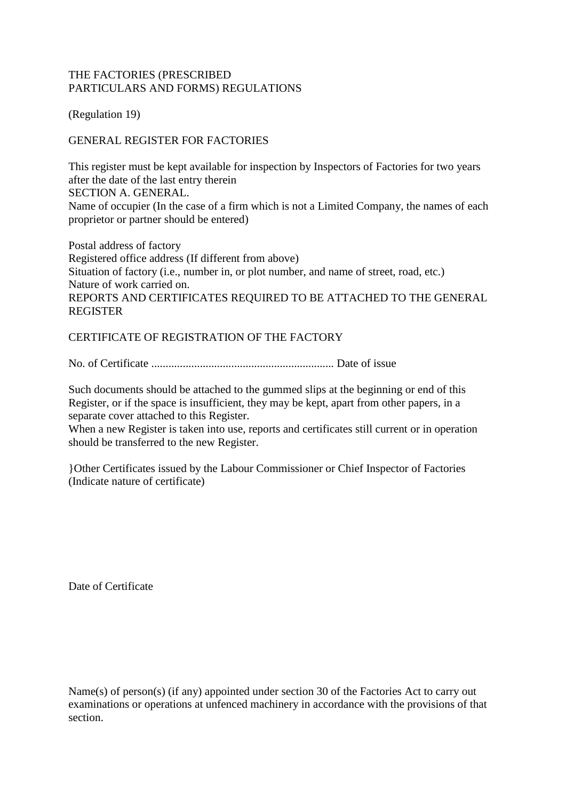# THE FACTORIES (PRESCRIBED PARTICULARS AND FORMS) REGULATIONS

(Regulation 19)

# GENERAL REGISTER FOR FACTORIES

This register must be kept available for inspection by Inspectors of Factories for two years after the date of the last entry therein SECTION A. GENERAL. Name of occupier (In the case of a firm which is not a Limited Company, the names of each proprietor or partner should be entered)

Postal address of factory Registered office address (If different from above) Situation of factory (i.e., number in, or plot number, and name of street, road, etc.) Nature of work carried on. REPORTS AND CERTIFICATES REQUIRED TO BE ATTACHED TO THE GENERAL REGISTER

# CERTIFICATE OF REGISTRATION OF THE FACTORY

No. of Certificate ................................................................ Date of issue

Such documents should be attached to the gummed slips at the beginning or end of this Register, or if the space is insufficient, they may be kept, apart from other papers, in a separate cover attached to this Register.

When a new Register is taken into use, reports and certificates still current or in operation should be transferred to the new Register.

}Other Certificates issued by the Labour Commissioner or Chief Inspector of Factories (Indicate nature of certificate)

Date of Certificate

Name(s) of person(s) (if any) appointed under section 30 of the Factories Act to carry out examinations or operations at unfenced machinery in accordance with the provisions of that section.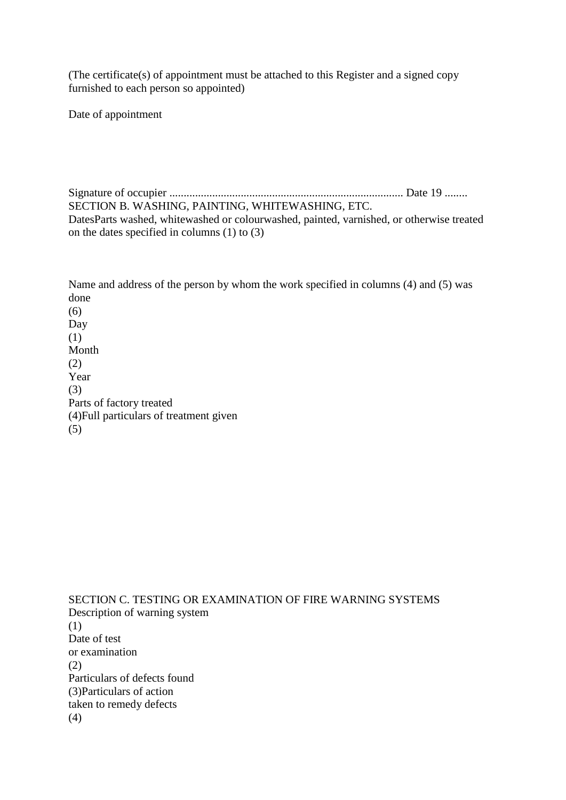(The certificate(s) of appointment must be attached to this Register and a signed copy furnished to each person so appointed)

Date of appointment

Signature of occupier .................................................................................. Date 19 ........ SECTION B. WASHING, PAINTING, WHITEWASHING, ETC. DatesParts washed, whitewashed or colourwashed, painted, varnished, or otherwise treated on the dates specified in columns (1) to (3)

Name and address of the person by whom the work specified in columns (4) and (5) was done (6) Day (1) Month (2) Year (3) Parts of factory treated (4)Full particulars of treatment given (5)

SECTION C. TESTING OR EXAMINATION OF FIRE WARNING SYSTEMS Description of warning system (1) Date of test or examination (2) Particulars of defects found (3)Particulars of action taken to remedy defects (4)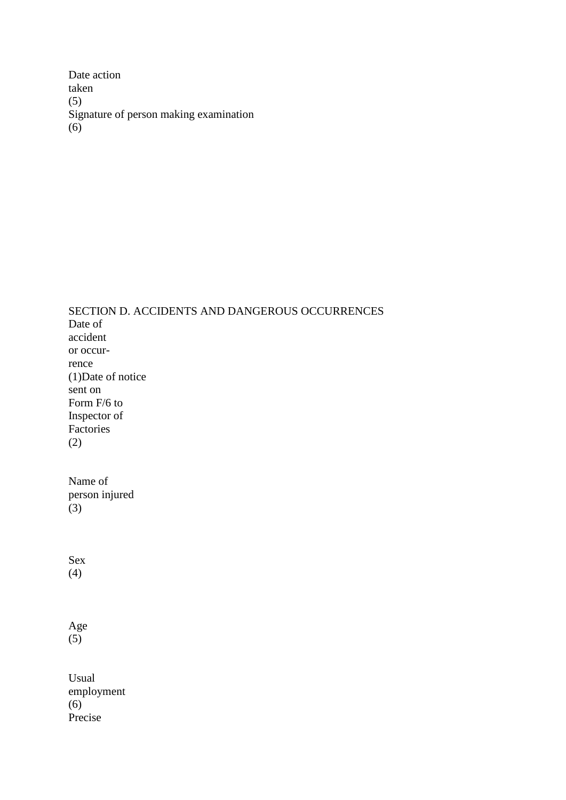Date action taken (5) Signature of person making examination (6)

SECTION D. ACCIDENTS AND DANGEROUS OCCURRENCES Date of accident or occurrence (1)Date of notice sent on Form F/6 to Inspector of Factories (2) Name of person injured (3) Sex (4) Age (5) Usual employment (6) Precise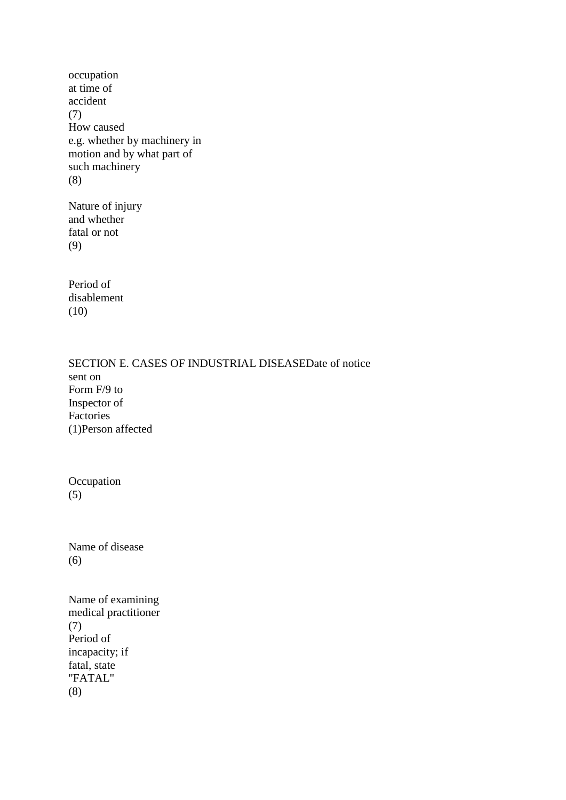occupation at time of accident (7) How caused e.g. whether by machinery in motion and by what part of such machinery (8)

Nature of injury and whether fatal or not (9)

Period of disablement (10)

SECTION E. CASES OF INDUSTRIAL DISEASEDate of notice sent on Form F/9 to Inspector of Factories (1)Person affected

Occupation (5)

Name of disease (6)

Name of examining medical practitioner (7) Period of incapacity; if fatal, state "FATAL" (8)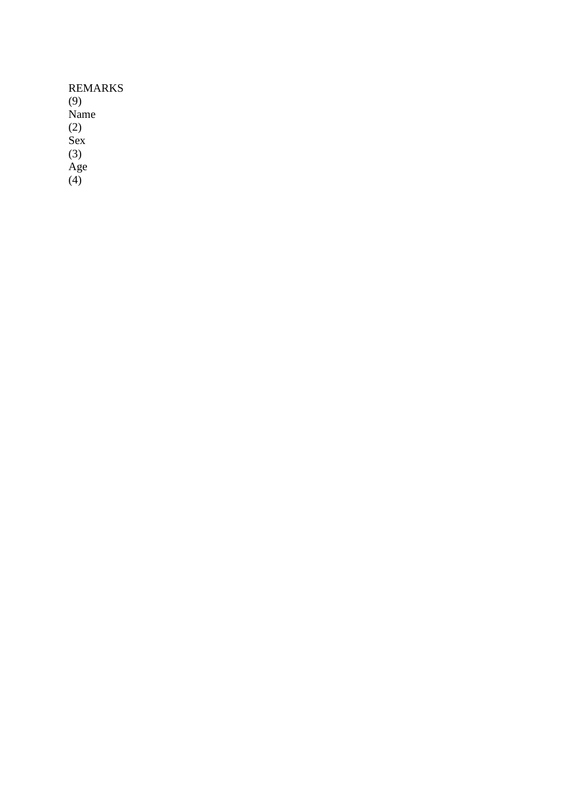| <b>REMARKS</b> |
|----------------|
| (9)            |
| Name           |
| (2)            |
| Sex            |
| (3)            |
| Age            |
| (4)            |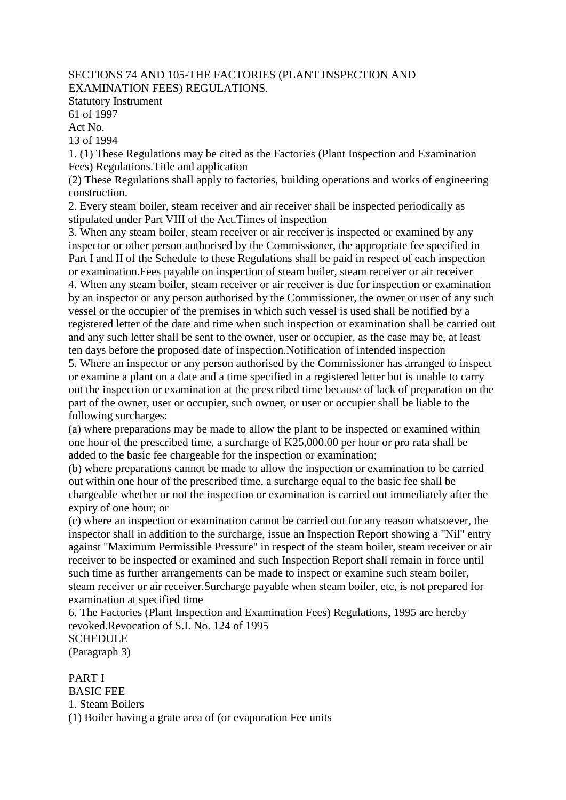#### SECTIONS 74 AND 105-THE FACTORIES (PLANT INSPECTION AND EXAMINATION FEES) REGULATIONS.

Statutory Instrument

61 of 1997

Act No.

13 of 1994

1. (1) These Regulations may be cited as the Factories (Plant Inspection and Examination Fees) Regulations.Title and application

(2) These Regulations shall apply to factories, building operations and works of engineering construction.

2. Every steam boiler, steam receiver and air receiver shall be inspected periodically as stipulated under Part VIII of the Act.Times of inspection

3. When any steam boiler, steam receiver or air receiver is inspected or examined by any inspector or other person authorised by the Commissioner, the appropriate fee specified in Part I and II of the Schedule to these Regulations shall be paid in respect of each inspection or examination.Fees payable on inspection of steam boiler, steam receiver or air receiver 4. When any steam boiler, steam receiver or air receiver is due for inspection or examination by an inspector or any person authorised by the Commissioner, the owner or user of any such vessel or the occupier of the premises in which such vessel is used shall be notified by a registered letter of the date and time when such inspection or examination shall be carried out

ten days before the proposed date of inspection.Notification of intended inspection 5. Where an inspector or any person authorised by the Commissioner has arranged to inspect or examine a plant on a date and a time specified in a registered letter but is unable to carry out the inspection or examination at the prescribed time because of lack of preparation on the part of the owner, user or occupier, such owner, or user or occupier shall be liable to the following surcharges:

and any such letter shall be sent to the owner, user or occupier, as the case may be, at least

(a) where preparations may be made to allow the plant to be inspected or examined within one hour of the prescribed time, a surcharge of K25,000.00 per hour or pro rata shall be added to the basic fee chargeable for the inspection or examination;

(b) where preparations cannot be made to allow the inspection or examination to be carried out within one hour of the prescribed time, a surcharge equal to the basic fee shall be chargeable whether or not the inspection or examination is carried out immediately after the expiry of one hour; or

(c) where an inspection or examination cannot be carried out for any reason whatsoever, the inspector shall in addition to the surcharge, issue an Inspection Report showing a "Nil" entry against "Maximum Permissible Pressure" in respect of the steam boiler, steam receiver or air receiver to be inspected or examined and such Inspection Report shall remain in force until such time as further arrangements can be made to inspect or examine such steam boiler, steam receiver or air receiver.Surcharge payable when steam boiler, etc, is not prepared for examination at specified time

6. The Factories (Plant Inspection and Examination Fees) Regulations, 1995 are hereby revoked.Revocation of S.I. No. 124 of 1995 **SCHEDULE** 

(Paragraph 3)

PART I BASIC FEE 1. Steam Boilers (1) Boiler having a grate area of (or evaporation Fee units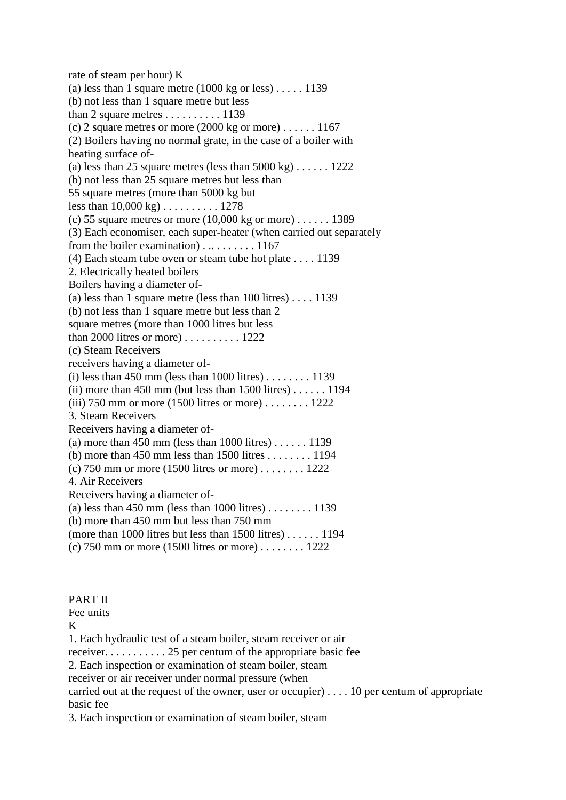rate of steam per hour) K (a) less than 1 square metre  $(1000 \text{ kg or less}) \dots 1139$ (b) not less than 1 square metre but less than 2 square metres  $\dots \dots \dots \dots 1139$ (c) 2 square metres or more  $(2000 \text{ kg or more}) \dots 1167$ (2) Boilers having no normal grate, in the case of a boiler with heating surface of- (a) less than 25 square metres (less than  $5000 \text{ kg}) \dots 1222$ (b) not less than 25 square metres but less than 55 square metres (more than 5000 kg but less than 10,000 kg) . . . . . . . . . . 1278 (c) 55 square metres or more (10,000 kg or more) . . . . . . 1389 (3) Each economiser, each super-heater (when carried out separately from the boiler examination) . .. . . . . . . . 1167 (4) Each steam tube oven or steam tube hot plate . . . . 1139 2. Electrically heated boilers Boilers having a diameter of- (a) less than 1 square metre (less than  $100$  litres) . . . . 1139 (b) not less than 1 square metre but less than 2 square metres (more than 1000 litres but less than 2000 litres or more) . . . . . . . . . . 1222 (c) Steam Receivers receivers having a diameter of- (i) less than 450 mm (less than 1000 litres) . . . . . . . . 1139 (ii) more than 450 mm (but less than  $1500$  litres) . . . . . . 1194 (iii) 750 mm or more (1500 litres or more) . . . . . . . . 1222 3. Steam Receivers Receivers having a diameter of- (a) more than 450 mm (less than 1000 litres)  $\dots$  . . . . . 1139 (b) more than 450 mm less than 1500 litres . . . . . . . . 1194 (c) 750 mm or more (1500 litres or more) . . . . . . . . 1222 4. Air Receivers Receivers having a diameter of- (a) less than  $450$  mm (less than  $1000$  litres) . . . . . . . . 1139 (b) more than 450 mm but less than 750 mm (more than 1000 litres but less than 1500 litres) . . . . . . 1194 (c) 750 mm or more (1500 litres or more) . . . . . . . . 1222

PART II

Fee units

K

1. Each hydraulic test of a steam boiler, steam receiver or air

receiver. . . . . . . . . . . 25 per centum of the appropriate basic fee

2. Each inspection or examination of steam boiler, steam

receiver or air receiver under normal pressure (when

carried out at the request of the owner, user or occupier) . . . . 10 per centum of appropriate basic fee

3. Each inspection or examination of steam boiler, steam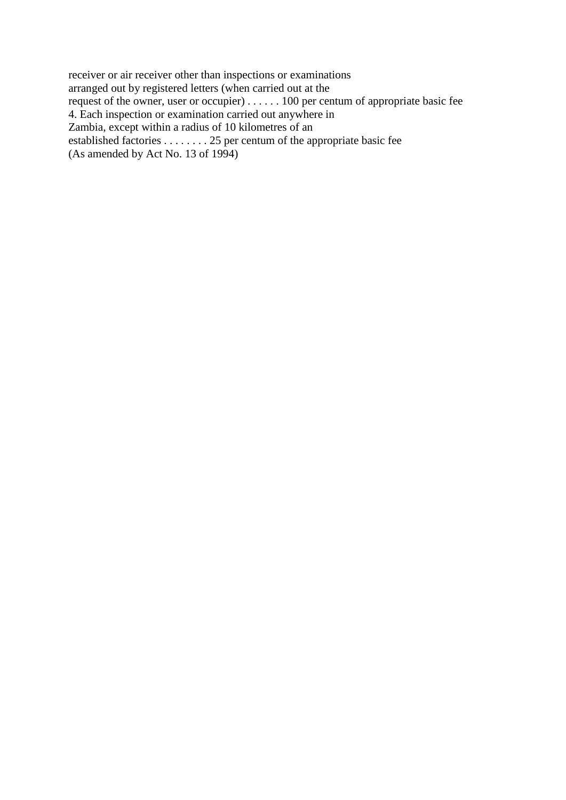receiver or air receiver other than inspections or examinations arranged out by registered letters (when carried out at the request of the owner, user or occupier) . . . . . . 100 per centum of appropriate basic fee 4. Each inspection or examination carried out anywhere in Zambia, except within a radius of 10 kilometres of an established factories . . . . . . . . 25 per centum of the appropriate basic fee (As amended by Act No. 13 of 1994)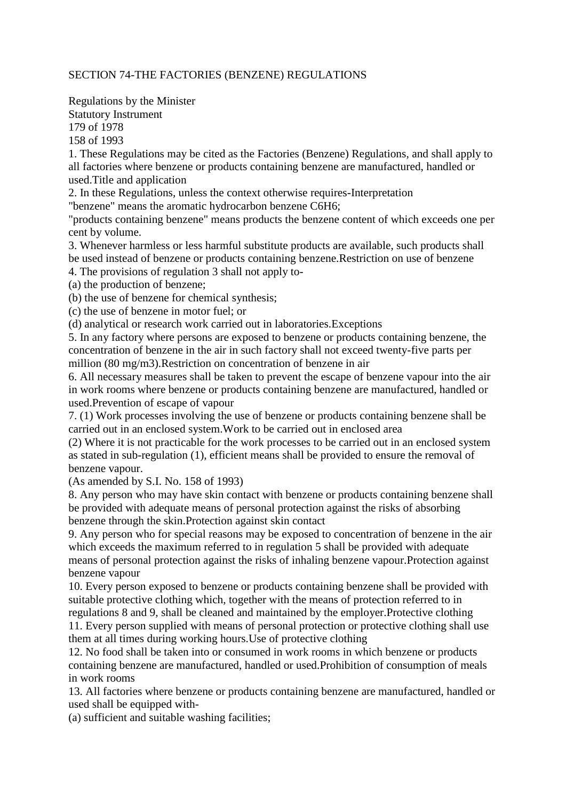## SECTION 74-THE FACTORIES (BENZENE) REGULATIONS

Regulations by the Minister Statutory Instrument

179 of 1978

158 of 1993

1. These Regulations may be cited as the Factories (Benzene) Regulations, and shall apply to all factories where benzene or products containing benzene are manufactured, handled or used.Title and application

2. In these Regulations, unless the context otherwise requires-Interpretation

"benzene" means the aromatic hydrocarbon benzene C6H6;

"products containing benzene" means products the benzene content of which exceeds one per cent by volume.

3. Whenever harmless or less harmful substitute products are available, such products shall be used instead of benzene or products containing benzene.Restriction on use of benzene

4. The provisions of regulation 3 shall not apply to-

(a) the production of benzene;

(b) the use of benzene for chemical synthesis;

(c) the use of benzene in motor fuel; or

(d) analytical or research work carried out in laboratories.Exceptions

5. In any factory where persons are exposed to benzene or products containing benzene, the concentration of benzene in the air in such factory shall not exceed twenty-five parts per million (80 mg/m3).Restriction on concentration of benzene in air

6. All necessary measures shall be taken to prevent the escape of benzene vapour into the air in work rooms where benzene or products containing benzene are manufactured, handled or used.Prevention of escape of vapour

7. (1) Work processes involving the use of benzene or products containing benzene shall be carried out in an enclosed system.Work to be carried out in enclosed area

(2) Where it is not practicable for the work processes to be carried out in an enclosed system as stated in sub-regulation (1), efficient means shall be provided to ensure the removal of benzene vapour.

(As amended by S.I. No. 158 of 1993)

8. Any person who may have skin contact with benzene or products containing benzene shall be provided with adequate means of personal protection against the risks of absorbing benzene through the skin.Protection against skin contact

9. Any person who for special reasons may be exposed to concentration of benzene in the air which exceeds the maximum referred to in regulation 5 shall be provided with adequate means of personal protection against the risks of inhaling benzene vapour.Protection against benzene vapour

10. Every person exposed to benzene or products containing benzene shall be provided with suitable protective clothing which, together with the means of protection referred to in regulations 8 and 9, shall be cleaned and maintained by the employer.Protective clothing

11. Every person supplied with means of personal protection or protective clothing shall use them at all times during working hours.Use of protective clothing

12. No food shall be taken into or consumed in work rooms in which benzene or products containing benzene are manufactured, handled or used.Prohibition of consumption of meals in work rooms

13. All factories where benzene or products containing benzene are manufactured, handled or used shall be equipped with-

(a) sufficient and suitable washing facilities;